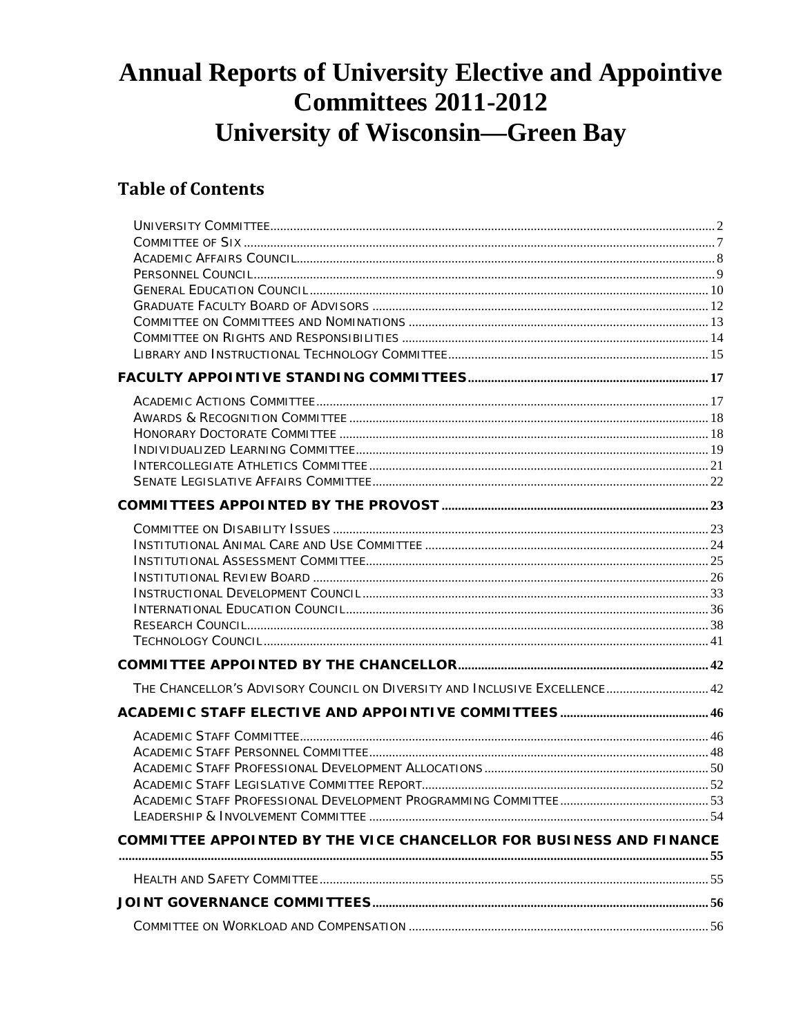# **Annual Reports of University Elective and Appointive Committees 2011-2012 University of Wisconsin-Green Bay**

# **Table of Contents**

| THE CHANCELLOR'S ADVISORY COUNCIL ON DIVERSITY AND INCLUSIVE EXCELLENCE 42 |  |
|----------------------------------------------------------------------------|--|
|                                                                            |  |
|                                                                            |  |
|                                                                            |  |
|                                                                            |  |
|                                                                            |  |
|                                                                            |  |
| COMMITTEE APPOINTED BY THE VICE CHANCELLOR FOR BUSINESS AND FINANCE        |  |
|                                                                            |  |
|                                                                            |  |
|                                                                            |  |
|                                                                            |  |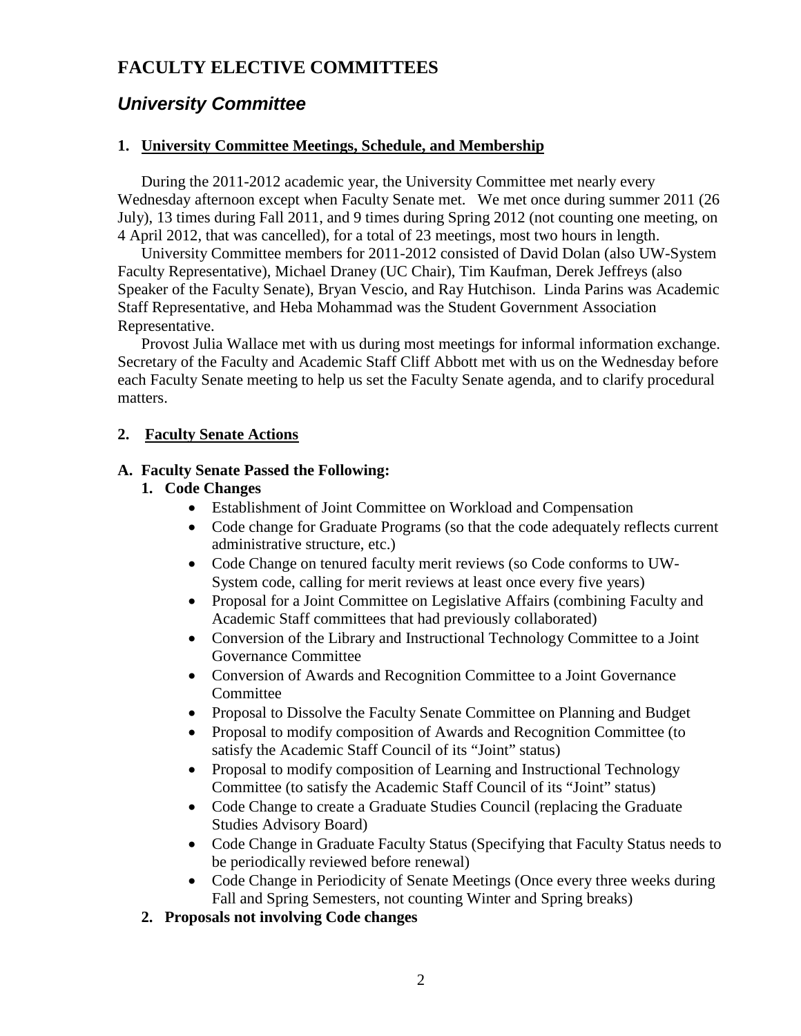### **FACULTY ELECTIVE COMMITTEES**

# <span id="page-1-0"></span>*University Committee*

#### **1. University Committee Meetings, Schedule, and Membership**

During the 2011-2012 academic year, the University Committee met nearly every Wednesday afternoon except when Faculty Senate met. We met once during summer 2011 (26 July), 13 times during Fall 2011, and 9 times during Spring 2012 (not counting one meeting, on 4 April 2012, that was cancelled), for a total of 23 meetings, most two hours in length.

University Committee members for 2011-2012 consisted of David Dolan (also UW-System Faculty Representative), Michael Draney (UC Chair), Tim Kaufman, Derek Jeffreys (also Speaker of the Faculty Senate), Bryan Vescio, and Ray Hutchison. Linda Parins was Academic Staff Representative, and Heba Mohammad was the Student Government Association Representative.

Provost Julia Wallace met with us during most meetings for informal information exchange. Secretary of the Faculty and Academic Staff Cliff Abbott met with us on the Wednesday before each Faculty Senate meeting to help us set the Faculty Senate agenda, and to clarify procedural matters.

#### **2. Faculty Senate Actions**

#### **A. Faculty Senate Passed the Following:**

### **1. Code Changes**

- Establishment of Joint Committee on Workload and Compensation
- Code change for Graduate Programs (so that the code adequately reflects current administrative structure, etc.)
- Code Change on tenured faculty merit reviews (so Code conforms to UW-System code, calling for merit reviews at least once every five years)
- Proposal for a Joint Committee on Legislative Affairs (combining Faculty and Academic Staff committees that had previously collaborated)
- Conversion of the Library and Instructional Technology Committee to a Joint Governance Committee
- Conversion of Awards and Recognition Committee to a Joint Governance **Committee**
- Proposal to Dissolve the Faculty Senate Committee on Planning and Budget
- Proposal to modify composition of Awards and Recognition Committee (to satisfy the Academic Staff Council of its "Joint" status)
- Proposal to modify composition of Learning and Instructional Technology Committee (to satisfy the Academic Staff Council of its "Joint" status)
- Code Change to create a Graduate Studies Council (replacing the Graduate Studies Advisory Board)
- Code Change in Graduate Faculty Status (Specifying that Faculty Status needs to be periodically reviewed before renewal)
- Code Change in Periodicity of Senate Meetings (Once every three weeks during Fall and Spring Semesters, not counting Winter and Spring breaks)
- **2. Proposals not involving Code changes**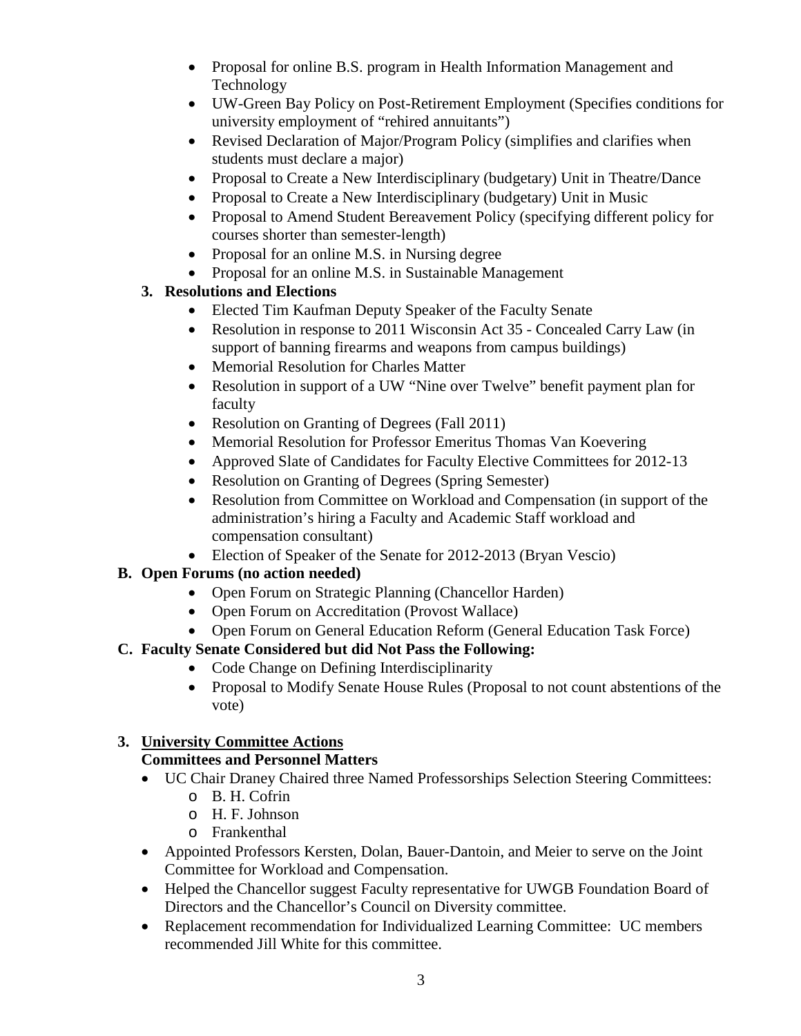- Proposal for online B.S. program in Health Information Management and Technology
- UW-Green Bay Policy on Post-Retirement Employment (Specifies conditions for university employment of "rehired annuitants")
- Revised Declaration of Major/Program Policy (simplifies and clarifies when students must declare a major)
- Proposal to Create a New Interdisciplinary (budgetary) Unit in Theatre/Dance
- Proposal to Create a New Interdisciplinary (budgetary) Unit in Music
- Proposal to Amend Student Bereavement Policy (specifying different policy for courses shorter than semester-length)
- Proposal for an online M.S. in Nursing degree
- Proposal for an online M.S. in Sustainable Management

### **3. Resolutions and Elections**

- Elected Tim Kaufman Deputy Speaker of the Faculty Senate
- Resolution in response to 2011 Wisconsin Act 35 Concealed Carry Law (in support of banning firearms and weapons from campus buildings)
- Memorial Resolution for Charles Matter
- Resolution in support of a UW "Nine over Twelve" benefit payment plan for faculty
- Resolution on Granting of Degrees (Fall 2011)
- Memorial Resolution for Professor Emeritus Thomas Van Koevering
- Approved Slate of Candidates for Faculty Elective Committees for 2012-13
- Resolution on Granting of Degrees (Spring Semester)
- Resolution from Committee on Workload and Compensation (in support of the administration's hiring a Faculty and Academic Staff workload and compensation consultant)
- Election of Speaker of the Senate for 2012-2013 (Bryan Vescio)

### **B. Open Forums (no action needed)**

- Open Forum on Strategic Planning (Chancellor Harden)
- Open Forum on Accreditation (Provost Wallace)
- Open Forum on General Education Reform (General Education Task Force)

### **C. Faculty Senate Considered but did Not Pass the Following:**

- Code Change on Defining Interdisciplinarity
- Proposal to Modify Senate House Rules (Proposal to not count abstentions of the vote)

### **3. University Committee Actions**

### **Committees and Personnel Matters**

- UC Chair Draney Chaired three Named Professorships Selection Steering Committees:
	- o B. H. Cofrin
	- o H. F. Johnson
	- o Frankenthal
- Appointed Professors Kersten, Dolan, Bauer-Dantoin, and Meier to serve on the Joint Committee for Workload and Compensation.
- Helped the Chancellor suggest Faculty representative for UWGB Foundation Board of Directors and the Chancellor's Council on Diversity committee.
- Replacement recommendation for Individualized Learning Committee: UC members recommended Jill White for this committee.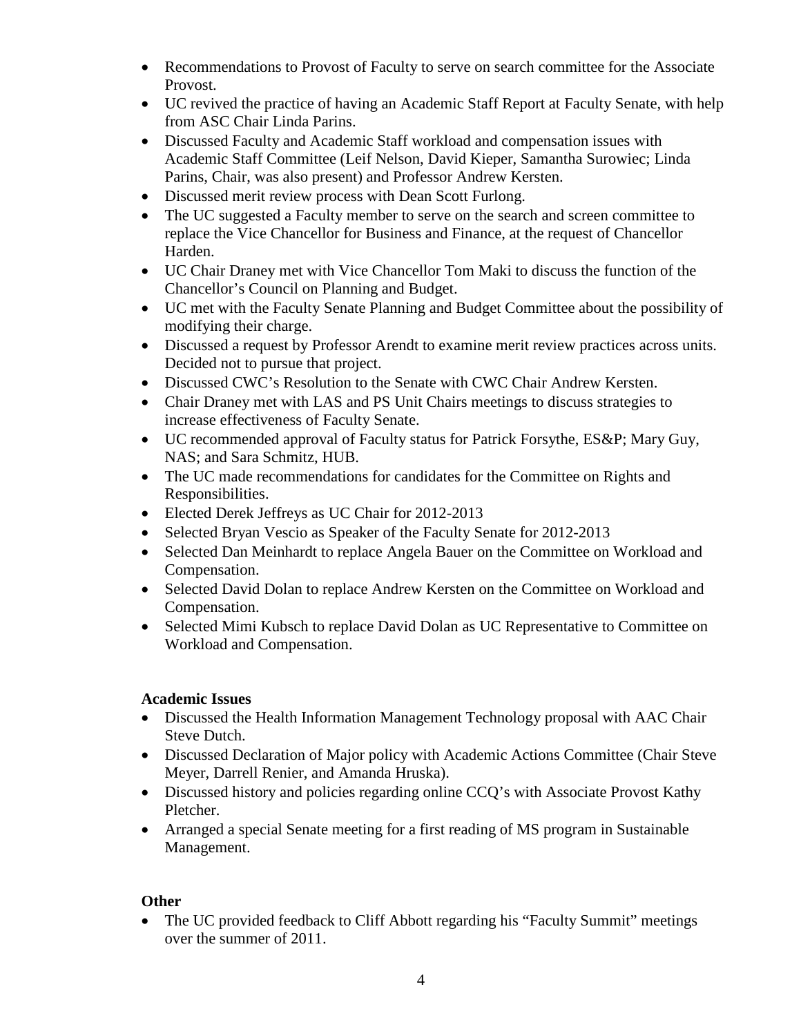- Recommendations to Provost of Faculty to serve on search committee for the Associate Provost.
- UC revived the practice of having an Academic Staff Report at Faculty Senate, with help from ASC Chair Linda Parins.
- Discussed Faculty and Academic Staff workload and compensation issues with Academic Staff Committee (Leif Nelson, David Kieper, Samantha Surowiec; Linda Parins, Chair, was also present) and Professor Andrew Kersten.
- Discussed merit review process with Dean Scott Furlong.
- The UC suggested a Faculty member to serve on the search and screen committee to replace the Vice Chancellor for Business and Finance, at the request of Chancellor Harden.
- UC Chair Draney met with Vice Chancellor Tom Maki to discuss the function of the Chancellor's Council on Planning and Budget.
- UC met with the Faculty Senate Planning and Budget Committee about the possibility of modifying their charge.
- Discussed a request by Professor Arendt to examine merit review practices across units. Decided not to pursue that project.
- Discussed CWC's Resolution to the Senate with CWC Chair Andrew Kersten.
- Chair Draney met with LAS and PS Unit Chairs meetings to discuss strategies to increase effectiveness of Faculty Senate.
- UC recommended approval of Faculty status for Patrick Forsythe, ES&P; Mary Guy, NAS; and Sara Schmitz, HUB.
- The UC made recommendations for candidates for the Committee on Rights and Responsibilities.
- Elected Derek Jeffreys as UC Chair for 2012-2013
- Selected Bryan Vescio as Speaker of the Faculty Senate for 2012-2013
- Selected Dan Meinhardt to replace Angela Bauer on the Committee on Workload and Compensation.
- Selected David Dolan to replace Andrew Kersten on the Committee on Workload and Compensation.
- Selected Mimi Kubsch to replace David Dolan as UC Representative to Committee on Workload and Compensation.

#### **Academic Issues**

- Discussed the Health Information Management Technology proposal with AAC Chair Steve Dutch.
- Discussed Declaration of Major policy with Academic Actions Committee (Chair Steve Meyer, Darrell Renier, and Amanda Hruska).
- Discussed history and policies regarding online CCQ's with Associate Provost Kathy Pletcher.
- Arranged a special Senate meeting for a first reading of MS program in Sustainable Management.

### **Other**

• The UC provided feedback to Cliff Abbott regarding his "Faculty Summit" meetings over the summer of 2011.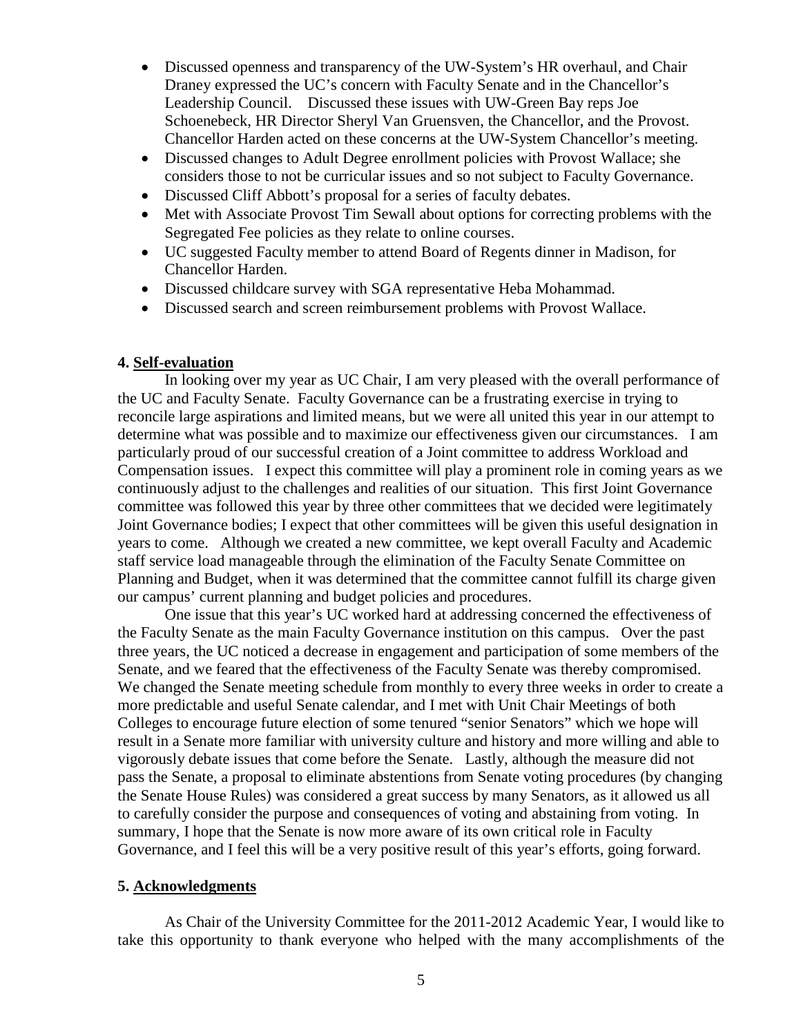- Discussed openness and transparency of the UW-System's HR overhaul, and Chair Draney expressed the UC's concern with Faculty Senate and in the Chancellor's Leadership Council. Discussed these issues with UW-Green Bay reps Joe Schoenebeck, HR Director Sheryl Van Gruensven, the Chancellor, and the Provost. Chancellor Harden acted on these concerns at the UW-System Chancellor's meeting.
- Discussed changes to Adult Degree enrollment policies with Provost Wallace; she considers those to not be curricular issues and so not subject to Faculty Governance.
- Discussed Cliff Abbott's proposal for a series of faculty debates.
- Met with Associate Provost Tim Sewall about options for correcting problems with the Segregated Fee policies as they relate to online courses.
- UC suggested Faculty member to attend Board of Regents dinner in Madison, for Chancellor Harden.
- Discussed childcare survey with SGA representative Heba Mohammad.
- Discussed search and screen reimbursement problems with Provost Wallace.

#### **4. Self-evaluation**

In looking over my year as UC Chair, I am very pleased with the overall performance of the UC and Faculty Senate. Faculty Governance can be a frustrating exercise in trying to reconcile large aspirations and limited means, but we were all united this year in our attempt to determine what was possible and to maximize our effectiveness given our circumstances. I am particularly proud of our successful creation of a Joint committee to address Workload and Compensation issues. I expect this committee will play a prominent role in coming years as we continuously adjust to the challenges and realities of our situation. This first Joint Governance committee was followed this year by three other committees that we decided were legitimately Joint Governance bodies; I expect that other committees will be given this useful designation in years to come. Although we created a new committee, we kept overall Faculty and Academic staff service load manageable through the elimination of the Faculty Senate Committee on Planning and Budget, when it was determined that the committee cannot fulfill its charge given our campus' current planning and budget policies and procedures.

One issue that this year's UC worked hard at addressing concerned the effectiveness of the Faculty Senate as the main Faculty Governance institution on this campus. Over the past three years, the UC noticed a decrease in engagement and participation of some members of the Senate, and we feared that the effectiveness of the Faculty Senate was thereby compromised. We changed the Senate meeting schedule from monthly to every three weeks in order to create a more predictable and useful Senate calendar, and I met with Unit Chair Meetings of both Colleges to encourage future election of some tenured "senior Senators" which we hope will result in a Senate more familiar with university culture and history and more willing and able to vigorously debate issues that come before the Senate. Lastly, although the measure did not pass the Senate, a proposal to eliminate abstentions from Senate voting procedures (by changing the Senate House Rules) was considered a great success by many Senators, as it allowed us all to carefully consider the purpose and consequences of voting and abstaining from voting. In summary, I hope that the Senate is now more aware of its own critical role in Faculty Governance, and I feel this will be a very positive result of this year's efforts, going forward.

#### **5. Acknowledgments**

As Chair of the University Committee for the 2011-2012 Academic Year, I would like to take this opportunity to thank everyone who helped with the many accomplishments of the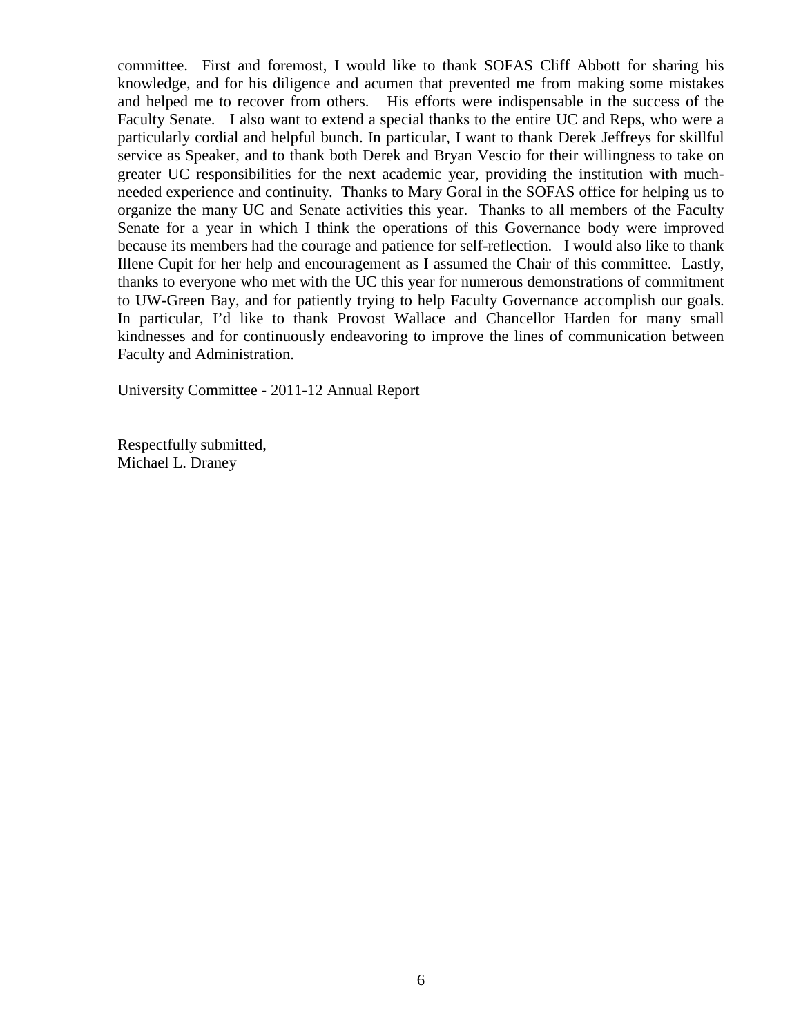committee. First and foremost, I would like to thank SOFAS Cliff Abbott for sharing his knowledge, and for his diligence and acumen that prevented me from making some mistakes and helped me to recover from others. His efforts were indispensable in the success of the Faculty Senate. I also want to extend a special thanks to the entire UC and Reps, who were a particularly cordial and helpful bunch. In particular, I want to thank Derek Jeffreys for skillful service as Speaker, and to thank both Derek and Bryan Vescio for their willingness to take on greater UC responsibilities for the next academic year, providing the institution with muchneeded experience and continuity. Thanks to Mary Goral in the SOFAS office for helping us to organize the many UC and Senate activities this year. Thanks to all members of the Faculty Senate for a year in which I think the operations of this Governance body were improved because its members had the courage and patience for self-reflection. I would also like to thank Illene Cupit for her help and encouragement as I assumed the Chair of this committee. Lastly, thanks to everyone who met with the UC this year for numerous demonstrations of commitment to UW-Green Bay, and for patiently trying to help Faculty Governance accomplish our goals. In particular, I'd like to thank Provost Wallace and Chancellor Harden for many small kindnesses and for continuously endeavoring to improve the lines of communication between Faculty and Administration.

University Committee - 2011-12 Annual Report

Respectfully submitted, Michael L. Draney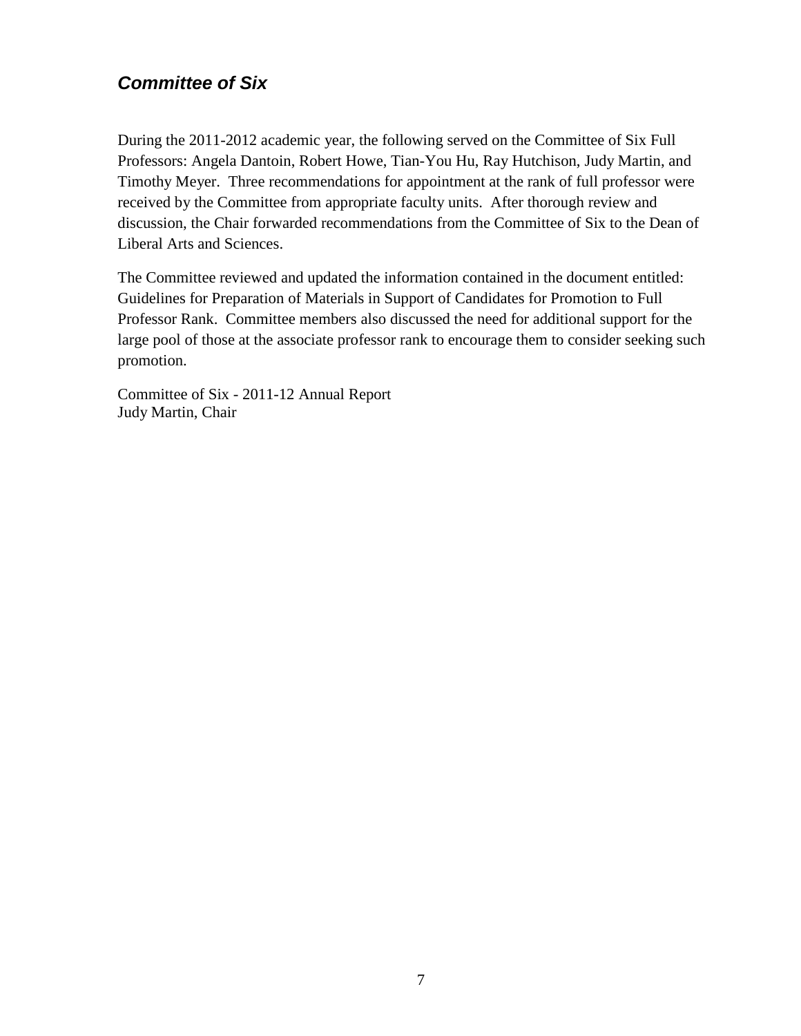### <span id="page-6-0"></span>*Committee of Six*

During the 2011-2012 academic year, the following served on the Committee of Six Full Professors: Angela Dantoin, Robert Howe, Tian-You Hu, Ray Hutchison, Judy Martin, and Timothy Meyer. Three recommendations for appointment at the rank of full professor were received by the Committee from appropriate faculty units. After thorough review and discussion, the Chair forwarded recommendations from the Committee of Six to the Dean of Liberal Arts and Sciences.

The Committee reviewed and updated the information contained in the document entitled: Guidelines for Preparation of Materials in Support of Candidates for Promotion to Full Professor Rank. Committee members also discussed the need for additional support for the large pool of those at the associate professor rank to encourage them to consider seeking such promotion.

Committee of Six - 2011-12 Annual Report Judy Martin, Chair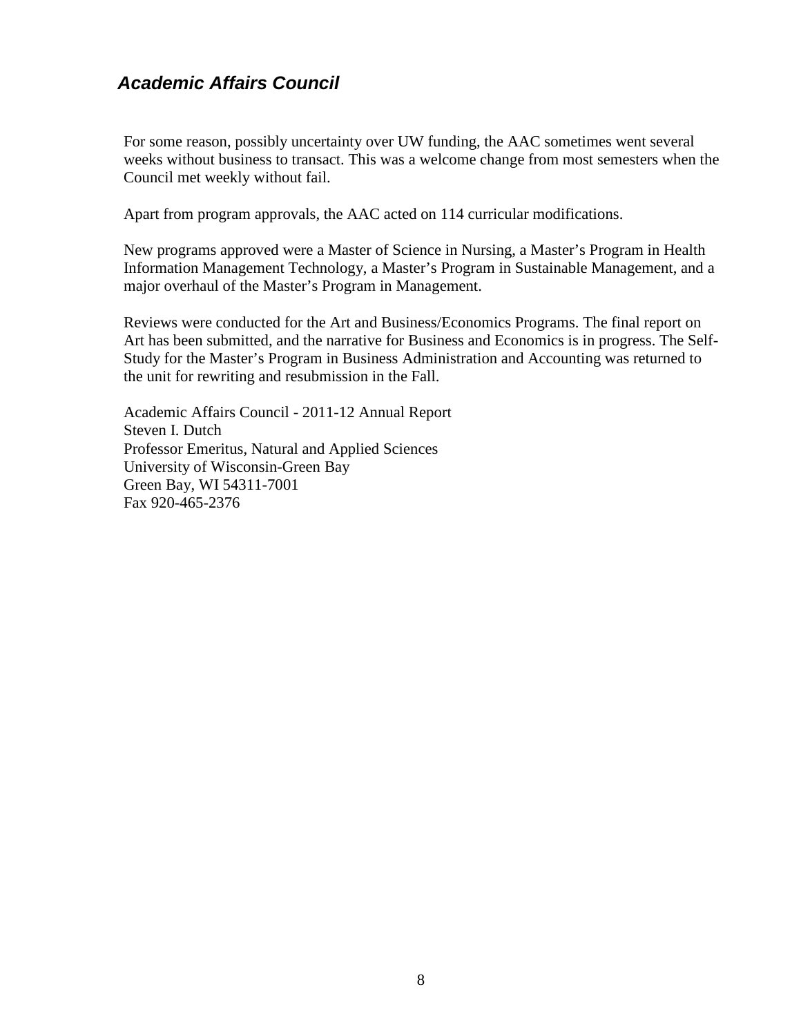### <span id="page-7-0"></span>*Academic Affairs Council*

For some reason, possibly uncertainty over UW funding, the AAC sometimes went several weeks without business to transact. This was a welcome change from most semesters when the Council met weekly without fail.

Apart from program approvals, the AAC acted on 114 curricular modifications.

New programs approved were a Master of Science in Nursing, a Master's Program in Health Information Management Technology, a Master's Program in Sustainable Management, and a major overhaul of the Master's Program in Management.

Reviews were conducted for the Art and Business/Economics Programs. The final report on Art has been submitted, and the narrative for Business and Economics is in progress. The Self-Study for the Master's Program in Business Administration and Accounting was returned to the unit for rewriting and resubmission in the Fall.

Academic Affairs Council - 2011-12 Annual Report Steven I. Dutch Professor Emeritus, Natural and Applied Sciences University of Wisconsin-Green Bay Green Bay, WI 54311-7001 Fax 920-465-2376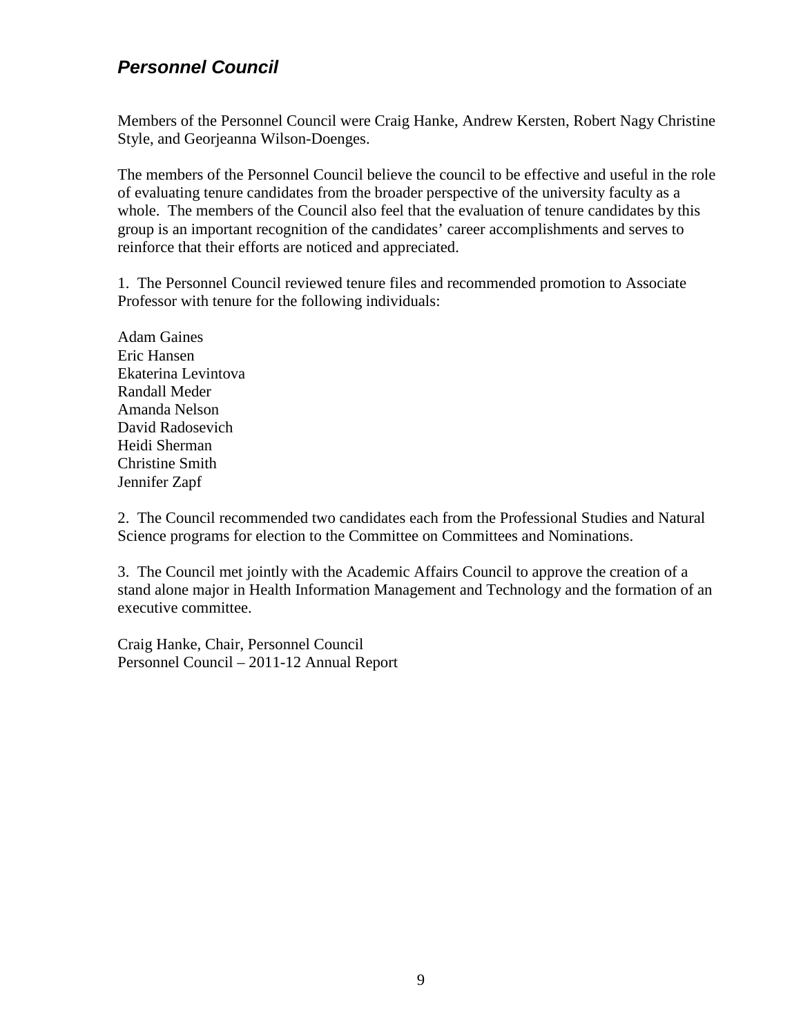### <span id="page-8-0"></span>*Personnel Council*

Members of the Personnel Council were Craig Hanke, Andrew Kersten, Robert Nagy Christine Style, and Georjeanna Wilson-Doenges.

The members of the Personnel Council believe the council to be effective and useful in the role of evaluating tenure candidates from the broader perspective of the university faculty as a whole. The members of the Council also feel that the evaluation of tenure candidates by this group is an important recognition of the candidates' career accomplishments and serves to reinforce that their efforts are noticed and appreciated.

1. The Personnel Council reviewed tenure files and recommended promotion to Associate Professor with tenure for the following individuals:

Adam Gaines Eric Hansen Ekaterina Levintova Randall Meder Amanda Nelson David Radosevich Heidi Sherman Christine Smith Jennifer Zapf

2. The Council recommended two candidates each from the Professional Studies and Natural Science programs for election to the Committee on Committees and Nominations.

3. The Council met jointly with the Academic Affairs Council to approve the creation of a stand alone major in Health Information Management and Technology and the formation of an executive committee.

Craig Hanke, Chair, Personnel Council Personnel Council – 2011-12 Annual Report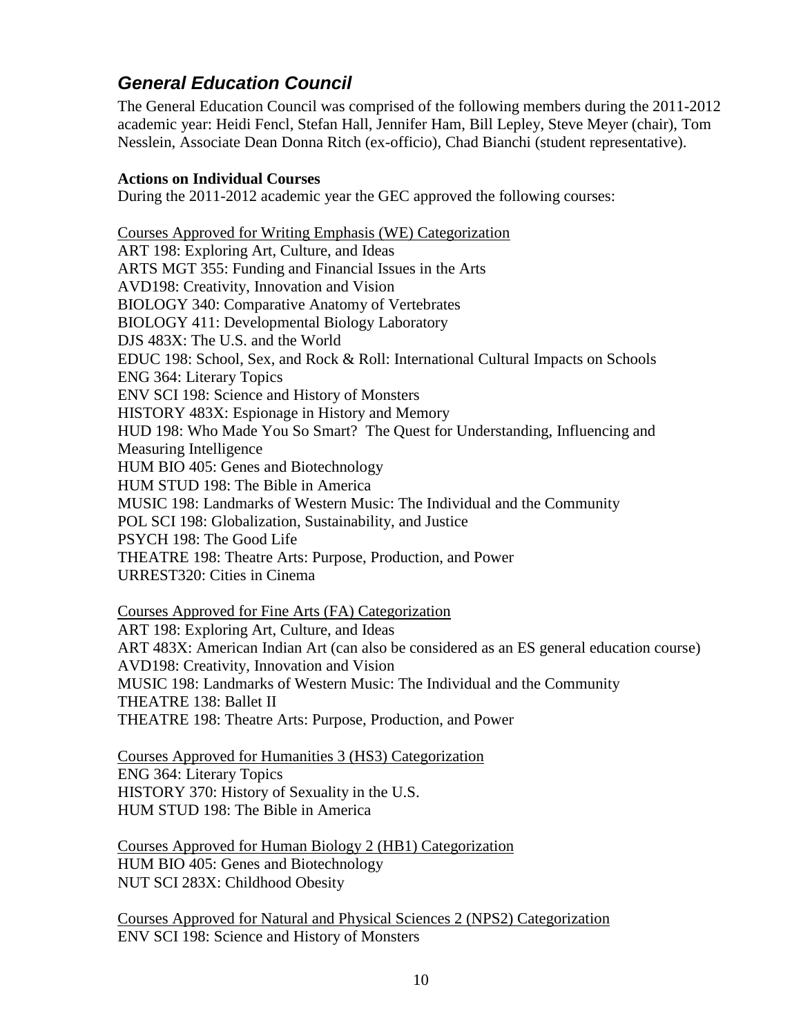### <span id="page-9-0"></span>*General Education Council*

The General Education Council was comprised of the following members during the 2011-2012 academic year: Heidi Fencl, Stefan Hall, Jennifer Ham, Bill Lepley, Steve Meyer (chair), Tom Nesslein, Associate Dean Donna Ritch (ex-officio), Chad Bianchi (student representative).

#### **Actions on Individual Courses**

During the 2011-2012 academic year the GEC approved the following courses:

Courses Approved for Writing Emphasis (WE) Categorization ART 198: Exploring Art, Culture, and Ideas ARTS MGT 355: Funding and Financial Issues in the Arts AVD198: Creativity, Innovation and Vision BIOLOGY 340: Comparative Anatomy of Vertebrates BIOLOGY 411: Developmental Biology Laboratory DJS 483X: The U.S. and the World EDUC 198: School, Sex, and Rock & Roll: International Cultural Impacts on Schools ENG 364: Literary Topics ENV SCI 198: Science and History of Monsters HISTORY 483X: Espionage in History and Memory HUD 198: Who Made You So Smart? The Quest for Understanding, Influencing and Measuring Intelligence HUM BIO 405: Genes and Biotechnology HUM STUD 198: The Bible in America MUSIC 198: Landmarks of Western Music: The Individual and the Community POL SCI 198: Globalization, Sustainability, and Justice PSYCH 198: The Good Life THEATRE 198: Theatre Arts: Purpose, Production, and Power URREST320: Cities in Cinema

Courses Approved for Fine Arts (FA) Categorization ART 198: Exploring Art, Culture, and Ideas ART 483X: American Indian Art (can also be considered as an ES general education course) AVD198: Creativity, Innovation and Vision MUSIC 198: Landmarks of Western Music: The Individual and the Community THEATRE 138: Ballet II THEATRE 198: Theatre Arts: Purpose, Production, and Power

Courses Approved for Humanities 3 (HS3) Categorization ENG 364: Literary Topics HISTORY 370: History of Sexuality in the U.S. HUM STUD 198: The Bible in America

Courses Approved for Human Biology 2 (HB1) Categorization HUM BIO 405: Genes and Biotechnology NUT SCI 283X: Childhood Obesity

Courses Approved for Natural and Physical Sciences 2 (NPS2) Categorization ENV SCI 198: Science and History of Monsters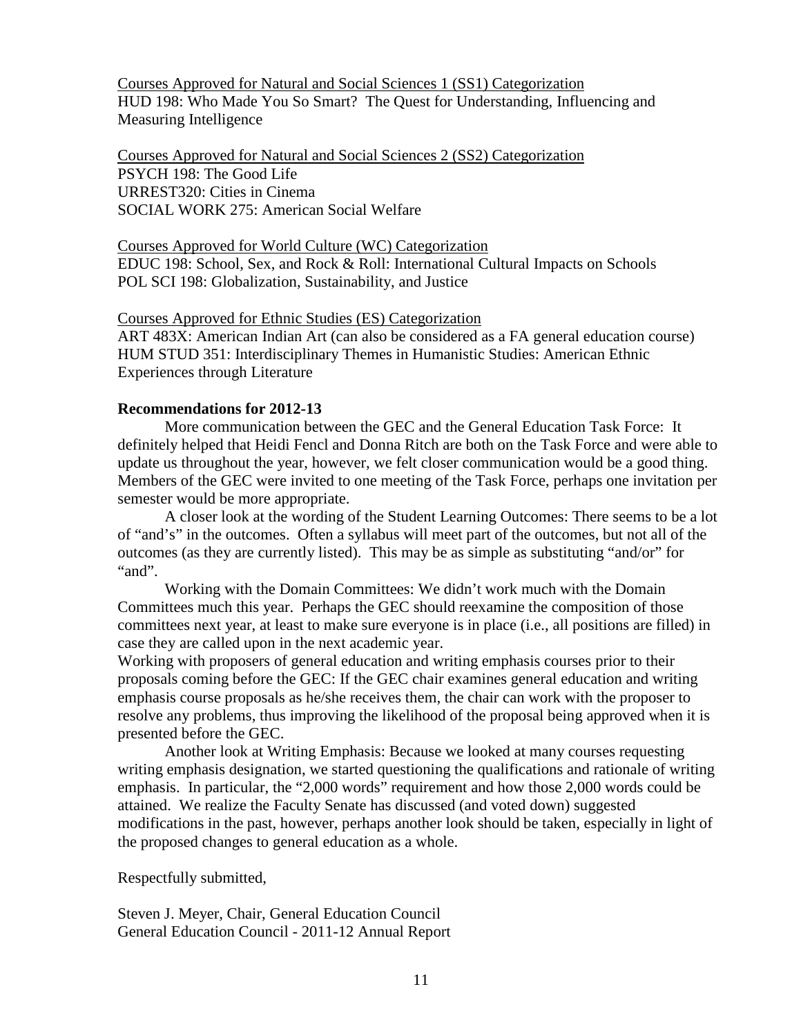Courses Approved for Natural and Social Sciences 1 (SS1) Categorization HUD 198: Who Made You So Smart? The Quest for Understanding, Influencing and Measuring Intelligence

Courses Approved for Natural and Social Sciences 2 (SS2) Categorization PSYCH 198: The Good Life URREST320: Cities in Cinema SOCIAL WORK 275: American Social Welfare

Courses Approved for World Culture (WC) Categorization EDUC 198: School, Sex, and Rock & Roll: International Cultural Impacts on Schools POL SCI 198: Globalization, Sustainability, and Justice

#### Courses Approved for Ethnic Studies (ES) Categorization

ART 483X: American Indian Art (can also be considered as a FA general education course) HUM STUD 351: Interdisciplinary Themes in Humanistic Studies: American Ethnic Experiences through Literature

#### **Recommendations for 2012-13**

More communication between the GEC and the General Education Task Force: It definitely helped that Heidi Fencl and Donna Ritch are both on the Task Force and were able to update us throughout the year, however, we felt closer communication would be a good thing. Members of the GEC were invited to one meeting of the Task Force, perhaps one invitation per semester would be more appropriate.

A closer look at the wording of the Student Learning Outcomes: There seems to be a lot of "and's" in the outcomes. Often a syllabus will meet part of the outcomes, but not all of the outcomes (as they are currently listed). This may be as simple as substituting "and/or" for "and".

Working with the Domain Committees: We didn't work much with the Domain Committees much this year. Perhaps the GEC should reexamine the composition of those committees next year, at least to make sure everyone is in place (i.e., all positions are filled) in case they are called upon in the next academic year.

Working with proposers of general education and writing emphasis courses prior to their proposals coming before the GEC: If the GEC chair examines general education and writing emphasis course proposals as he/she receives them, the chair can work with the proposer to resolve any problems, thus improving the likelihood of the proposal being approved when it is presented before the GEC.

Another look at Writing Emphasis: Because we looked at many courses requesting writing emphasis designation, we started questioning the qualifications and rationale of writing emphasis. In particular, the "2,000 words" requirement and how those 2,000 words could be attained. We realize the Faculty Senate has discussed (and voted down) suggested modifications in the past, however, perhaps another look should be taken, especially in light of the proposed changes to general education as a whole.

Respectfully submitted,

Steven J. Meyer, Chair, General Education Council General Education Council - 2011-12 Annual Report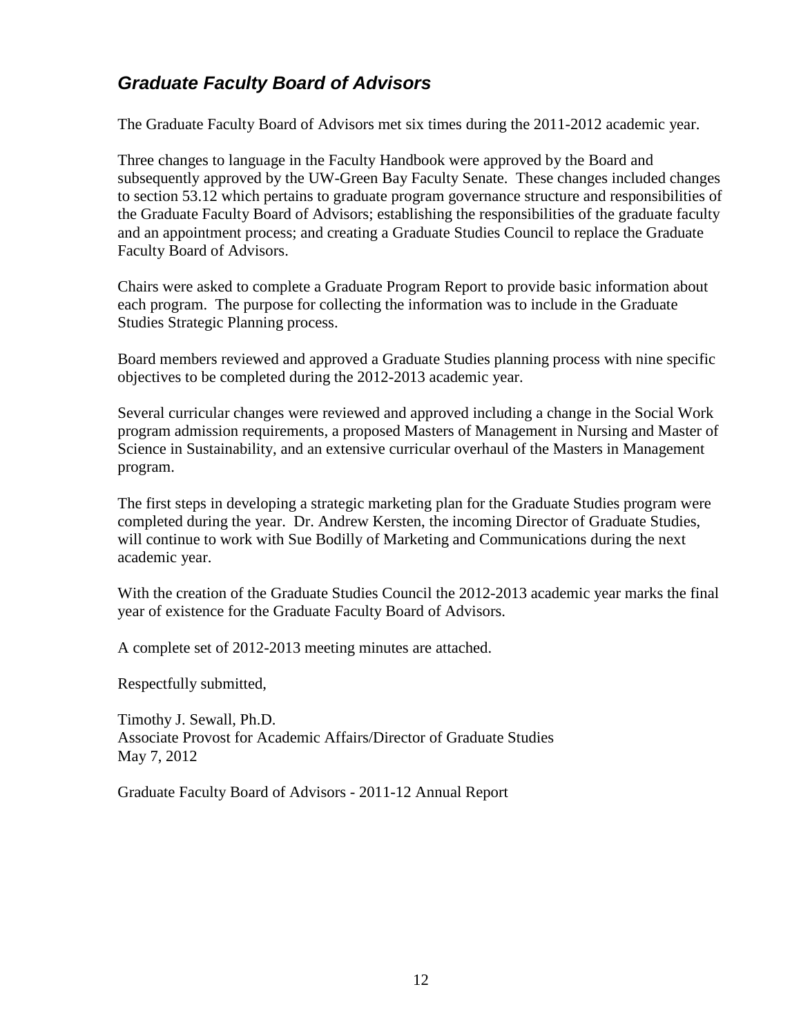# <span id="page-11-0"></span>*Graduate Faculty Board of Advisors*

The Graduate Faculty Board of Advisors met six times during the 2011-2012 academic year.

Three changes to language in the Faculty Handbook were approved by the Board and subsequently approved by the UW-Green Bay Faculty Senate. These changes included changes to section 53.12 which pertains to graduate program governance structure and responsibilities of the Graduate Faculty Board of Advisors; establishing the responsibilities of the graduate faculty and an appointment process; and creating a Graduate Studies Council to replace the Graduate Faculty Board of Advisors.

Chairs were asked to complete a Graduate Program Report to provide basic information about each program. The purpose for collecting the information was to include in the Graduate Studies Strategic Planning process.

Board members reviewed and approved a Graduate Studies planning process with nine specific objectives to be completed during the 2012-2013 academic year.

Several curricular changes were reviewed and approved including a change in the Social Work program admission requirements, a proposed Masters of Management in Nursing and Master of Science in Sustainability, and an extensive curricular overhaul of the Masters in Management program.

The first steps in developing a strategic marketing plan for the Graduate Studies program were completed during the year. Dr. Andrew Kersten, the incoming Director of Graduate Studies, will continue to work with Sue Bodilly of Marketing and Communications during the next academic year.

With the creation of the Graduate Studies Council the 2012-2013 academic year marks the final year of existence for the Graduate Faculty Board of Advisors.

A complete set of 2012-2013 meeting minutes are attached.

Respectfully submitted,

Timothy J. Sewall, Ph.D. Associate Provost for Academic Affairs/Director of Graduate Studies May 7, 2012

Graduate Faculty Board of Advisors - 2011-12 Annual Report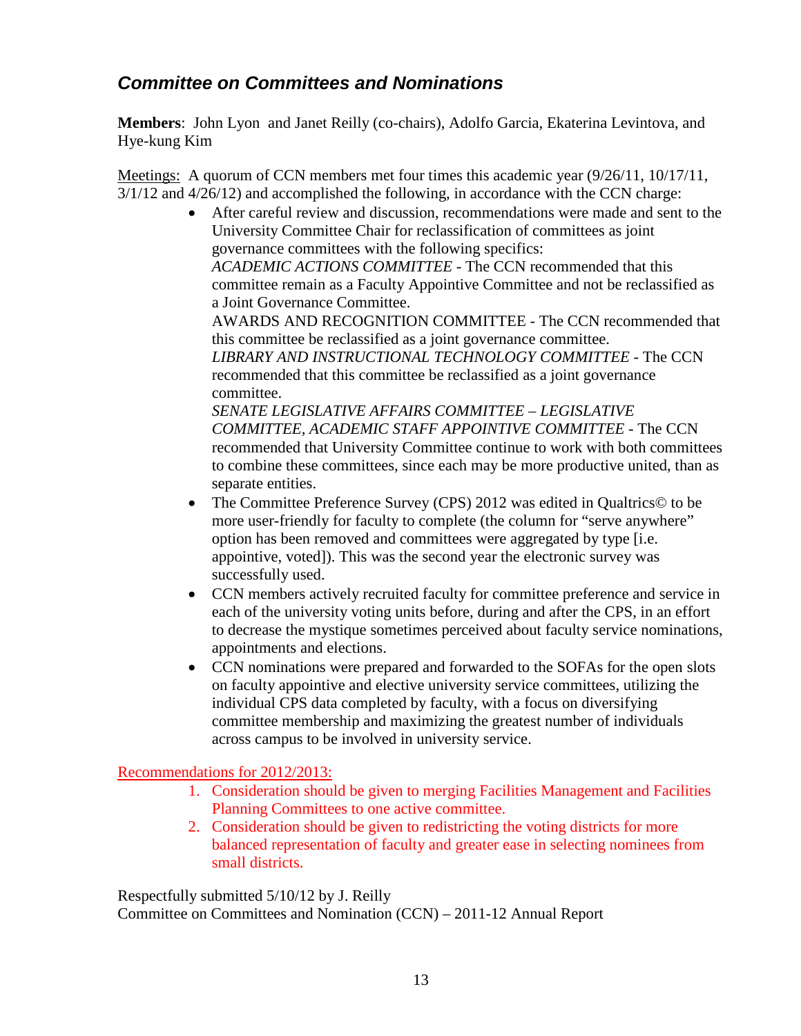# <span id="page-12-0"></span>*Committee on Committees and Nominations*

**Members**: John Lyon and Janet Reilly (co-chairs), Adolfo Garcia, Ekaterina Levintova, and Hye-kung Kim

Meetings: A quorum of CCN members met four times this academic year (9/26/11, 10/17/11, 3/1/12 and 4/26/12) and accomplished the following, in accordance with the CCN charge:

> • After careful review and discussion, recommendations were made and sent to the University Committee Chair for reclassification of committees as joint governance committees with the following specifics: *ACADEMIC ACTIONS COMMITTEE* - The CCN recommended that this committee remain as a Faculty Appointive Committee and not be reclassified as a Joint Governance Committee. AWARDS AND RECOGNITION COMMITTEE - The CCN recommended that this committee be reclassified as a joint governance committee. *LIBRARY AND INSTRUCTIONAL TECHNOLOGY COMMITTEE* - The CCN recommended that this committee be reclassified as a joint governance committee. *SENATE LEGISLATIVE AFFAIRS COMMITTEE – LEGISLATIVE*

*COMMITTEE, ACADEMIC STAFF APPOINTIVE COMMITTEE* - The CCN recommended that University Committee continue to work with both committees to combine these committees, since each may be more productive united, than as separate entities.

- The Committee Preference Survey (CPS) 2012 was edited in Qualtrics© to be more user-friendly for faculty to complete (the column for "serve anywhere" option has been removed and committees were aggregated by type [i.e. appointive, voted]). This was the second year the electronic survey was successfully used.
- CCN members actively recruited faculty for committee preference and service in each of the university voting units before, during and after the CPS, in an effort to decrease the mystique sometimes perceived about faculty service nominations, appointments and elections.
- CCN nominations were prepared and forwarded to the SOFAs for the open slots on faculty appointive and elective university service committees, utilizing the individual CPS data completed by faculty, with a focus on diversifying committee membership and maximizing the greatest number of individuals across campus to be involved in university service.

### Recommendations for 2012/2013:

- 1. Consideration should be given to merging Facilities Management and Facilities Planning Committees to one active committee.
- 2. Consideration should be given to redistricting the voting districts for more balanced representation of faculty and greater ease in selecting nominees from small districts.

Respectfully submitted 5/10/12 by J. Reilly Committee on Committees and Nomination (CCN) – 2011-12 Annual Report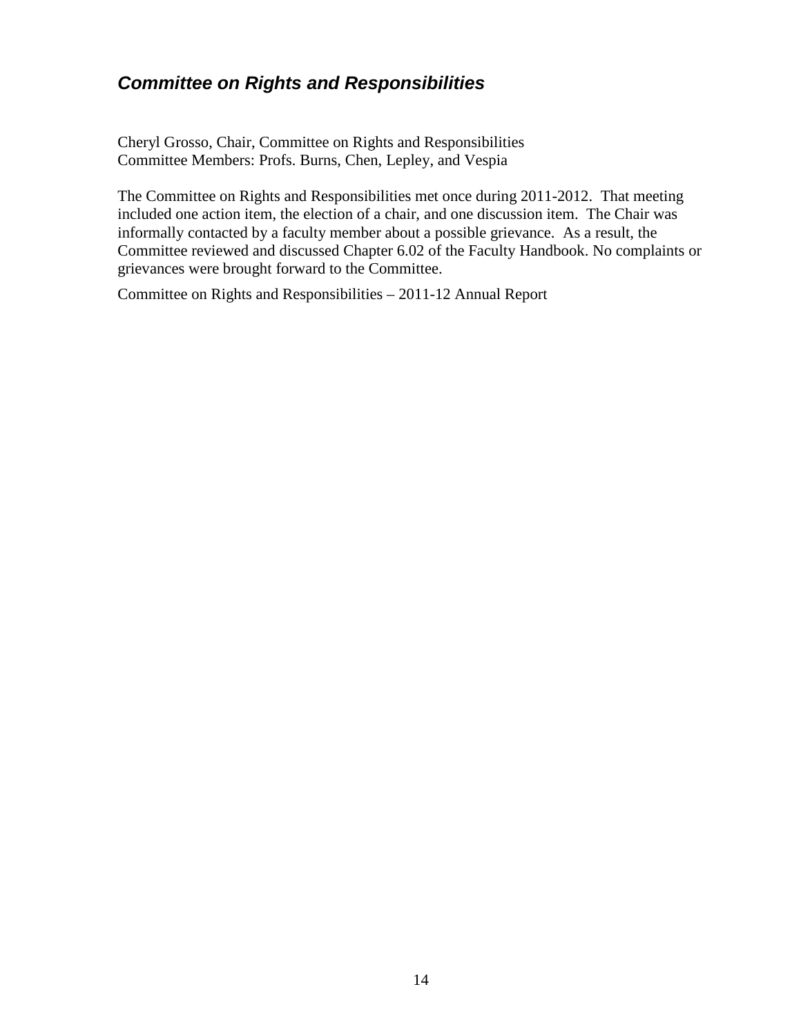### <span id="page-13-0"></span>*Committee on Rights and Responsibilities*

Cheryl Grosso, Chair, Committee on Rights and Responsibilities Committee Members: Profs. Burns, Chen, Lepley, and Vespia

The Committee on Rights and Responsibilities met once during 2011-2012. That meeting included one action item, the election of a chair, and one discussion item. The Chair was informally contacted by a faculty member about a possible grievance. As a result, the Committee reviewed and discussed Chapter 6.02 of the Faculty Handbook. No complaints or grievances were brought forward to the Committee.

Committee on Rights and Responsibilities – 2011-12 Annual Report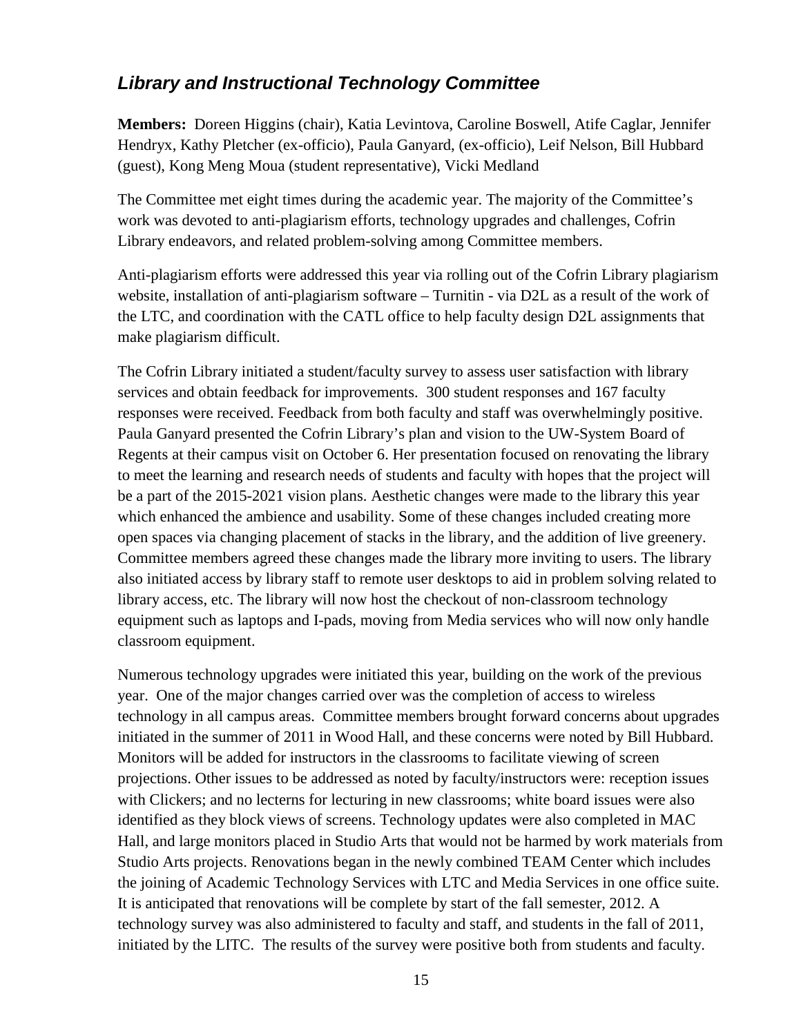# <span id="page-14-0"></span>*Library and Instructional Technology Committee*

**Members:** Doreen Higgins (chair), Katia Levintova, Caroline Boswell, Atife Caglar, Jennifer Hendryx, Kathy Pletcher (ex-officio), Paula Ganyard, (ex-officio), Leif Nelson, Bill Hubbard (guest), Kong Meng Moua (student representative), Vicki Medland

The Committee met eight times during the academic year. The majority of the Committee's work was devoted to anti-plagiarism efforts, technology upgrades and challenges, Cofrin Library endeavors, and related problem-solving among Committee members.

Anti-plagiarism efforts were addressed this year via rolling out of the Cofrin Library plagiarism website, installation of anti-plagiarism software – Turnitin - via D2L as a result of the work of the LTC, and coordination with the CATL office to help faculty design D2L assignments that make plagiarism difficult.

The Cofrin Library initiated a student/faculty survey to assess user satisfaction with library services and obtain feedback for improvements. 300 student responses and 167 faculty responses were received. Feedback from both faculty and staff was overwhelmingly positive. Paula Ganyard presented the Cofrin Library's plan and vision to the UW-System Board of Regents at their campus visit on October 6. Her presentation focused on renovating the library to meet the learning and research needs of students and faculty with hopes that the project will be a part of the 2015-2021 vision plans. Aesthetic changes were made to the library this year which enhanced the ambience and usability. Some of these changes included creating more open spaces via changing placement of stacks in the library, and the addition of live greenery. Committee members agreed these changes made the library more inviting to users. The library also initiated access by library staff to remote user desktops to aid in problem solving related to library access, etc. The library will now host the checkout of non-classroom technology equipment such as laptops and I-pads, moving from Media services who will now only handle classroom equipment.

Numerous technology upgrades were initiated this year, building on the work of the previous year. One of the major changes carried over was the completion of access to wireless technology in all campus areas. Committee members brought forward concerns about upgrades initiated in the summer of 2011 in Wood Hall, and these concerns were noted by Bill Hubbard. Monitors will be added for instructors in the classrooms to facilitate viewing of screen projections. Other issues to be addressed as noted by faculty/instructors were: reception issues with Clickers; and no lecterns for lecturing in new classrooms; white board issues were also identified as they block views of screens. Technology updates were also completed in MAC Hall, and large monitors placed in Studio Arts that would not be harmed by work materials from Studio Arts projects. Renovations began in the newly combined TEAM Center which includes the joining of Academic Technology Services with LTC and Media Services in one office suite. It is anticipated that renovations will be complete by start of the fall semester, 2012. A technology survey was also administered to faculty and staff, and students in the fall of 2011, initiated by the LITC. The results of the survey were positive both from students and faculty.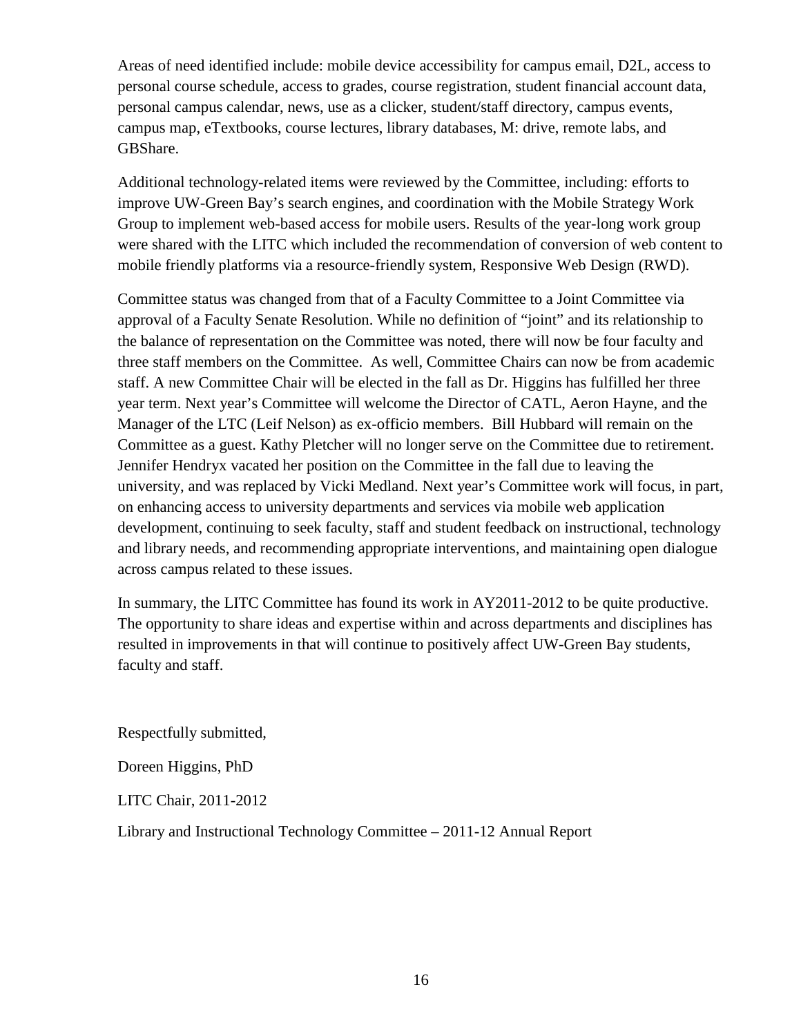Areas of need identified include: mobile device accessibility for campus email, D2L, access to personal course schedule, access to grades, course registration, student financial account data, personal campus calendar, news, use as a clicker, student/staff directory, campus events, campus map, eTextbooks, course lectures, library databases, M: drive, remote labs, and GBShare.

Additional technology-related items were reviewed by the Committee, including: efforts to improve UW-Green Bay's search engines, and coordination with the Mobile Strategy Work Group to implement web-based access for mobile users. Results of the year-long work group were shared with the LITC which included the recommendation of conversion of web content to mobile friendly platforms via a resource-friendly system, Responsive Web Design (RWD).

Committee status was changed from that of a Faculty Committee to a Joint Committee via approval of a Faculty Senate Resolution. While no definition of "joint" and its relationship to the balance of representation on the Committee was noted, there will now be four faculty and three staff members on the Committee. As well, Committee Chairs can now be from academic staff. A new Committee Chair will be elected in the fall as Dr. Higgins has fulfilled her three year term. Next year's Committee will welcome the Director of CATL, Aeron Hayne, and the Manager of the LTC (Leif Nelson) as ex-officio members. Bill Hubbard will remain on the Committee as a guest. Kathy Pletcher will no longer serve on the Committee due to retirement. Jennifer Hendryx vacated her position on the Committee in the fall due to leaving the university, and was replaced by Vicki Medland. Next year's Committee work will focus, in part, on enhancing access to university departments and services via mobile web application development, continuing to seek faculty, staff and student feedback on instructional, technology and library needs, and recommending appropriate interventions, and maintaining open dialogue across campus related to these issues.

In summary, the LITC Committee has found its work in AY2011-2012 to be quite productive. The opportunity to share ideas and expertise within and across departments and disciplines has resulted in improvements in that will continue to positively affect UW-Green Bay students, faculty and staff.

Respectfully submitted,

Doreen Higgins, PhD

LITC Chair, 2011-2012

Library and Instructional Technology Committee – 2011-12 Annual Report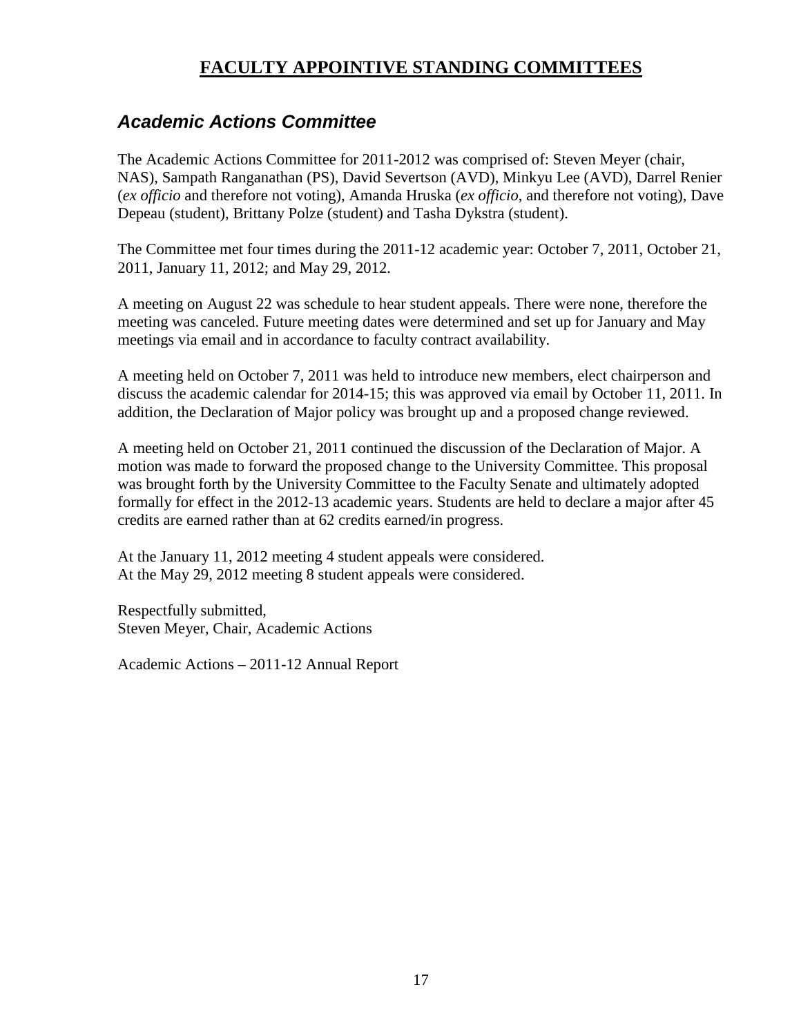# **FACULTY APPOINTIVE STANDING COMMITTEES**

### <span id="page-16-1"></span><span id="page-16-0"></span>*Academic Actions Committee*

The Academic Actions Committee for 2011-2012 was comprised of: Steven Meyer (chair, NAS), Sampath Ranganathan (PS), David Severtson (AVD), Minkyu Lee (AVD), Darrel Renier (*ex officio* and therefore not voting), Amanda Hruska (*ex officio*, and therefore not voting), Dave Depeau (student), Brittany Polze (student) and Tasha Dykstra (student).

The Committee met four times during the 2011-12 academic year: October 7, 2011, October 21, 2011, January 11, 2012; and May 29, 2012.

A meeting on August 22 was schedule to hear student appeals. There were none, therefore the meeting was canceled. Future meeting dates were determined and set up for January and May meetings via email and in accordance to faculty contract availability.

A meeting held on October 7, 2011 was held to introduce new members, elect chairperson and discuss the academic calendar for 2014-15; this was approved via email by October 11, 2011. In addition, the Declaration of Major policy was brought up and a proposed change reviewed.

A meeting held on October 21, 2011 continued the discussion of the Declaration of Major. A motion was made to forward the proposed change to the University Committee. This proposal was brought forth by the University Committee to the Faculty Senate and ultimately adopted formally for effect in the 2012-13 academic years. Students are held to declare a major after 45 credits are earned rather than at 62 credits earned/in progress.

At the January 11, 2012 meeting 4 student appeals were considered. At the May 29, 2012 meeting 8 student appeals were considered.

Respectfully submitted, Steven Meyer, Chair, Academic Actions

Academic Actions – 2011-12 Annual Report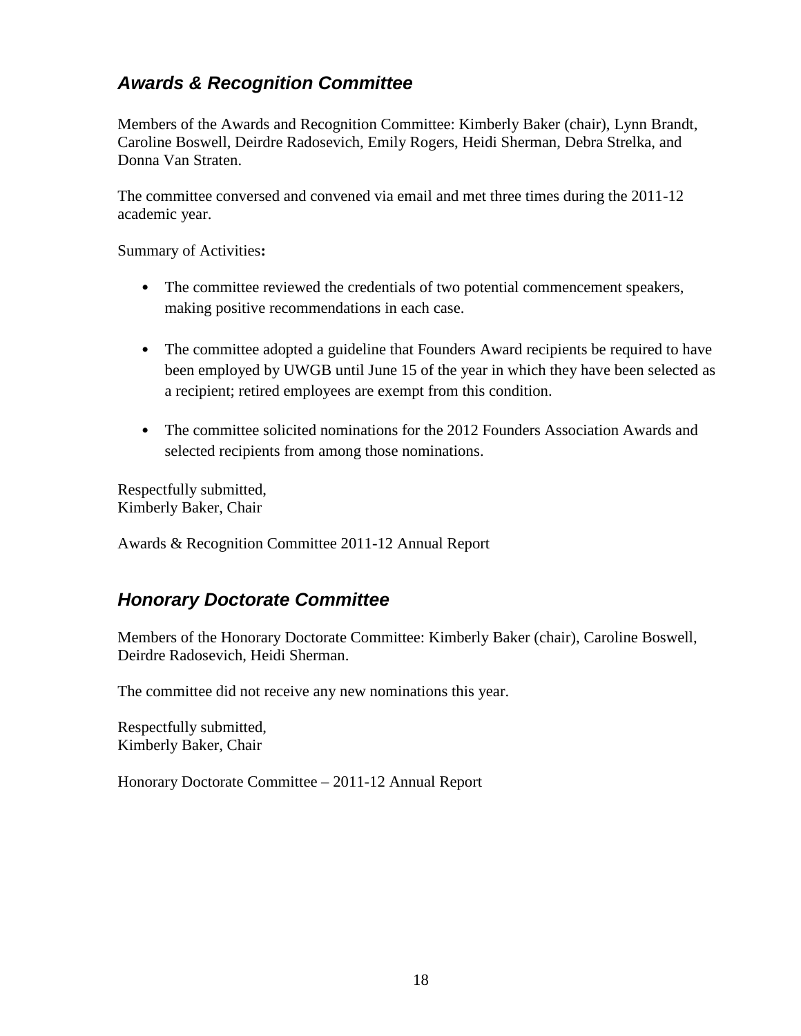# <span id="page-17-0"></span>*Awards & Recognition Committee*

Members of the Awards and Recognition Committee: Kimberly Baker (chair), Lynn Brandt, Caroline Boswell, Deirdre Radosevich, Emily Rogers, Heidi Sherman, Debra Strelka, and Donna Van Straten.

The committee conversed and convened via email and met three times during the 2011-12 academic year.

Summary of Activities**:**

- The committee reviewed the credentials of two potential commencement speakers, making positive recommendations in each case.
- The committee adopted a guideline that Founders Award recipients be required to have been employed by UWGB until June 15 of the year in which they have been selected as a recipient; retired employees are exempt from this condition.
- The committee solicited nominations for the 2012 Founders Association Awards and selected recipients from among those nominations.

Respectfully submitted, Kimberly Baker, Chair

Awards & Recognition Committee 2011-12 Annual Report

### <span id="page-17-1"></span>*Honorary Doctorate Committee*

Members of the Honorary Doctorate Committee: Kimberly Baker (chair), Caroline Boswell, Deirdre Radosevich, Heidi Sherman.

The committee did not receive any new nominations this year.

Respectfully submitted, Kimberly Baker, Chair

Honorary Doctorate Committee – 2011-12 Annual Report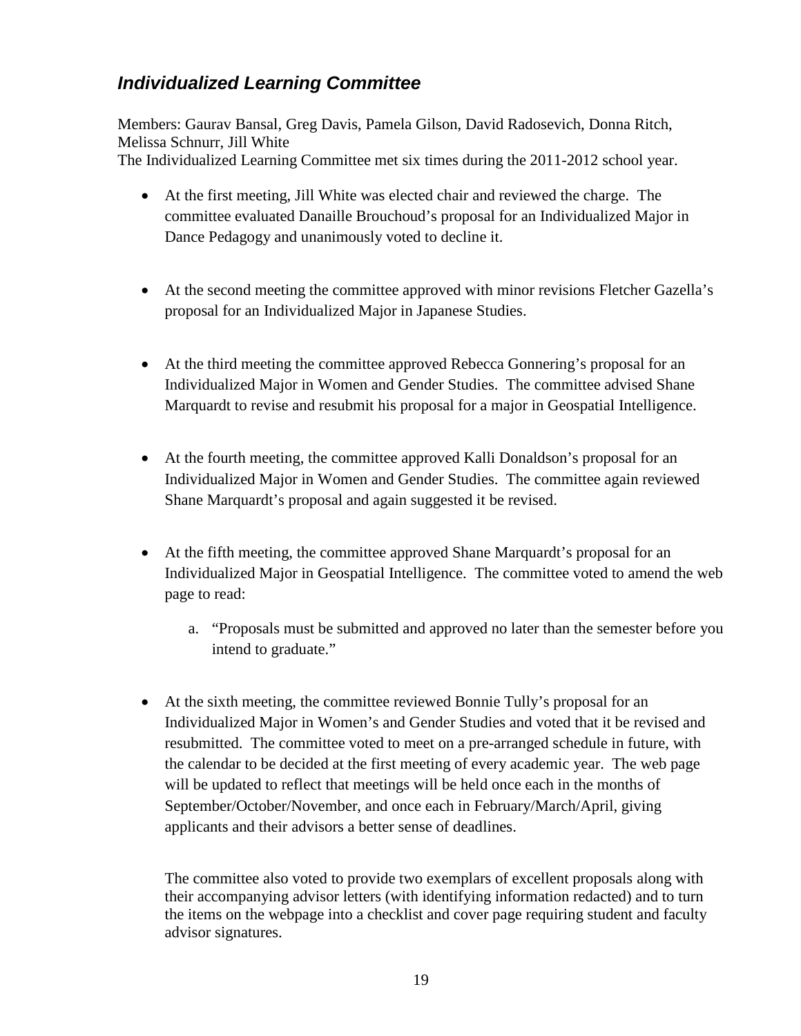# <span id="page-18-0"></span>*Individualized Learning Committee*

Members: Gaurav Bansal, Greg Davis, Pamela Gilson, David Radosevich, Donna Ritch, Melissa Schnurr, Jill White The Individualized Learning Committee met six times during the 2011-2012 school year.

- At the first meeting, Jill White was elected chair and reviewed the charge. The committee evaluated Danaille Brouchoud's proposal for an Individualized Major in Dance Pedagogy and unanimously voted to decline it.
- At the second meeting the committee approved with minor revisions Fletcher Gazella's proposal for an Individualized Major in Japanese Studies.
- At the third meeting the committee approved Rebecca Gonnering's proposal for an Individualized Major in Women and Gender Studies. The committee advised Shane Marquardt to revise and resubmit his proposal for a major in Geospatial Intelligence.
- At the fourth meeting, the committee approved Kalli Donaldson's proposal for an Individualized Major in Women and Gender Studies. The committee again reviewed Shane Marquardt's proposal and again suggested it be revised.
- At the fifth meeting, the committee approved Shane Marquardt's proposal for an Individualized Major in Geospatial Intelligence. The committee voted to amend the web page to read:
	- a. "Proposals must be submitted and approved no later than the semester before you intend to graduate."
- At the sixth meeting, the committee reviewed Bonnie Tully's proposal for an Individualized Major in Women's and Gender Studies and voted that it be revised and resubmitted. The committee voted to meet on a pre-arranged schedule in future, with the calendar to be decided at the first meeting of every academic year. The web page will be updated to reflect that meetings will be held once each in the months of September/October/November, and once each in February/March/April, giving applicants and their advisors a better sense of deadlines.

The committee also voted to provide two exemplars of excellent proposals along with their accompanying advisor letters (with identifying information redacted) and to turn the items on the webpage into a checklist and cover page requiring student and faculty advisor signatures.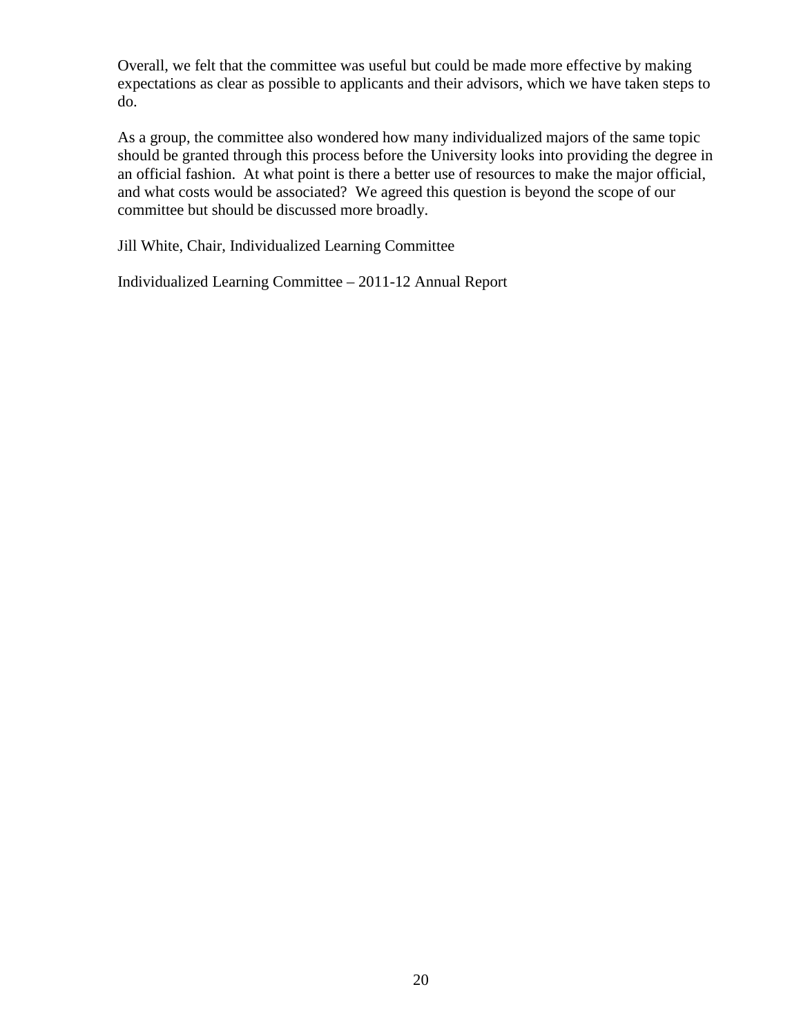Overall, we felt that the committee was useful but could be made more effective by making expectations as clear as possible to applicants and their advisors, which we have taken steps to do.

As a group, the committee also wondered how many individualized majors of the same topic should be granted through this process before the University looks into providing the degree in an official fashion. At what point is there a better use of resources to make the major official, and what costs would be associated? We agreed this question is beyond the scope of our committee but should be discussed more broadly.

Jill White, Chair, Individualized Learning Committee

Individualized Learning Committee – 2011-12 Annual Report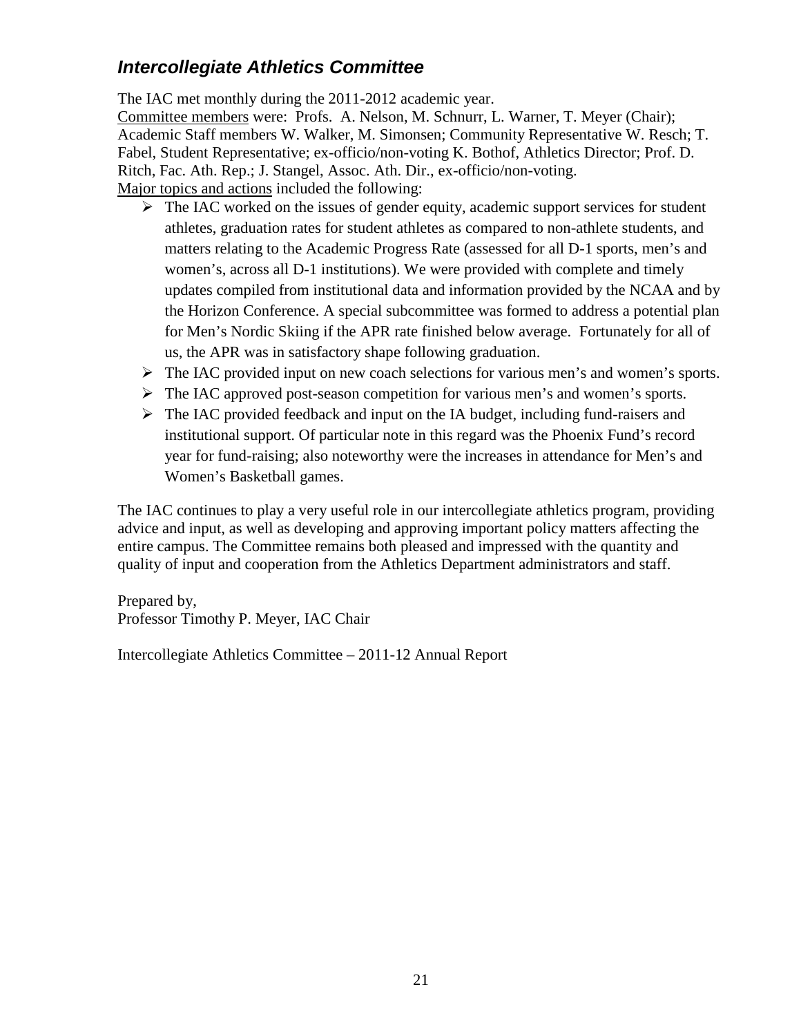# <span id="page-20-0"></span>*Intercollegiate Athletics Committee*

The IAC met monthly during the 2011-2012 academic year.

Committee members were: Profs. A. Nelson, M. Schnurr, L. Warner, T. Meyer (Chair); Academic Staff members W. Walker, M. Simonsen; Community Representative W. Resch; T. Fabel, Student Representative; ex-officio/non-voting K. Bothof, Athletics Director; Prof. D. Ritch, Fac. Ath. Rep.; J. Stangel, Assoc. Ath. Dir., ex-officio/non-voting. Major topics and actions included the following:

- $\triangleright$  The IAC worked on the issues of gender equity, academic support services for student athletes, graduation rates for student athletes as compared to non-athlete students, and matters relating to the Academic Progress Rate (assessed for all D-1 sports, men's and women's, across all D-1 institutions). We were provided with complete and timely updates compiled from institutional data and information provided by the NCAA and by the Horizon Conference. A special subcommittee was formed to address a potential plan for Men's Nordic Skiing if the APR rate finished below average. Fortunately for all of us, the APR was in satisfactory shape following graduation.
- $\triangleright$  The IAC provided input on new coach selections for various men's and women's sports.
- The IAC approved post-season competition for various men's and women's sports.
- $\triangleright$  The IAC provided feedback and input on the IA budget, including fund-raisers and institutional support. Of particular note in this regard was the Phoenix Fund's record year for fund-raising; also noteworthy were the increases in attendance for Men's and Women's Basketball games.

The IAC continues to play a very useful role in our intercollegiate athletics program, providing advice and input, as well as developing and approving important policy matters affecting the entire campus. The Committee remains both pleased and impressed with the quantity and quality of input and cooperation from the Athletics Department administrators and staff.

Prepared by, Professor Timothy P. Meyer, IAC Chair

Intercollegiate Athletics Committee – 2011-12 Annual Report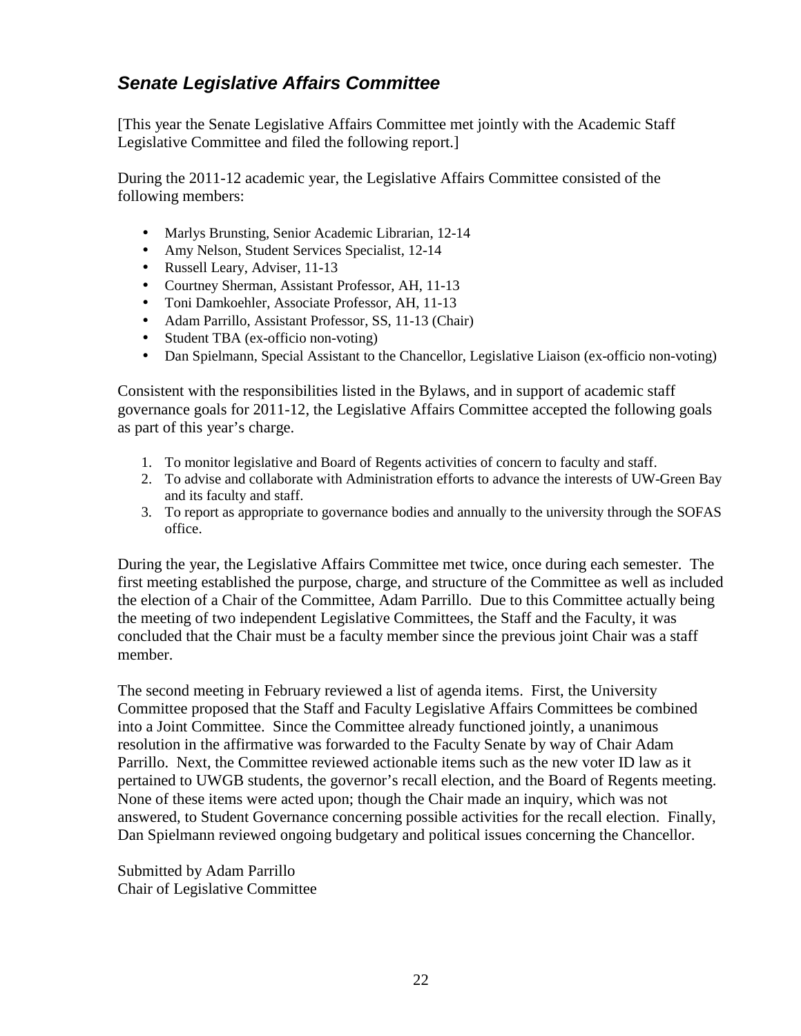# <span id="page-21-0"></span>*Senate Legislative Affairs Committee*

[This year the Senate Legislative Affairs Committee met jointly with the Academic Staff Legislative Committee and filed the following report.]

During the 2011-12 academic year, the Legislative Affairs Committee consisted of the following members:

- Marlys Brunsting, Senior Academic Librarian, 12-14
- Amy Nelson, Student Services Specialist, 12-14
- Russell Leary, Adviser, 11-13
- Courtney Sherman, Assistant Professor, AH, 11-13
- Toni Damkoehler, Associate Professor, AH, 11-13
- Adam Parrillo, Assistant Professor, SS, 11-13 (Chair)
- Student TBA (ex-officio non-voting)
- Dan Spielmann, Special Assistant to the Chancellor, Legislative Liaison (ex-officio non-voting)

Consistent with the responsibilities listed in the Bylaws, and in support of academic staff governance goals for 2011-12, the Legislative Affairs Committee accepted the following goals as part of this year's charge.

- 1. To monitor legislative and Board of Regents activities of concern to faculty and staff.
- 2. To advise and collaborate with Administration efforts to advance the interests of UW-Green Bay and its faculty and staff.
- 3. To report as appropriate to governance bodies and annually to the university through the SOFAS office.

During the year, the Legislative Affairs Committee met twice, once during each semester. The first meeting established the purpose, charge, and structure of the Committee as well as included the election of a Chair of the Committee, Adam Parrillo. Due to this Committee actually being the meeting of two independent Legislative Committees, the Staff and the Faculty, it was concluded that the Chair must be a faculty member since the previous joint Chair was a staff member.

The second meeting in February reviewed a list of agenda items. First, the University Committee proposed that the Staff and Faculty Legislative Affairs Committees be combined into a Joint Committee. Since the Committee already functioned jointly, a unanimous resolution in the affirmative was forwarded to the Faculty Senate by way of Chair Adam Parrillo. Next, the Committee reviewed actionable items such as the new voter ID law as it pertained to UWGB students, the governor's recall election, and the Board of Regents meeting. None of these items were acted upon; though the Chair made an inquiry, which was not answered, to Student Governance concerning possible activities for the recall election. Finally, Dan Spielmann reviewed ongoing budgetary and political issues concerning the Chancellor.

Submitted by Adam Parrillo Chair of Legislative Committee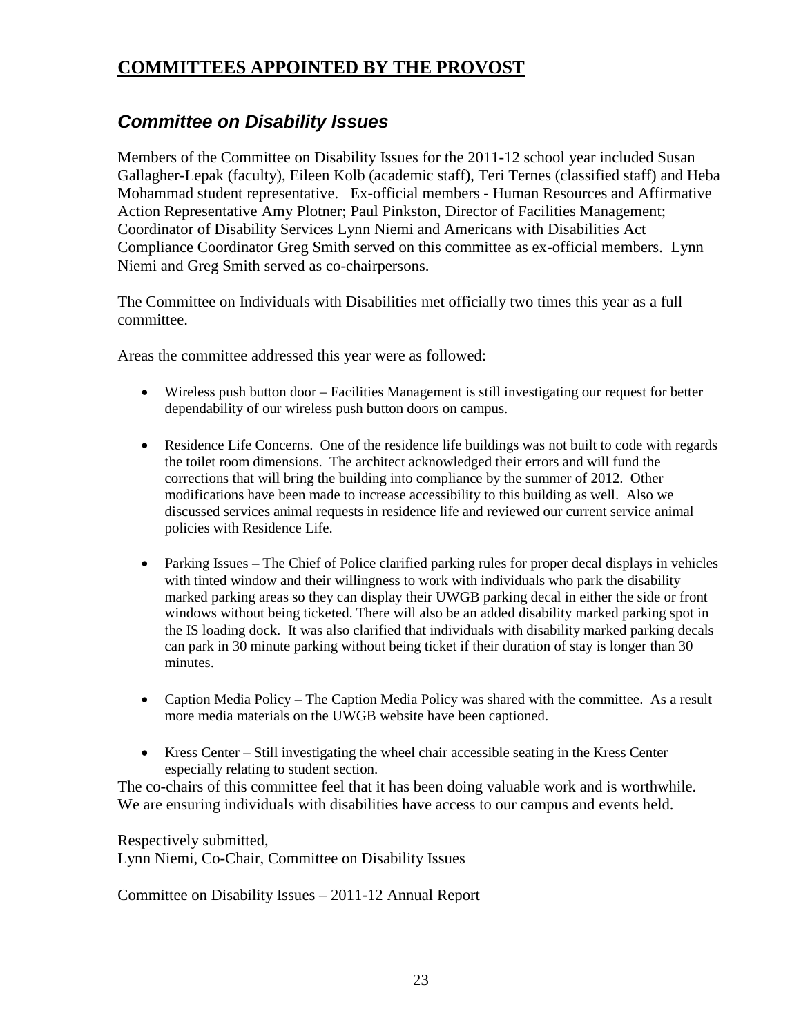# <span id="page-22-0"></span>**COMMITTEES APPOINTED BY THE PROVOST**

### <span id="page-22-1"></span>*Committee on Disability Issues*

Members of the Committee on Disability Issues for the 2011-12 school year included Susan Gallagher-Lepak (faculty), Eileen Kolb (academic staff), Teri Ternes (classified staff) and Heba Mohammad student representative. Ex-official members - Human Resources and Affirmative Action Representative Amy Plotner; Paul Pinkston, Director of Facilities Management; Coordinator of Disability Services Lynn Niemi and Americans with Disabilities Act Compliance Coordinator Greg Smith served on this committee as ex-official members. Lynn Niemi and Greg Smith served as co-chairpersons.

The Committee on Individuals with Disabilities met officially two times this year as a full committee.

Areas the committee addressed this year were as followed:

- Wireless push button door Facilities Management is still investigating our request for better dependability of our wireless push button doors on campus.
- Residence Life Concerns. One of the residence life buildings was not built to code with regards the toilet room dimensions. The architect acknowledged their errors and will fund the corrections that will bring the building into compliance by the summer of 2012. Other modifications have been made to increase accessibility to this building as well. Also we discussed services animal requests in residence life and reviewed our current service animal policies with Residence Life.
- Parking Issues The Chief of Police clarified parking rules for proper decal displays in vehicles with tinted window and their willingness to work with individuals who park the disability marked parking areas so they can display their UWGB parking decal in either the side or front windows without being ticketed. There will also be an added disability marked parking spot in the IS loading dock. It was also clarified that individuals with disability marked parking decals can park in 30 minute parking without being ticket if their duration of stay is longer than 30 minutes.
- Caption Media Policy The Caption Media Policy was shared with the committee. As a result more media materials on the UWGB website have been captioned.
- Kress Center Still investigating the wheel chair accessible seating in the Kress Center especially relating to student section.

The co-chairs of this committee feel that it has been doing valuable work and is worthwhile. We are ensuring individuals with disabilities have access to our campus and events held.

Respectively submitted,

Lynn Niemi, Co-Chair, Committee on Disability Issues

Committee on Disability Issues – 2011-12 Annual Report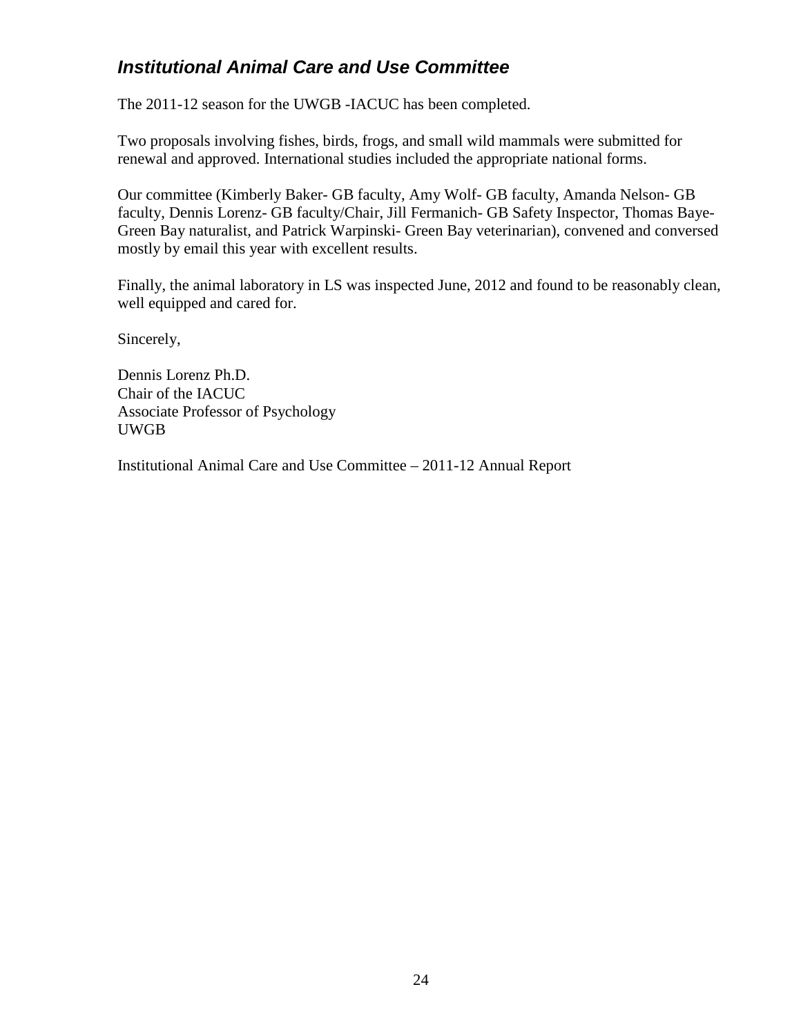# <span id="page-23-0"></span>*Institutional Animal Care and Use Committee*

The 2011-12 season for the UWGB -IACUC has been completed.

Two proposals involving fishes, birds, frogs, and small wild mammals were submitted for renewal and approved. International studies included the appropriate national forms.

Our committee (Kimberly Baker- GB faculty, Amy Wolf- GB faculty, Amanda Nelson- GB faculty, Dennis Lorenz- GB faculty/Chair, Jill Fermanich- GB Safety Inspector, Thomas Baye-Green Bay naturalist, and Patrick Warpinski- Green Bay veterinarian), convened and conversed mostly by email this year with excellent results.

Finally, the animal laboratory in LS was inspected June, 2012 and found to be reasonably clean, well equipped and cared for.

Sincerely,

Dennis Lorenz Ph.D. Chair of the IACUC Associate Professor of Psychology UWGB

Institutional Animal Care and Use Committee – 2011-12 Annual Report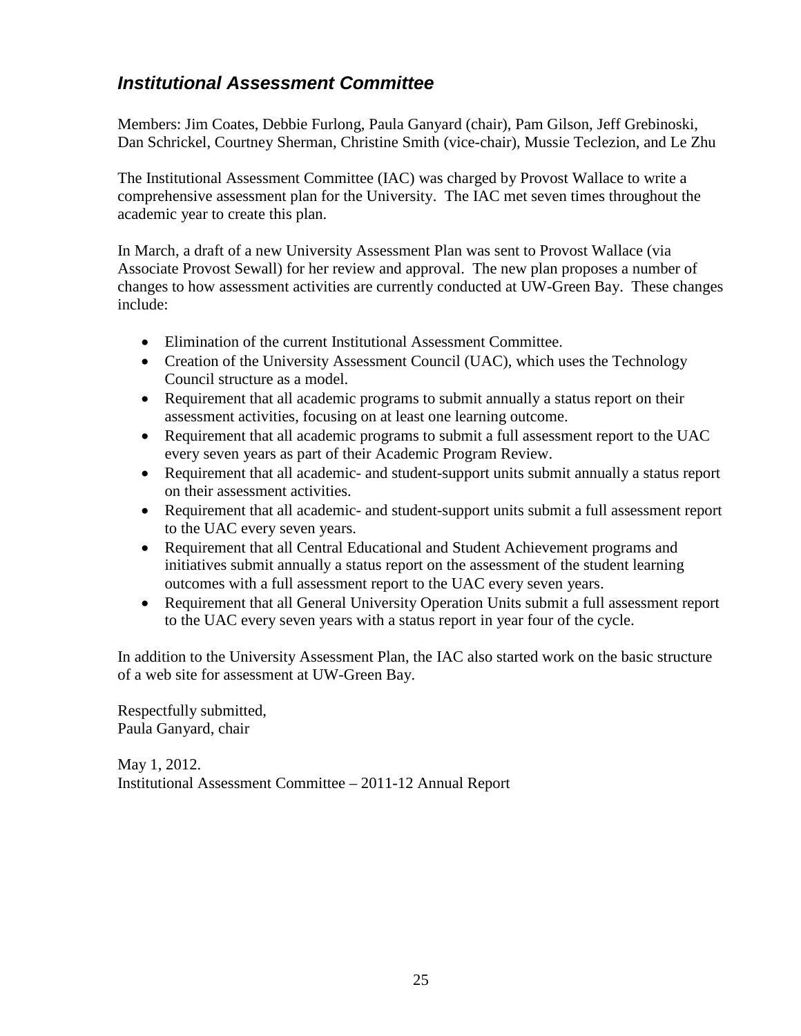# <span id="page-24-0"></span>*Institutional Assessment Committee*

Members: Jim Coates, Debbie Furlong, Paula Ganyard (chair), Pam Gilson, Jeff Grebinoski, Dan Schrickel, Courtney Sherman, Christine Smith (vice-chair), Mussie Teclezion, and Le Zhu

The Institutional Assessment Committee (IAC) was charged by Provost Wallace to write a comprehensive assessment plan for the University. The IAC met seven times throughout the academic year to create this plan.

In March, a draft of a new University Assessment Plan was sent to Provost Wallace (via Associate Provost Sewall) for her review and approval. The new plan proposes a number of changes to how assessment activities are currently conducted at UW-Green Bay. These changes include:

- Elimination of the current Institutional Assessment Committee.
- Creation of the University Assessment Council (UAC), which uses the Technology Council structure as a model.
- Requirement that all academic programs to submit annually a status report on their assessment activities, focusing on at least one learning outcome.
- Requirement that all academic programs to submit a full assessment report to the UAC every seven years as part of their Academic Program Review.
- Requirement that all academic- and student-support units submit annually a status report on their assessment activities.
- Requirement that all academic- and student-support units submit a full assessment report to the UAC every seven years.
- Requirement that all Central Educational and Student Achievement programs and initiatives submit annually a status report on the assessment of the student learning outcomes with a full assessment report to the UAC every seven years.
- Requirement that all General University Operation Units submit a full assessment report to the UAC every seven years with a status report in year four of the cycle.

In addition to the University Assessment Plan, the IAC also started work on the basic structure of a web site for assessment at UW-Green Bay.

Respectfully submitted, Paula Ganyard, chair

May 1, 2012. Institutional Assessment Committee – 2011-12 Annual Report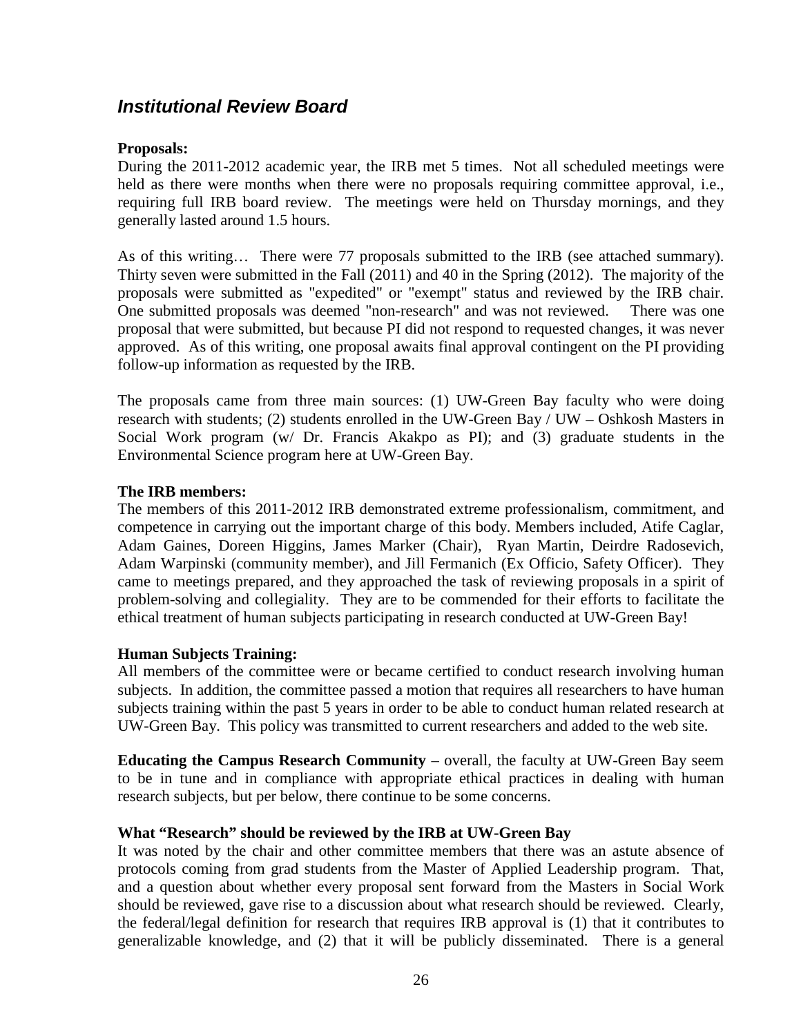### <span id="page-25-0"></span>*Institutional Review Board*

#### **Proposals:**

During the 2011-2012 academic year, the IRB met 5 times. Not all scheduled meetings were held as there were months when there were no proposals requiring committee approval, i.e., requiring full IRB board review. The meetings were held on Thursday mornings, and they generally lasted around 1.5 hours.

As of this writing… There were 77 proposals submitted to the IRB (see attached summary). Thirty seven were submitted in the Fall (2011) and 40 in the Spring (2012). The majority of the proposals were submitted as "expedited" or "exempt" status and reviewed by the IRB chair. One submitted proposals was deemed "non-research" and was not reviewed. There was one proposal that were submitted, but because PI did not respond to requested changes, it was never approved. As of this writing, one proposal awaits final approval contingent on the PI providing follow-up information as requested by the IRB.

The proposals came from three main sources: (1) UW-Green Bay faculty who were doing research with students; (2) students enrolled in the UW-Green Bay / UW – Oshkosh Masters in Social Work program (w/ Dr. Francis Akakpo as PI); and (3) graduate students in the Environmental Science program here at UW-Green Bay.

#### **The IRB members:**

The members of this 2011-2012 IRB demonstrated extreme professionalism, commitment, and competence in carrying out the important charge of this body. Members included, Atife Caglar, Adam Gaines, Doreen Higgins, James Marker (Chair), Ryan Martin, Deirdre Radosevich, Adam Warpinski (community member), and Jill Fermanich (Ex Officio, Safety Officer). They came to meetings prepared, and they approached the task of reviewing proposals in a spirit of problem-solving and collegiality. They are to be commended for their efforts to facilitate the ethical treatment of human subjects participating in research conducted at UW-Green Bay!

#### **Human Subjects Training:**

All members of the committee were or became certified to conduct research involving human subjects. In addition, the committee passed a motion that requires all researchers to have human subjects training within the past 5 years in order to be able to conduct human related research at UW-Green Bay. This policy was transmitted to current researchers and added to the web site.

**Educating the Campus Research Community** – overall, the faculty at UW-Green Bay seem to be in tune and in compliance with appropriate ethical practices in dealing with human research subjects, but per below, there continue to be some concerns.

#### **What "Research" should be reviewed by the IRB at UW-Green Bay**

It was noted by the chair and other committee members that there was an astute absence of protocols coming from grad students from the Master of Applied Leadership program. That, and a question about whether every proposal sent forward from the Masters in Social Work should be reviewed, gave rise to a discussion about what research should be reviewed. Clearly, the federal/legal definition for research that requires IRB approval is (1) that it contributes to generalizable knowledge, and (2) that it will be publicly disseminated. There is a general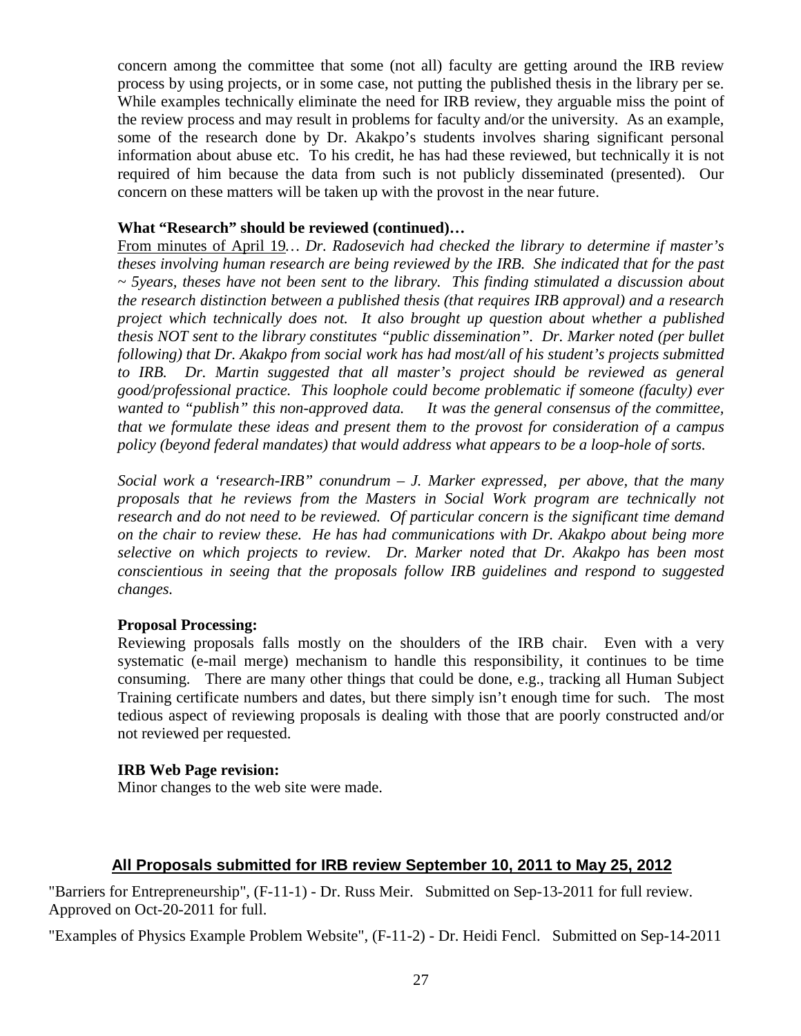concern among the committee that some (not all) faculty are getting around the IRB review process by using projects, or in some case, not putting the published thesis in the library per se. While examples technically eliminate the need for IRB review, they arguable miss the point of the review process and may result in problems for faculty and/or the university. As an example, some of the research done by Dr. Akakpo's students involves sharing significant personal information about abuse etc. To his credit, he has had these reviewed, but technically it is not required of him because the data from such is not publicly disseminated (presented). Our concern on these matters will be taken up with the provost in the near future.

#### **What "Research" should be reviewed (continued)…**

From minutes of April 19*… Dr. Radosevich had checked the library to determine if master's theses involving human research are being reviewed by the IRB. She indicated that for the past ~ 5years, theses have not been sent to the library. This finding stimulated a discussion about the research distinction between a published thesis (that requires IRB approval) and a research project which technically does not. It also brought up question about whether a published thesis NOT sent to the library constitutes "public dissemination". Dr. Marker noted (per bullet following) that Dr. Akakpo from social work has had most/all of his student's projects submitted*  to IRB. Dr. Martin suggested that all master's project should be reviewed as general *good/professional practice. This loophole could become problematic if someone (faculty) ever wanted to "publish" this non-approved data. It was the general consensus of the committee, that we formulate these ideas and present them to the provost for consideration of a campus policy (beyond federal mandates) that would address what appears to be a loop-hole of sorts.*

*Social work a 'research-IRB" conundrum – J. Marker expressed, per above, that the many proposals that he reviews from the Masters in Social Work program are technically not research and do not need to be reviewed. Of particular concern is the significant time demand on the chair to review these. He has had communications with Dr. Akakpo about being more selective on which projects to review. Dr. Marker noted that Dr. Akakpo has been most conscientious in seeing that the proposals follow IRB guidelines and respond to suggested changes.*

#### **Proposal Processing:**

Reviewing proposals falls mostly on the shoulders of the IRB chair. Even with a very systematic (e-mail merge) mechanism to handle this responsibility, it continues to be time consuming. There are many other things that could be done, e.g., tracking all Human Subject Training certificate numbers and dates, but there simply isn't enough time for such. The most tedious aspect of reviewing proposals is dealing with those that are poorly constructed and/or not reviewed per requested.

#### **IRB Web Page revision:**

Minor changes to the web site were made.

#### **All Proposals submitted for IRB review September 10, 2011 to May 25, 2012**

"Barriers for Entrepreneurship", (F-11-1) - Dr. Russ Meir. Submitted on Sep-13-2011 for full review. Approved on Oct-20-2011 for full.

"Examples of Physics Example Problem Website", (F-11-2) - Dr. Heidi Fencl. Submitted on Sep-14-2011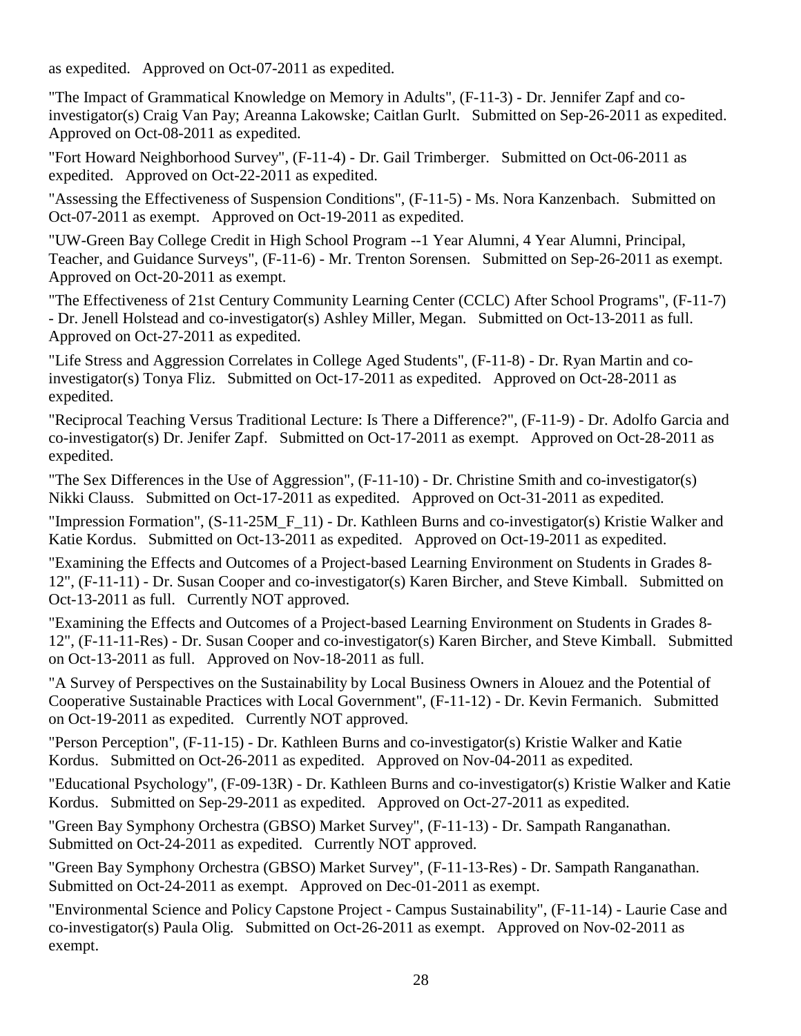as expedited. Approved on Oct-07-2011 as expedited.

"The Impact of Grammatical Knowledge on Memory in Adults", (F-11-3) - Dr. Jennifer Zapf and coinvestigator(s) Craig Van Pay; Areanna Lakowske; Caitlan Gurlt. Submitted on Sep-26-2011 as expedited. Approved on Oct-08-2011 as expedited.

"Fort Howard Neighborhood Survey", (F-11-4) - Dr. Gail Trimberger. Submitted on Oct-06-2011 as expedited. Approved on Oct-22-2011 as expedited.

"Assessing the Effectiveness of Suspension Conditions", (F-11-5) - Ms. Nora Kanzenbach. Submitted on Oct-07-2011 as exempt. Approved on Oct-19-2011 as expedited.

"UW-Green Bay College Credit in High School Program --1 Year Alumni, 4 Year Alumni, Principal, Teacher, and Guidance Surveys", (F-11-6) - Mr. Trenton Sorensen. Submitted on Sep-26-2011 as exempt. Approved on Oct-20-2011 as exempt.

"The Effectiveness of 21st Century Community Learning Center (CCLC) After School Programs", (F-11-7) - Dr. Jenell Holstead and co-investigator(s) Ashley Miller, Megan. Submitted on Oct-13-2011 as full. Approved on Oct-27-2011 as expedited.

"Life Stress and Aggression Correlates in College Aged Students", (F-11-8) - Dr. Ryan Martin and coinvestigator(s) Tonya Fliz. Submitted on Oct-17-2011 as expedited. Approved on Oct-28-2011 as expedited.

"Reciprocal Teaching Versus Traditional Lecture: Is There a Difference?", (F-11-9) - Dr. Adolfo Garcia and co-investigator(s) Dr. Jenifer Zapf. Submitted on Oct-17-2011 as exempt. Approved on Oct-28-2011 as expedited.

"The Sex Differences in the Use of Aggression", (F-11-10) - Dr. Christine Smith and co-investigator(s) Nikki Clauss. Submitted on Oct-17-2011 as expedited. Approved on Oct-31-2011 as expedited.

"Impression Formation", (S-11-25M F 11) - Dr. Kathleen Burns and co-investigator(s) Kristie Walker and Katie Kordus. Submitted on Oct-13-2011 as expedited. Approved on Oct-19-2011 as expedited.

"Examining the Effects and Outcomes of a Project-based Learning Environment on Students in Grades 8- 12", (F-11-11) - Dr. Susan Cooper and co-investigator(s) Karen Bircher, and Steve Kimball. Submitted on Oct-13-2011 as full. Currently NOT approved.

"Examining the Effects and Outcomes of a Project-based Learning Environment on Students in Grades 8- 12", (F-11-11-Res) - Dr. Susan Cooper and co-investigator(s) Karen Bircher, and Steve Kimball. Submitted on Oct-13-2011 as full. Approved on Nov-18-2011 as full.

"A Survey of Perspectives on the Sustainability by Local Business Owners in Alouez and the Potential of Cooperative Sustainable Practices with Local Government", (F-11-12) - Dr. Kevin Fermanich. Submitted on Oct-19-2011 as expedited. Currently NOT approved.

"Person Perception", (F-11-15) - Dr. Kathleen Burns and co-investigator(s) Kristie Walker and Katie Kordus. Submitted on Oct-26-2011 as expedited. Approved on Nov-04-2011 as expedited.

"Educational Psychology", (F-09-13R) - Dr. Kathleen Burns and co-investigator(s) Kristie Walker and Katie Kordus. Submitted on Sep-29-2011 as expedited. Approved on Oct-27-2011 as expedited.

"Green Bay Symphony Orchestra (GBSO) Market Survey", (F-11-13) - Dr. Sampath Ranganathan. Submitted on Oct-24-2011 as expedited. Currently NOT approved.

"Green Bay Symphony Orchestra (GBSO) Market Survey", (F-11-13-Res) - Dr. Sampath Ranganathan. Submitted on Oct-24-2011 as exempt. Approved on Dec-01-2011 as exempt.

"Environmental Science and Policy Capstone Project - Campus Sustainability", (F-11-14) - Laurie Case and co-investigator(s) Paula Olig. Submitted on Oct-26-2011 as exempt. Approved on Nov-02-2011 as exempt.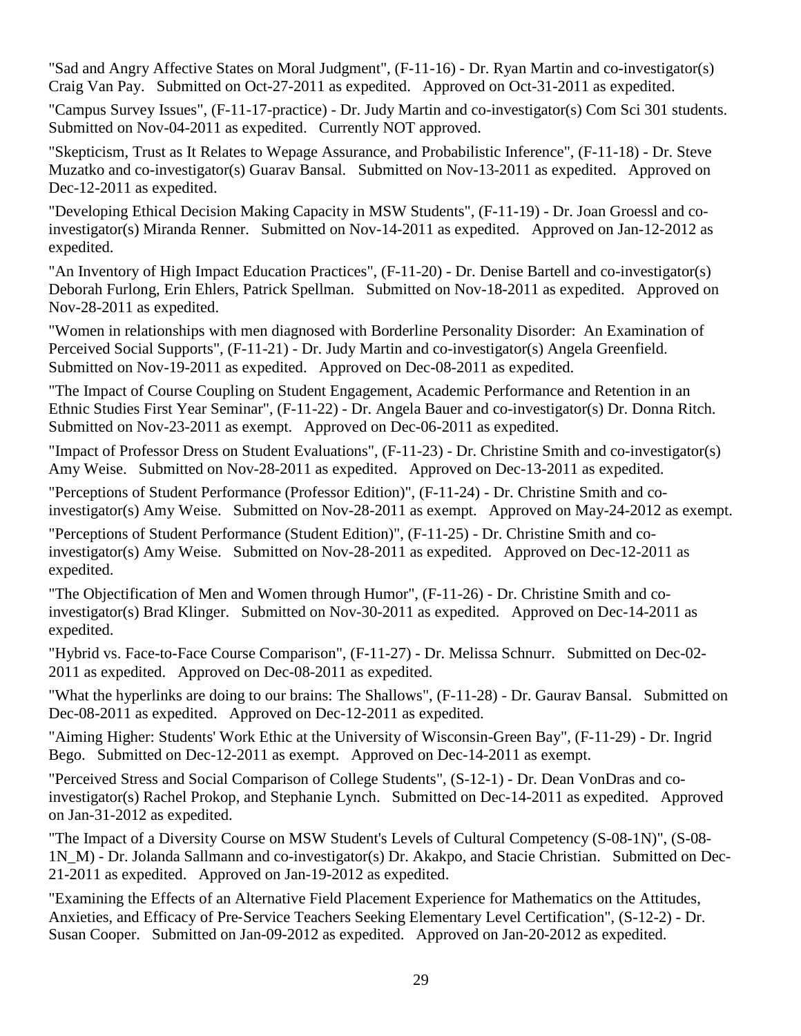"Sad and Angry Affective States on Moral Judgment", (F-11-16) - Dr. Ryan Martin and co-investigator(s) Craig Van Pay. Submitted on Oct-27-2011 as expedited. Approved on Oct-31-2011 as expedited.

"Campus Survey Issues", (F-11-17-practice) - Dr. Judy Martin and co-investigator(s) Com Sci 301 students. Submitted on Nov-04-2011 as expedited. Currently NOT approved.

"Skepticism, Trust as It Relates to Wepage Assurance, and Probabilistic Inference", (F-11-18) - Dr. Steve Muzatko and co-investigator(s) Guarav Bansal. Submitted on Nov-13-2011 as expedited. Approved on Dec-12-2011 as expedited.

"Developing Ethical Decision Making Capacity in MSW Students", (F-11-19) - Dr. Joan Groessl and coinvestigator(s) Miranda Renner. Submitted on Nov-14-2011 as expedited. Approved on Jan-12-2012 as expedited.

"An Inventory of High Impact Education Practices", (F-11-20) - Dr. Denise Bartell and co-investigator(s) Deborah Furlong, Erin Ehlers, Patrick Spellman. Submitted on Nov-18-2011 as expedited. Approved on Nov-28-2011 as expedited.

"Women in relationships with men diagnosed with Borderline Personality Disorder: An Examination of Perceived Social Supports", (F-11-21) - Dr. Judy Martin and co-investigator(s) Angela Greenfield. Submitted on Nov-19-2011 as expedited. Approved on Dec-08-2011 as expedited.

"The Impact of Course Coupling on Student Engagement, Academic Performance and Retention in an Ethnic Studies First Year Seminar", (F-11-22) - Dr. Angela Bauer and co-investigator(s) Dr. Donna Ritch. Submitted on Nov-23-2011 as exempt. Approved on Dec-06-2011 as expedited.

"Impact of Professor Dress on Student Evaluations", (F-11-23) - Dr. Christine Smith and co-investigator(s) Amy Weise. Submitted on Nov-28-2011 as expedited. Approved on Dec-13-2011 as expedited.

"Perceptions of Student Performance (Professor Edition)", (F-11-24) - Dr. Christine Smith and coinvestigator(s) Amy Weise. Submitted on Nov-28-2011 as exempt. Approved on May-24-2012 as exempt.

"Perceptions of Student Performance (Student Edition)", (F-11-25) - Dr. Christine Smith and coinvestigator(s) Amy Weise. Submitted on Nov-28-2011 as expedited. Approved on Dec-12-2011 as expedited.

"The Objectification of Men and Women through Humor", (F-11-26) - Dr. Christine Smith and coinvestigator(s) Brad Klinger. Submitted on Nov-30-2011 as expedited. Approved on Dec-14-2011 as expedited.

"Hybrid vs. Face-to-Face Course Comparison", (F-11-27) - Dr. Melissa Schnurr. Submitted on Dec-02- 2011 as expedited. Approved on Dec-08-2011 as expedited.

"What the hyperlinks are doing to our brains: The Shallows", (F-11-28) - Dr. Gaurav Bansal. Submitted on Dec-08-2011 as expedited. Approved on Dec-12-2011 as expedited.

"Aiming Higher: Students' Work Ethic at the University of Wisconsin-Green Bay", (F-11-29) - Dr. Ingrid Bego. Submitted on Dec-12-2011 as exempt. Approved on Dec-14-2011 as exempt.

"Perceived Stress and Social Comparison of College Students", (S-12-1) - Dr. Dean VonDras and coinvestigator(s) Rachel Prokop, and Stephanie Lynch. Submitted on Dec-14-2011 as expedited. Approved on Jan-31-2012 as expedited.

"The Impact of a Diversity Course on MSW Student's Levels of Cultural Competency (S-08-1N)", (S-08- 1N\_M) - Dr. Jolanda Sallmann and co-investigator(s) Dr. Akakpo, and Stacie Christian. Submitted on Dec-21-2011 as expedited. Approved on Jan-19-2012 as expedited.

"Examining the Effects of an Alternative Field Placement Experience for Mathematics on the Attitudes, Anxieties, and Efficacy of Pre‐Service Teachers Seeking Elementary Level Certification", (S-12-2) - Dr. Susan Cooper. Submitted on Jan-09-2012 as expedited. Approved on Jan-20-2012 as expedited.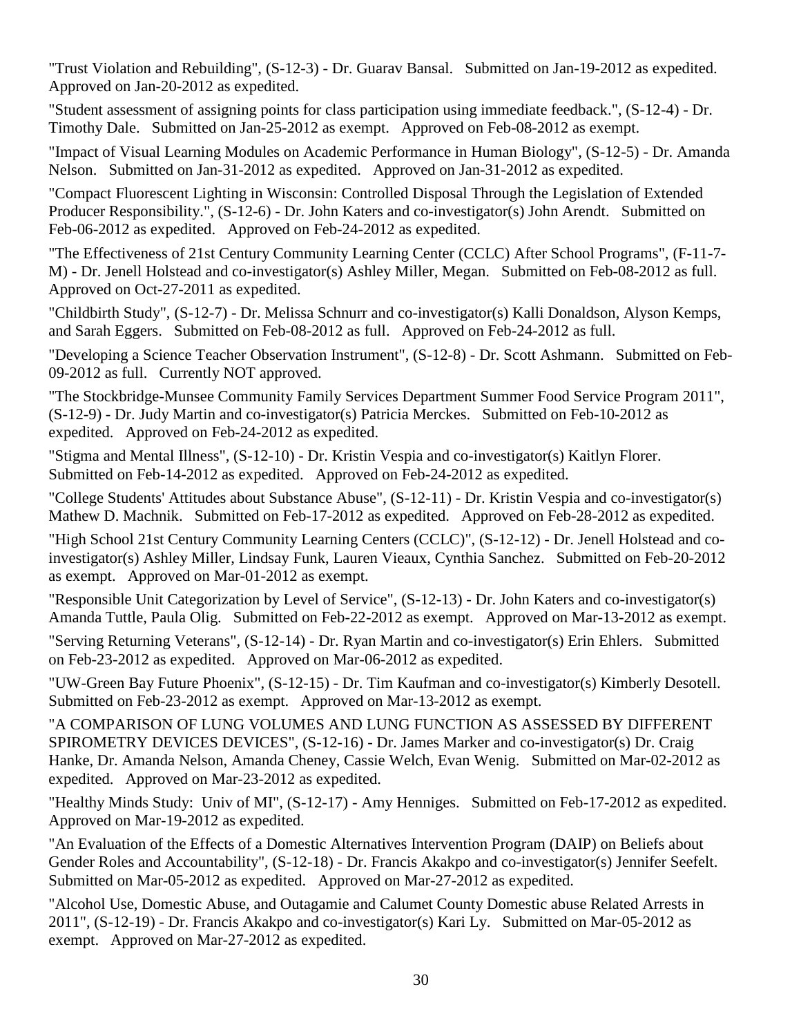"Trust Violation and Rebuilding", (S-12-3) - Dr. Guarav Bansal. Submitted on Jan-19-2012 as expedited. Approved on Jan-20-2012 as expedited.

"Student assessment of assigning points for class participation using immediate feedback.", (S-12-4) - Dr. Timothy Dale. Submitted on Jan-25-2012 as exempt. Approved on Feb-08-2012 as exempt.

"Impact of Visual Learning Modules on Academic Performance in Human Biology", (S-12-5) - Dr. Amanda Nelson. Submitted on Jan-31-2012 as expedited. Approved on Jan-31-2012 as expedited.

"Compact Fluorescent Lighting in Wisconsin: Controlled Disposal Through the Legislation of Extended Producer Responsibility.", (S-12-6) - Dr. John Katers and co-investigator(s) John Arendt. Submitted on Feb-06-2012 as expedited. Approved on Feb-24-2012 as expedited.

"The Effectiveness of 21st Century Community Learning Center (CCLC) After School Programs", (F-11-7- M) - Dr. Jenell Holstead and co-investigator(s) Ashley Miller, Megan. Submitted on Feb-08-2012 as full. Approved on Oct-27-2011 as expedited.

"Childbirth Study", (S-12-7) - Dr. Melissa Schnurr and co-investigator(s) Kalli Donaldson, Alyson Kemps, and Sarah Eggers. Submitted on Feb-08-2012 as full. Approved on Feb-24-2012 as full.

"Developing a Science Teacher Observation Instrument", (S-12-8) - Dr. Scott Ashmann. Submitted on Feb-09-2012 as full. Currently NOT approved.

"The Stockbridge-Munsee Community Family Services Department Summer Food Service Program 2011", (S-12-9) - Dr. Judy Martin and co-investigator(s) Patricia Merckes. Submitted on Feb-10-2012 as expedited. Approved on Feb-24-2012 as expedited.

"Stigma and Mental Illness", (S-12-10) - Dr. Kristin Vespia and co-investigator(s) Kaitlyn Florer. Submitted on Feb-14-2012 as expedited. Approved on Feb-24-2012 as expedited.

"College Students' Attitudes about Substance Abuse", (S-12-11) - Dr. Kristin Vespia and co-investigator(s) Mathew D. Machnik. Submitted on Feb-17-2012 as expedited. Approved on Feb-28-2012 as expedited.

"High School 21st Century Community Learning Centers (CCLC)", (S-12-12) - Dr. Jenell Holstead and coinvestigator(s) Ashley Miller, Lindsay Funk, Lauren Vieaux, Cynthia Sanchez. Submitted on Feb-20-2012 as exempt. Approved on Mar-01-2012 as exempt.

"Responsible Unit Categorization by Level of Service", (S-12-13) - Dr. John Katers and co-investigator(s) Amanda Tuttle, Paula Olig. Submitted on Feb-22-2012 as exempt. Approved on Mar-13-2012 as exempt.

"Serving Returning Veterans", (S-12-14) - Dr. Ryan Martin and co-investigator(s) Erin Ehlers. Submitted on Feb-23-2012 as expedited. Approved on Mar-06-2012 as expedited.

"UW-Green Bay Future Phoenix", (S-12-15) - Dr. Tim Kaufman and co-investigator(s) Kimberly Desotell. Submitted on Feb-23-2012 as exempt. Approved on Mar-13-2012 as exempt.

"A COMPARISON OF LUNG VOLUMES AND LUNG FUNCTION AS ASSESSED BY DIFFERENT SPIROMETRY DEVICES DEVICES", (S-12-16) - Dr. James Marker and co-investigator(s) Dr. Craig Hanke, Dr. Amanda Nelson, Amanda Cheney, Cassie Welch, Evan Wenig. Submitted on Mar-02-2012 as expedited. Approved on Mar-23-2012 as expedited.

"Healthy Minds Study: Univ of MI", (S-12-17) - Amy Henniges. Submitted on Feb-17-2012 as expedited. Approved on Mar-19-2012 as expedited.

"An Evaluation of the Effects of a Domestic Alternatives Intervention Program (DAIP) on Beliefs about Gender Roles and Accountability", (S-12-18) - Dr. Francis Akakpo and co-investigator(s) Jennifer Seefelt. Submitted on Mar-05-2012 as expedited. Approved on Mar-27-2012 as expedited.

"Alcohol Use, Domestic Abuse, and Outagamie and Calumet County Domestic abuse Related Arrests in 2011", (S-12-19) - Dr. Francis Akakpo and co-investigator(s) Kari Ly. Submitted on Mar-05-2012 as exempt. Approved on Mar-27-2012 as expedited.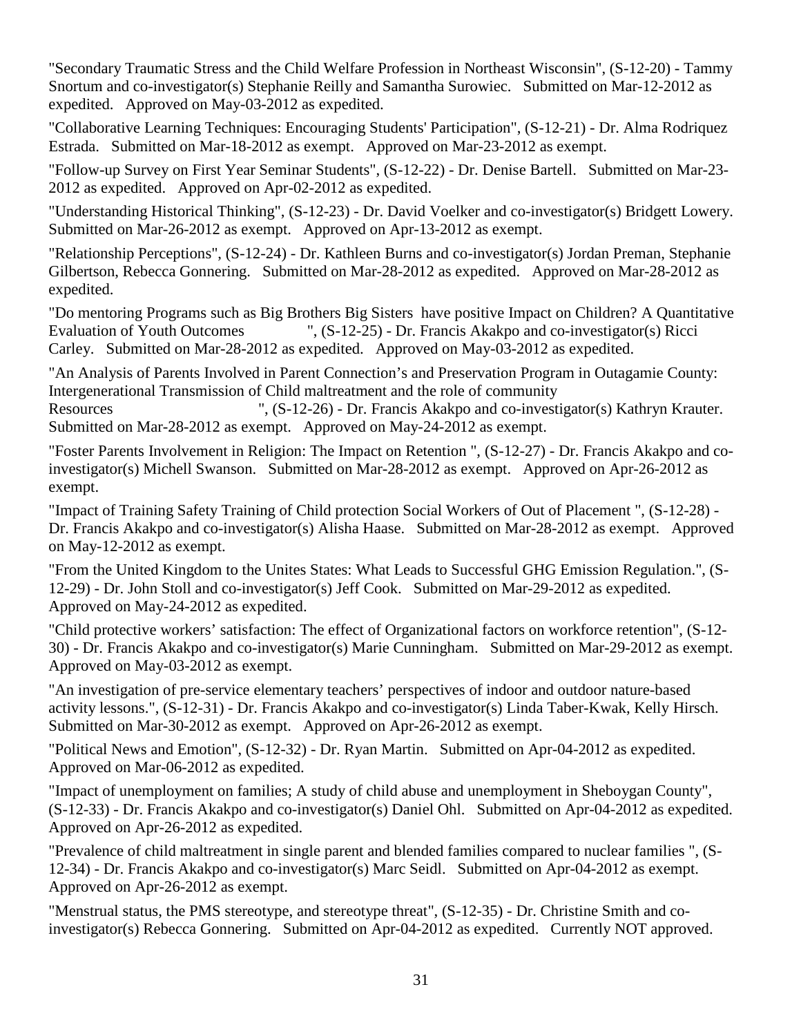"Secondary Traumatic Stress and the Child Welfare Profession in Northeast Wisconsin", (S-12-20) - Tammy Snortum and co-investigator(s) Stephanie Reilly and Samantha Surowiec. Submitted on Mar-12-2012 as expedited. Approved on May-03-2012 as expedited.

"Collaborative Learning Techniques: Encouraging Students' Participation", (S-12-21) - Dr. Alma Rodriquez Estrada. Submitted on Mar-18-2012 as exempt. Approved on Mar-23-2012 as exempt.

"Follow-up Survey on First Year Seminar Students", (S-12-22) - Dr. Denise Bartell. Submitted on Mar-23- 2012 as expedited. Approved on Apr-02-2012 as expedited.

"Understanding Historical Thinking", (S-12-23) - Dr. David Voelker and co-investigator(s) Bridgett Lowery. Submitted on Mar-26-2012 as exempt. Approved on Apr-13-2012 as exempt.

"Relationship Perceptions", (S-12-24) - Dr. Kathleen Burns and co-investigator(s) Jordan Preman, Stephanie Gilbertson, Rebecca Gonnering. Submitted on Mar-28-2012 as expedited. Approved on Mar-28-2012 as expedited.

"Do mentoring Programs such as Big Brothers Big Sisters have positive Impact on Children? A Quantitative Evaluation of Youth Outcomes ", (S-12-25) - Dr. Francis Akakpo and co-investigator(s) Ricci Carley. Submitted on Mar-28-2012 as expedited. Approved on May-03-2012 as expedited.

"An Analysis of Parents Involved in Parent Connection's and Preservation Program in Outagamie County: Intergenerational Transmission of Child maltreatment and the role of community

Resources ", (S-12-26) - Dr. Francis Akakpo and co-investigator(s) Kathryn Krauter. Submitted on Mar-28-2012 as exempt. Approved on May-24-2012 as exempt.

"Foster Parents Involvement in Religion: The Impact on Retention ", (S-12-27) - Dr. Francis Akakpo and coinvestigator(s) Michell Swanson. Submitted on Mar-28-2012 as exempt. Approved on Apr-26-2012 as exempt.

"Impact of Training Safety Training of Child protection Social Workers of Out of Placement ", (S-12-28) - Dr. Francis Akakpo and co-investigator(s) Alisha Haase. Submitted on Mar-28-2012 as exempt. Approved on May-12-2012 as exempt.

"From the United Kingdom to the Unites States: What Leads to Successful GHG Emission Regulation.", (S-12-29) - Dr. John Stoll and co-investigator(s) Jeff Cook. Submitted on Mar-29-2012 as expedited. Approved on May-24-2012 as expedited.

"Child protective workers' satisfaction: The effect of Organizational factors on workforce retention", (S-12- 30) - Dr. Francis Akakpo and co-investigator(s) Marie Cunningham. Submitted on Mar-29-2012 as exempt. Approved on May-03-2012 as exempt.

"An investigation of pre-service elementary teachers' perspectives of indoor and outdoor nature-based activity lessons.", (S-12-31) - Dr. Francis Akakpo and co-investigator(s) Linda Taber-Kwak, Kelly Hirsch. Submitted on Mar-30-2012 as exempt. Approved on Apr-26-2012 as exempt.

"Political News and Emotion", (S-12-32) - Dr. Ryan Martin. Submitted on Apr-04-2012 as expedited. Approved on Mar-06-2012 as expedited.

"Impact of unemployment on families; A study of child abuse and unemployment in Sheboygan County", (S-12-33) - Dr. Francis Akakpo and co-investigator(s) Daniel Ohl. Submitted on Apr-04-2012 as expedited. Approved on Apr-26-2012 as expedited.

"Prevalence of child maltreatment in single parent and blended families compared to nuclear families ", (S-12-34) - Dr. Francis Akakpo and co-investigator(s) Marc Seidl. Submitted on Apr-04-2012 as exempt. Approved on Apr-26-2012 as exempt.

"Menstrual status, the PMS stereotype, and stereotype threat", (S-12-35) - Dr. Christine Smith and coinvestigator(s) Rebecca Gonnering. Submitted on Apr-04-2012 as expedited. Currently NOT approved.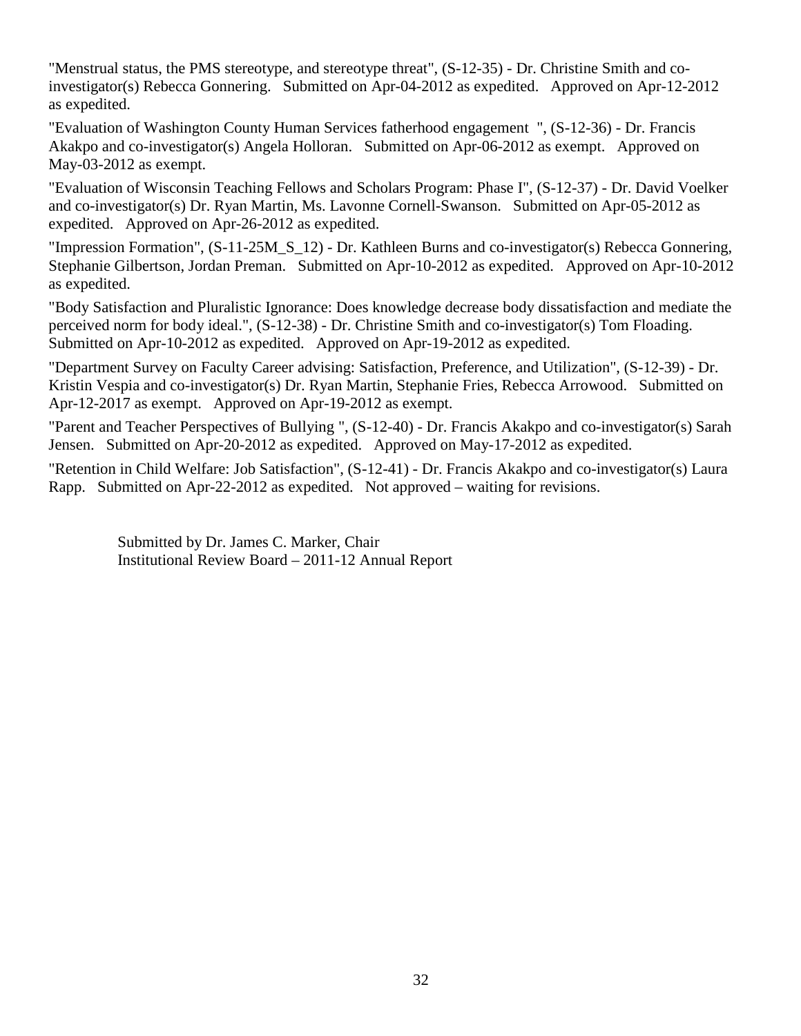"Menstrual status, the PMS stereotype, and stereotype threat", (S-12-35) - Dr. Christine Smith and coinvestigator(s) Rebecca Gonnering. Submitted on Apr-04-2012 as expedited. Approved on Apr-12-2012 as expedited.

"Evaluation of Washington County Human Services fatherhood engagement ", (S-12-36) - Dr. Francis Akakpo and co-investigator(s) Angela Holloran. Submitted on Apr-06-2012 as exempt. Approved on May-03-2012 as exempt.

"Evaluation of Wisconsin Teaching Fellows and Scholars Program: Phase I", (S-12-37) - Dr. David Voelker and co-investigator(s) Dr. Ryan Martin, Ms. Lavonne Cornell-Swanson. Submitted on Apr-05-2012 as expedited. Approved on Apr-26-2012 as expedited.

"Impression Formation", (S-11-25M\_S\_12) - Dr. Kathleen Burns and co-investigator(s) Rebecca Gonnering, Stephanie Gilbertson, Jordan Preman. Submitted on Apr-10-2012 as expedited. Approved on Apr-10-2012 as expedited.

"Body Satisfaction and Pluralistic Ignorance: Does knowledge decrease body dissatisfaction and mediate the perceived norm for body ideal.", (S-12-38) - Dr. Christine Smith and co-investigator(s) Tom Floading. Submitted on Apr-10-2012 as expedited. Approved on Apr-19-2012 as expedited.

"Department Survey on Faculty Career advising: Satisfaction, Preference, and Utilization", (S-12-39) - Dr. Kristin Vespia and co-investigator(s) Dr. Ryan Martin, Stephanie Fries, Rebecca Arrowood. Submitted on Apr-12-2017 as exempt. Approved on Apr-19-2012 as exempt.

"Parent and Teacher Perspectives of Bullying ", (S-12-40) - Dr. Francis Akakpo and co-investigator(s) Sarah Jensen. Submitted on Apr-20-2012 as expedited. Approved on May-17-2012 as expedited.

"Retention in Child Welfare: Job Satisfaction", (S-12-41) - Dr. Francis Akakpo and co-investigator(s) Laura Rapp. Submitted on Apr-22-2012 as expedited. Not approved – waiting for revisions.

Submitted by Dr. James C. Marker, Chair Institutional Review Board – 2011-12 Annual Report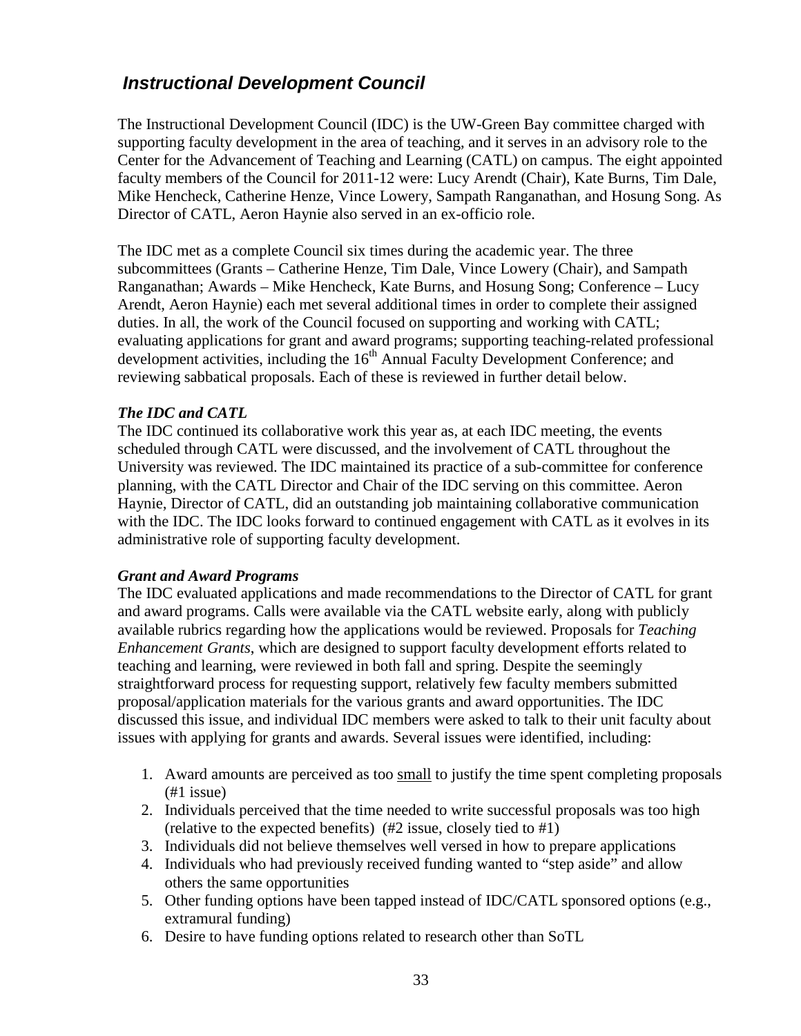### <span id="page-32-0"></span>*Instructional Development Council*

The Instructional Development Council (IDC) is the UW-Green Bay committee charged with supporting faculty development in the area of teaching, and it serves in an advisory role to the Center for the Advancement of Teaching and Learning (CATL) on campus. The eight appointed faculty members of the Council for 2011-12 were: Lucy Arendt (Chair), Kate Burns, Tim Dale, Mike Hencheck, Catherine Henze, Vince Lowery, Sampath Ranganathan, and Hosung Song. As Director of CATL, Aeron Haynie also served in an ex-officio role.

The IDC met as a complete Council six times during the academic year. The three subcommittees (Grants – Catherine Henze, Tim Dale, Vince Lowery (Chair), and Sampath Ranganathan; Awards – Mike Hencheck, Kate Burns, and Hosung Song; Conference – Lucy Arendt, Aeron Haynie) each met several additional times in order to complete their assigned duties. In all, the work of the Council focused on supporting and working with CATL; evaluating applications for grant and award programs; supporting teaching-related professional development activities, including the 16<sup>th</sup> Annual Faculty Development Conference; and reviewing sabbatical proposals. Each of these is reviewed in further detail below.

#### *The IDC and CATL*

The IDC continued its collaborative work this year as, at each IDC meeting, the events scheduled through CATL were discussed, and the involvement of CATL throughout the University was reviewed. The IDC maintained its practice of a sub-committee for conference planning, with the CATL Director and Chair of the IDC serving on this committee. Aeron Haynie, Director of CATL, did an outstanding job maintaining collaborative communication with the IDC. The IDC looks forward to continued engagement with CATL as it evolves in its administrative role of supporting faculty development.

#### *Grant and Award Programs*

The IDC evaluated applications and made recommendations to the Director of CATL for grant and award programs. Calls were available via the CATL website early, along with publicly available rubrics regarding how the applications would be reviewed. Proposals for *Teaching Enhancement Grants*, which are designed to support faculty development efforts related to teaching and learning, were reviewed in both fall and spring. Despite the seemingly straightforward process for requesting support, relatively few faculty members submitted proposal/application materials for the various grants and award opportunities. The IDC discussed this issue, and individual IDC members were asked to talk to their unit faculty about issues with applying for grants and awards. Several issues were identified, including:

- 1. Award amounts are perceived as too small to justify the time spent completing proposals (#1 issue)
- 2. Individuals perceived that the time needed to write successful proposals was too high (relative to the expected benefits) (#2 issue, closely tied to #1)
- 3. Individuals did not believe themselves well versed in how to prepare applications
- 4. Individuals who had previously received funding wanted to "step aside" and allow others the same opportunities
- 5. Other funding options have been tapped instead of IDC/CATL sponsored options (e.g., extramural funding)
- 6. Desire to have funding options related to research other than SoTL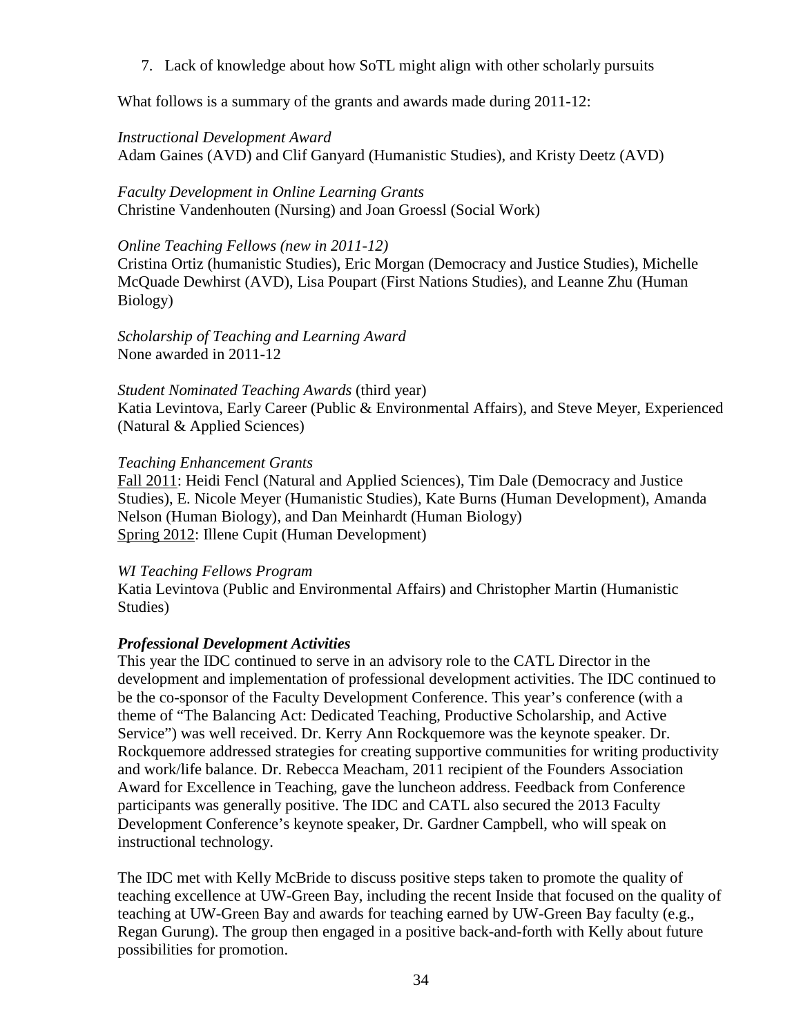7. Lack of knowledge about how SoTL might align with other scholarly pursuits

What follows is a summary of the grants and awards made during 2011-12:

#### *Instructional Development Award*

Adam Gaines (AVD) and Clif Ganyard (Humanistic Studies), and Kristy Deetz (AVD)

### *Faculty Development in Online Learning Grants*

Christine Vandenhouten (Nursing) and Joan Groessl (Social Work)

#### *Online Teaching Fellows (new in 2011-12)*

Cristina Ortiz (humanistic Studies), Eric Morgan (Democracy and Justice Studies), Michelle McQuade Dewhirst (AVD), Lisa Poupart (First Nations Studies), and Leanne Zhu (Human Biology)

*Scholarship of Teaching and Learning Award* None awarded in 2011-12

#### *Student Nominated Teaching Awards* (third year)

Katia Levintova, Early Career (Public & Environmental Affairs), and Steve Meyer, Experienced (Natural & Applied Sciences)

#### *Teaching Enhancement Grants*

Fall 2011: Heidi Fencl (Natural and Applied Sciences), Tim Dale (Democracy and Justice Studies), E. Nicole Meyer (Humanistic Studies), Kate Burns (Human Development), Amanda Nelson (Human Biology), and Dan Meinhardt (Human Biology) Spring 2012: Illene Cupit (Human Development)

#### *WI Teaching Fellows Program*

Katia Levintova (Public and Environmental Affairs) and Christopher Martin (Humanistic Studies)

#### *Professional Development Activities*

This year the IDC continued to serve in an advisory role to the CATL Director in the development and implementation of professional development activities. The IDC continued to be the co-sponsor of the Faculty Development Conference. This year's conference (with a theme of "The Balancing Act: Dedicated Teaching, Productive Scholarship, and Active Service") was well received. Dr. Kerry Ann Rockquemore was the keynote speaker. Dr. Rockquemore addressed strategies for creating supportive communities for writing productivity and work/life balance. Dr. Rebecca Meacham, 2011 recipient of the Founders Association Award for Excellence in Teaching, gave the luncheon address. Feedback from Conference participants was generally positive. The IDC and CATL also secured the 2013 Faculty Development Conference's keynote speaker, Dr. Gardner Campbell, who will speak on instructional technology.

The IDC met with Kelly McBride to discuss positive steps taken to promote the quality of teaching excellence at UW-Green Bay, including the recent Inside that focused on the quality of teaching at UW-Green Bay and awards for teaching earned by UW-Green Bay faculty (e.g., Regan Gurung). The group then engaged in a positive back-and-forth with Kelly about future possibilities for promotion.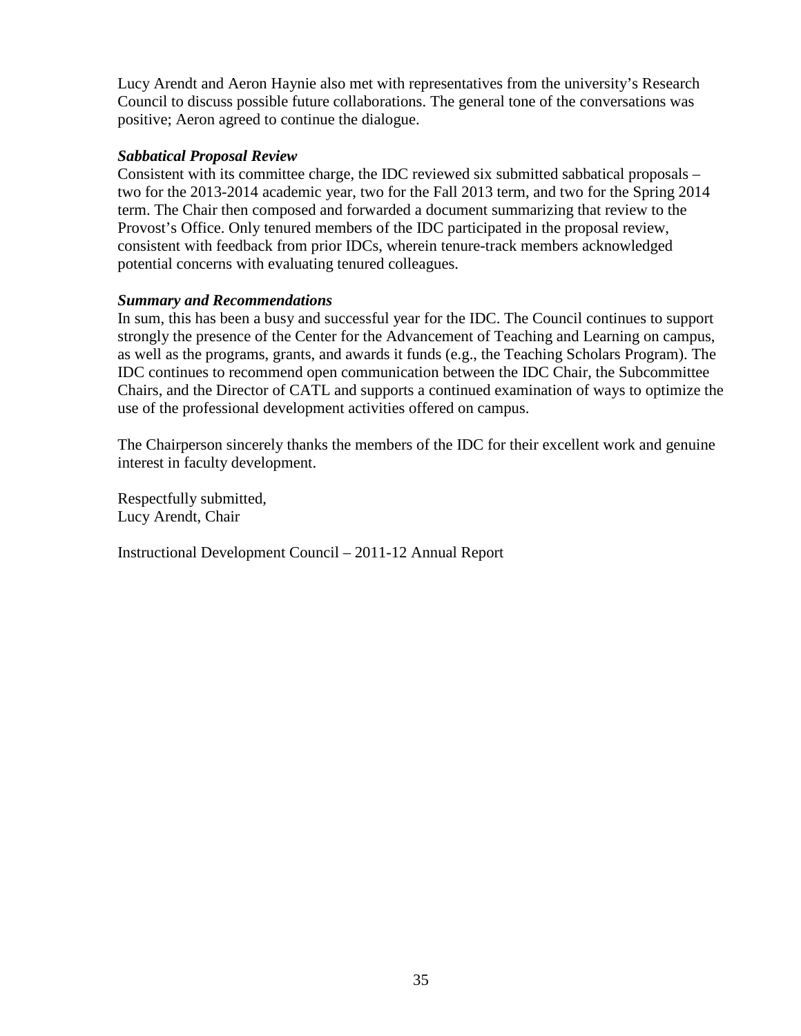Lucy Arendt and Aeron Haynie also met with representatives from the university's Research Council to discuss possible future collaborations. The general tone of the conversations was positive; Aeron agreed to continue the dialogue.

#### *Sabbatical Proposal Review*

Consistent with its committee charge, the IDC reviewed six submitted sabbatical proposals – two for the 2013-2014 academic year, two for the Fall 2013 term, and two for the Spring 2014 term. The Chair then composed and forwarded a document summarizing that review to the Provost's Office. Only tenured members of the IDC participated in the proposal review, consistent with feedback from prior IDCs, wherein tenure-track members acknowledged potential concerns with evaluating tenured colleagues.

#### *Summary and Recommendations*

In sum, this has been a busy and successful year for the IDC. The Council continues to support strongly the presence of the Center for the Advancement of Teaching and Learning on campus, as well as the programs, grants, and awards it funds (e.g., the Teaching Scholars Program). The IDC continues to recommend open communication between the IDC Chair, the Subcommittee Chairs, and the Director of CATL and supports a continued examination of ways to optimize the use of the professional development activities offered on campus.

The Chairperson sincerely thanks the members of the IDC for their excellent work and genuine interest in faculty development.

Respectfully submitted, Lucy Arendt, Chair

Instructional Development Council – 2011-12 Annual Report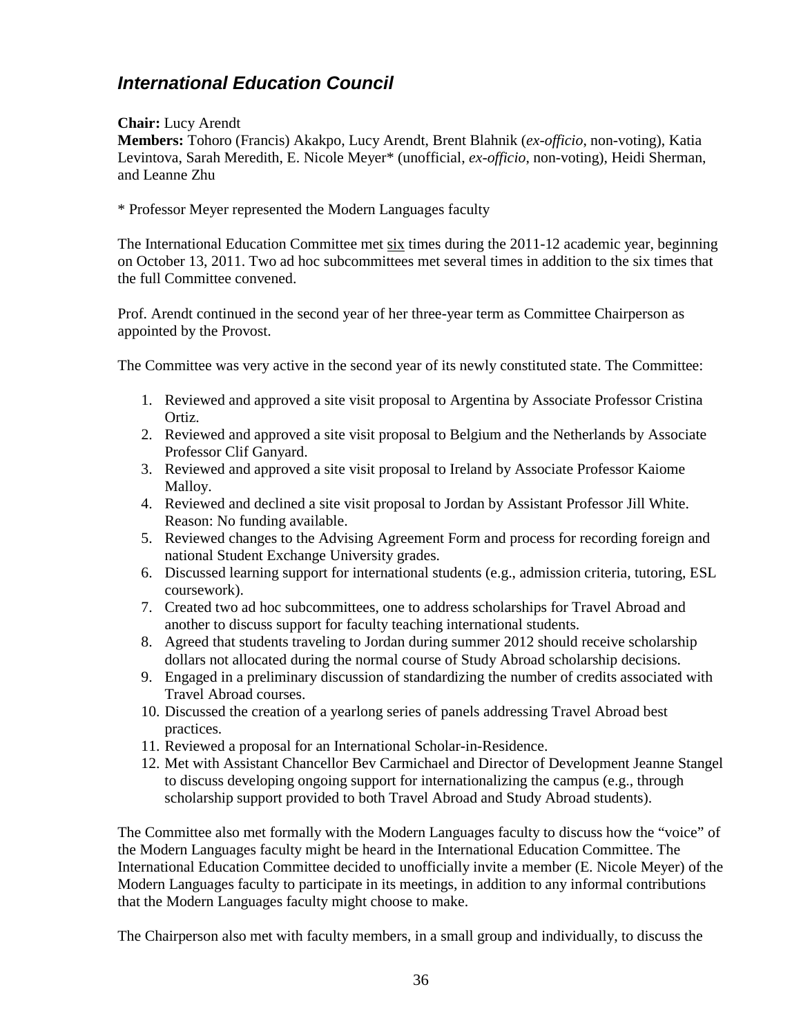# <span id="page-35-0"></span>*International Education Council*

#### **Chair:** Lucy Arendt

**Members:** Tohoro (Francis) Akakpo, Lucy Arendt, Brent Blahnik (*ex-officio*, non-voting), Katia Levintova, Sarah Meredith, E. Nicole Meyer\* (unofficial, *ex-officio*, non-voting), Heidi Sherman, and Leanne Zhu

\* Professor Meyer represented the Modern Languages faculty

The International Education Committee met six times during the 2011-12 academic year, beginning on October 13, 2011. Two ad hoc subcommittees met several times in addition to the six times that the full Committee convened.

Prof. Arendt continued in the second year of her three-year term as Committee Chairperson as appointed by the Provost.

The Committee was very active in the second year of its newly constituted state. The Committee:

- 1. Reviewed and approved a site visit proposal to Argentina by Associate Professor Cristina Ortiz.
- 2. Reviewed and approved a site visit proposal to Belgium and the Netherlands by Associate Professor Clif Ganyard.
- 3. Reviewed and approved a site visit proposal to Ireland by Associate Professor Kaiome Malloy.
- 4. Reviewed and declined a site visit proposal to Jordan by Assistant Professor Jill White. Reason: No funding available.
- 5. Reviewed changes to the Advising Agreement Form and process for recording foreign and national Student Exchange University grades.
- 6. Discussed learning support for international students (e.g., admission criteria, tutoring, ESL coursework).
- 7. Created two ad hoc subcommittees, one to address scholarships for Travel Abroad and another to discuss support for faculty teaching international students.
- 8. Agreed that students traveling to Jordan during summer 2012 should receive scholarship dollars not allocated during the normal course of Study Abroad scholarship decisions.
- 9. Engaged in a preliminary discussion of standardizing the number of credits associated with Travel Abroad courses.
- 10. Discussed the creation of a yearlong series of panels addressing Travel Abroad best practices.
- 11. Reviewed a proposal for an International Scholar-in-Residence.
- 12. Met with Assistant Chancellor Bev Carmichael and Director of Development Jeanne Stangel to discuss developing ongoing support for internationalizing the campus (e.g., through scholarship support provided to both Travel Abroad and Study Abroad students).

The Committee also met formally with the Modern Languages faculty to discuss how the "voice" of the Modern Languages faculty might be heard in the International Education Committee. The International Education Committee decided to unofficially invite a member (E. Nicole Meyer) of the Modern Languages faculty to participate in its meetings, in addition to any informal contributions that the Modern Languages faculty might choose to make.

The Chairperson also met with faculty members, in a small group and individually, to discuss the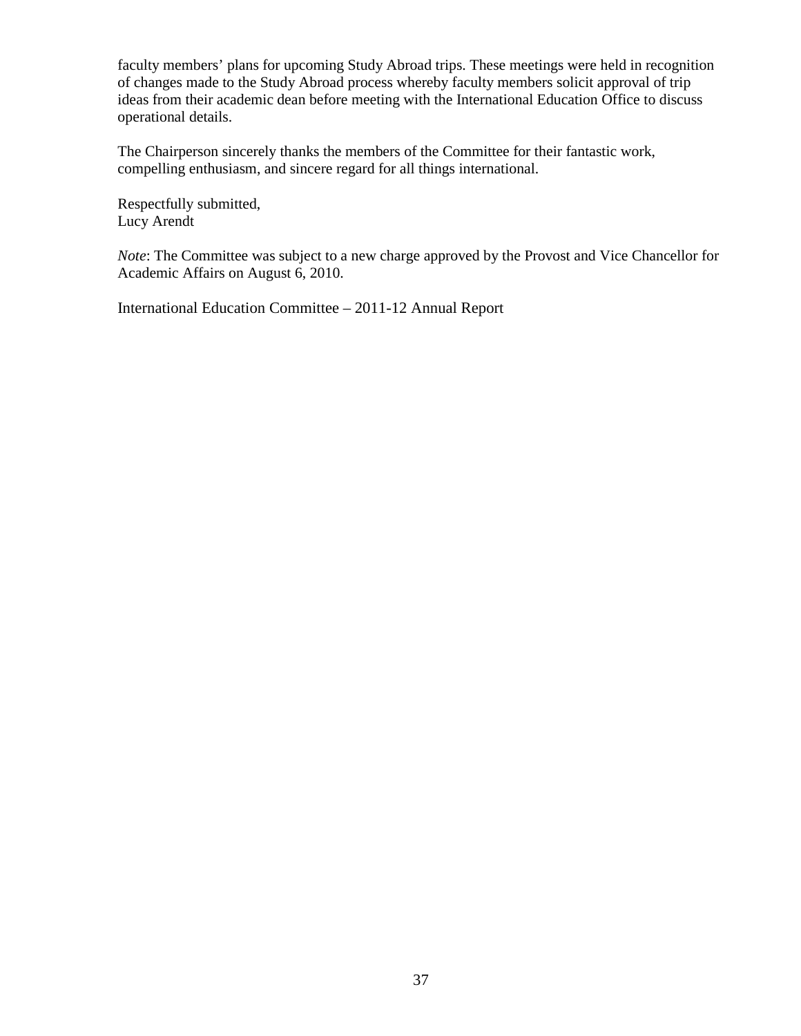faculty members' plans for upcoming Study Abroad trips. These meetings were held in recognition of changes made to the Study Abroad process whereby faculty members solicit approval of trip ideas from their academic dean before meeting with the International Education Office to discuss operational details.

The Chairperson sincerely thanks the members of the Committee for their fantastic work, compelling enthusiasm, and sincere regard for all things international.

Respectfully submitted, Lucy Arendt

*Note*: The Committee was subject to a new charge approved by the Provost and Vice Chancellor for Academic Affairs on August 6, 2010.

International Education Committee – 2011-12 Annual Report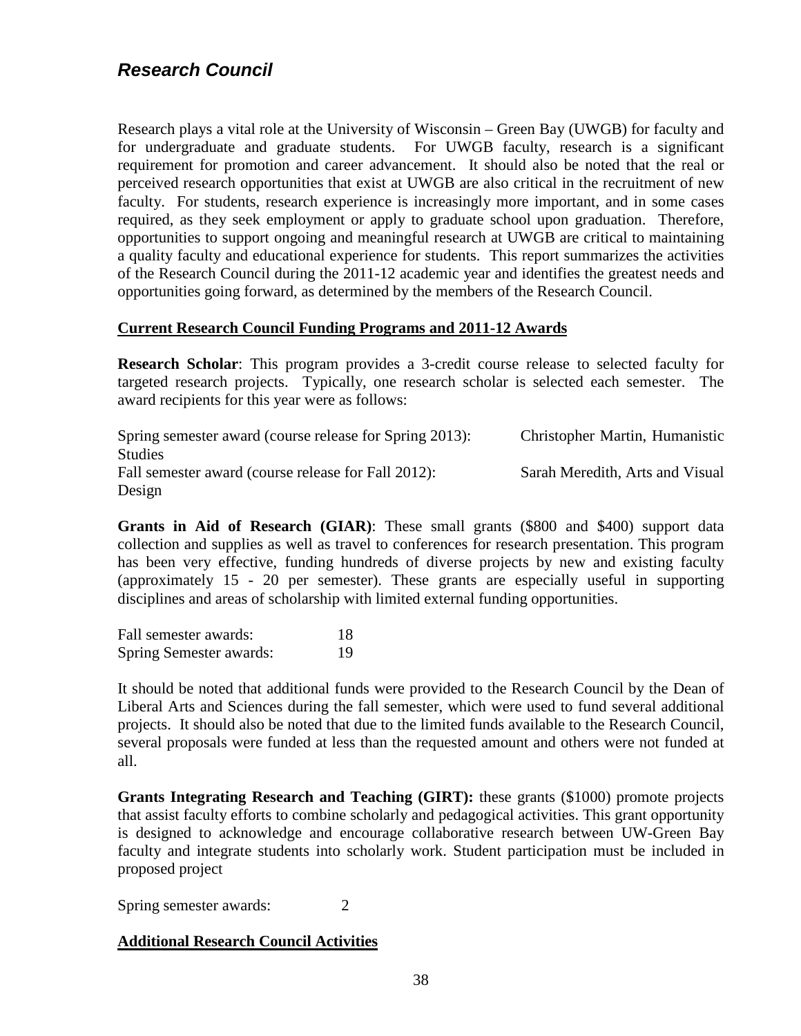<span id="page-37-0"></span>Research plays a vital role at the University of Wisconsin – Green Bay (UWGB) for faculty and for undergraduate and graduate students. For UWGB faculty, research is a significant requirement for promotion and career advancement. It should also be noted that the real or perceived research opportunities that exist at UWGB are also critical in the recruitment of new faculty. For students, research experience is increasingly more important, and in some cases required, as they seek employment or apply to graduate school upon graduation. Therefore, opportunities to support ongoing and meaningful research at UWGB are critical to maintaining a quality faculty and educational experience for students. This report summarizes the activities of the Research Council during the 2011-12 academic year and identifies the greatest needs and opportunities going forward, as determined by the members of the Research Council.

#### **Current Research Council Funding Programs and 2011-12 Awards**

**Research Scholar**: This program provides a 3-credit course release to selected faculty for targeted research projects. Typically, one research scholar is selected each semester. The award recipients for this year were as follows:

Spring semester award (course release for Spring 2013): Christopher Martin, Humanistic Studies Fall semester award (course release for Fall 2012): Sarah Meredith, Arts and Visual Design

**Grants in Aid of Research (GIAR)**: These small grants (\$800 and \$400) support data collection and supplies as well as travel to conferences for research presentation. This program has been very effective, funding hundreds of diverse projects by new and existing faculty (approximately 15 - 20 per semester). These grants are especially useful in supporting disciplines and areas of scholarship with limited external funding opportunities.

Fall semester awards: 18 Spring Semester awards: 19

It should be noted that additional funds were provided to the Research Council by the Dean of Liberal Arts and Sciences during the fall semester, which were used to fund several additional projects. It should also be noted that due to the limited funds available to the Research Council, several proposals were funded at less than the requested amount and others were not funded at all.

**Grants Integrating Research and Teaching (GIRT):** these grants (\$1000) promote projects that assist faculty efforts to combine scholarly and pedagogical activities. This grant opportunity is designed to acknowledge and encourage collaborative research between UW-Green Bay faculty and integrate students into scholarly work. Student participation must be included in proposed project

Spring semester awards: 2

#### **Additional Research Council Activities**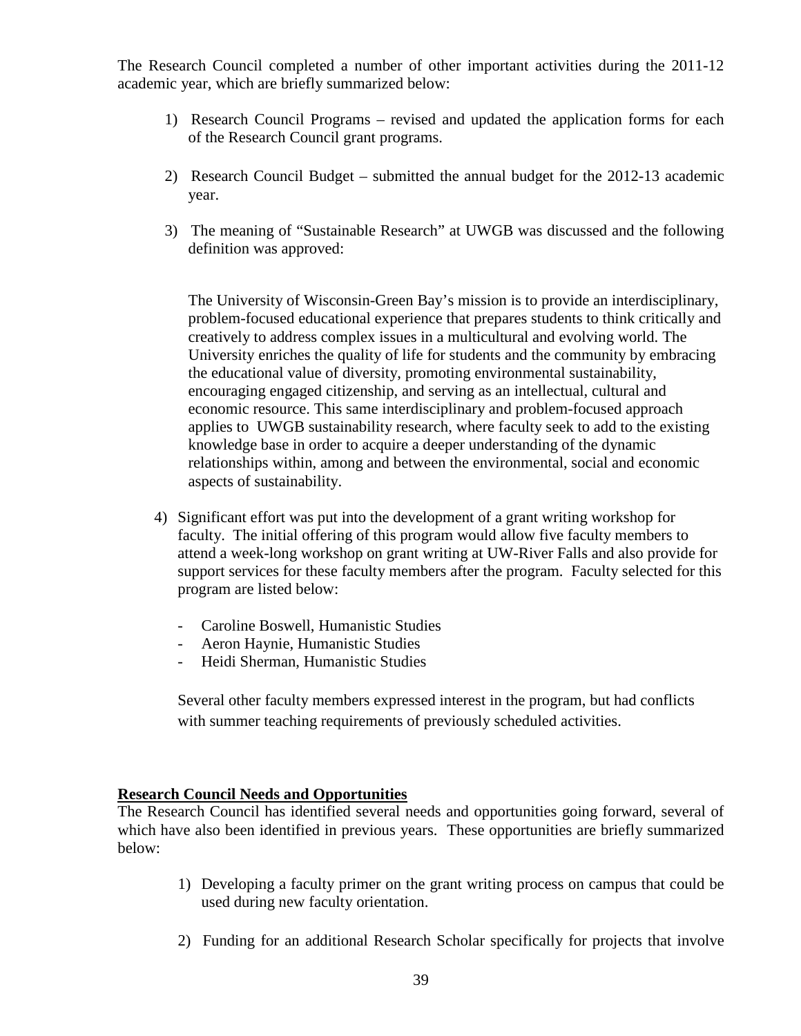The Research Council completed a number of other important activities during the 2011-12 academic year, which are briefly summarized below:

- 1) Research Council Programs revised and updated the application forms for each of the Research Council grant programs.
- 2) Research Council Budget submitted the annual budget for the 2012-13 academic year.
- 3) The meaning of "Sustainable Research" at UWGB was discussed and the following definition was approved:

The University of Wisconsin-Green Bay's mission is to provide an interdisciplinary, problem-focused educational experience that prepares students to think critically and creatively to address complex issues in a multicultural and evolving world. The University enriches the quality of life for students and the community by embracing the educational value of diversity, promoting environmental sustainability, encouraging engaged citizenship, and serving as an intellectual, cultural and economic resource. This same interdisciplinary and problem-focused approach applies to UWGB sustainability research, where faculty seek to add to the existing knowledge base in order to acquire a deeper understanding of the dynamic relationships within, among and between the environmental, social and economic aspects of sustainability.

- 4) Significant effort was put into the development of a grant writing workshop for faculty. The initial offering of this program would allow five faculty members to attend a week-long workshop on grant writing at UW-River Falls and also provide for support services for these faculty members after the program. Faculty selected for this program are listed below:
	- Caroline Boswell, Humanistic Studies
	- Aeron Haynie, Humanistic Studies
	- Heidi Sherman, Humanistic Studies

Several other faculty members expressed interest in the program, but had conflicts with summer teaching requirements of previously scheduled activities.

#### **Research Council Needs and Opportunities**

The Research Council has identified several needs and opportunities going forward, several of which have also been identified in previous years. These opportunities are briefly summarized below:

- 1) Developing a faculty primer on the grant writing process on campus that could be used during new faculty orientation.
- 2) Funding for an additional Research Scholar specifically for projects that involve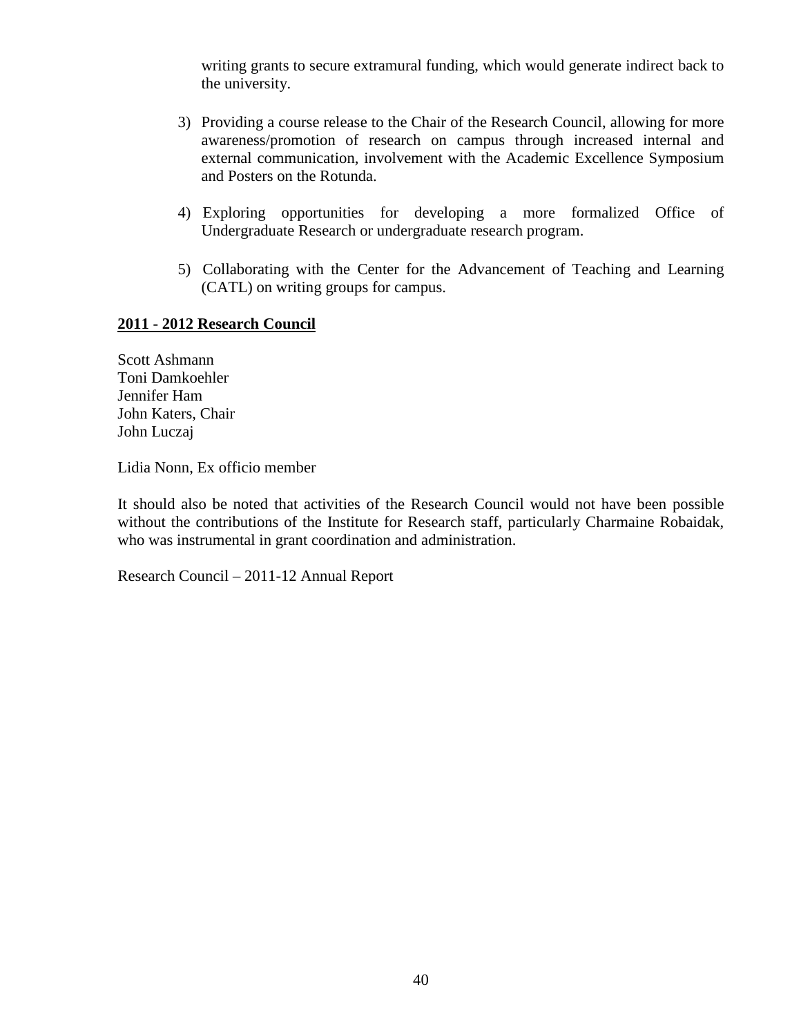writing grants to secure extramural funding, which would generate indirect back to the university.

- 3) Providing a course release to the Chair of the Research Council, allowing for more awareness/promotion of research on campus through increased internal and external communication, involvement with the Academic Excellence Symposium and Posters on the Rotunda.
- 4) Exploring opportunities for developing a more formalized Office of Undergraduate Research or undergraduate research program.
- 5) Collaborating with the Center for the Advancement of Teaching and Learning (CATL) on writing groups for campus.

#### **2011 - 2012 Research Council**

Scott Ashmann Toni Damkoehler Jennifer Ham John Katers, Chair John Luczaj

Lidia Nonn, Ex officio member

It should also be noted that activities of the Research Council would not have been possible without the contributions of the Institute for Research staff, particularly Charmaine Robaidak, who was instrumental in grant coordination and administration.

Research Council – 2011-12 Annual Report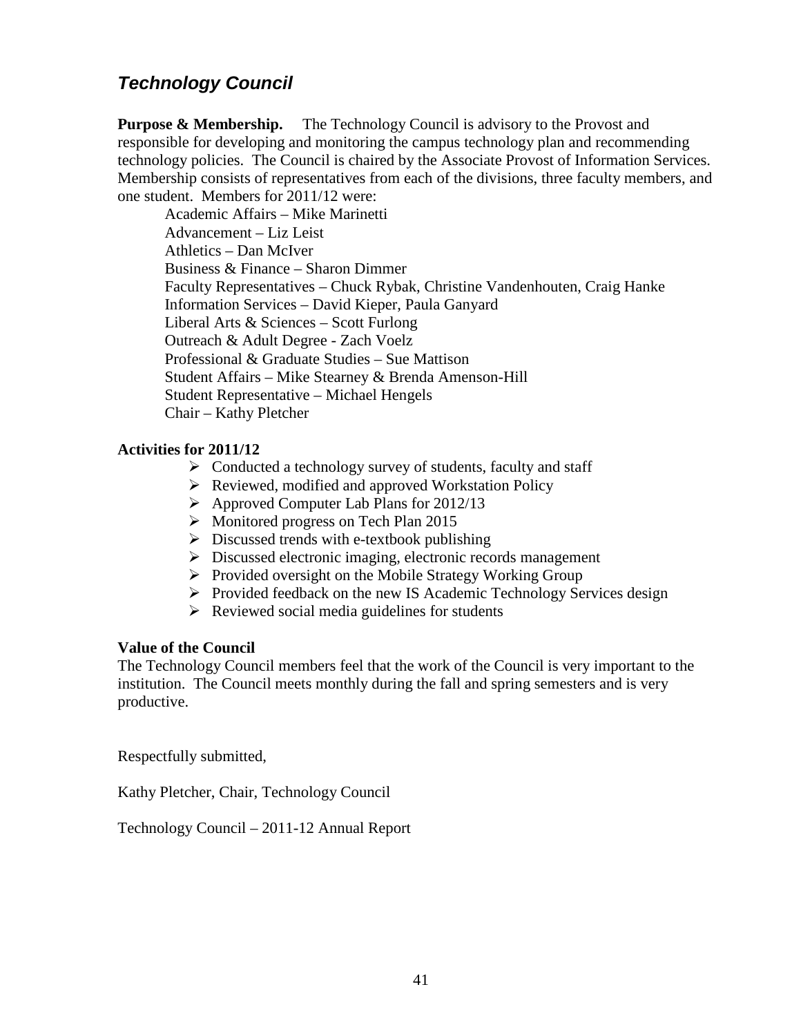# <span id="page-40-0"></span>*Technology Council*

**Purpose & Membership.** The Technology Council is advisory to the Provost and responsible for developing and monitoring the campus technology plan and recommending technology policies. The Council is chaired by the Associate Provost of Information Services. Membership consists of representatives from each of the divisions, three faculty members, and one student. Members for 2011/12 were:

Academic Affairs – Mike Marinetti Advancement – Liz Leist Athletics – Dan McIver Business & Finance – Sharon Dimmer Faculty Representatives – Chuck Rybak, Christine Vandenhouten, Craig Hanke Information Services – David Kieper, Paula Ganyard Liberal Arts & Sciences – Scott Furlong Outreach & Adult Degree - Zach Voelz Professional & Graduate Studies – Sue Mattison Student Affairs – Mike Stearney & Brenda Amenson-Hill Student Representative – Michael Hengels Chair – Kathy Pletcher

#### **Activities for 2011/12**

- $\triangleright$  Conducted a technology survey of students, faculty and staff
- ▶ Reviewed, modified and approved Workstation Policy
- $\triangleright$  Approved Computer Lab Plans for 2012/13
- $\triangleright$  Monitored progress on Tech Plan 2015
- $\triangleright$  Discussed trends with e-textbook publishing
- Discussed electronic imaging, electronic records management
- $\triangleright$  Provided oversight on the Mobile Strategy Working Group
- $\triangleright$  Provided feedback on the new IS Academic Technology Services design
- $\triangleright$  Reviewed social media guidelines for students

#### **Value of the Council**

The Technology Council members feel that the work of the Council is very important to the institution. The Council meets monthly during the fall and spring semesters and is very productive.

Respectfully submitted,

Kathy Pletcher, Chair, Technology Council

Technology Council – 2011-12 Annual Report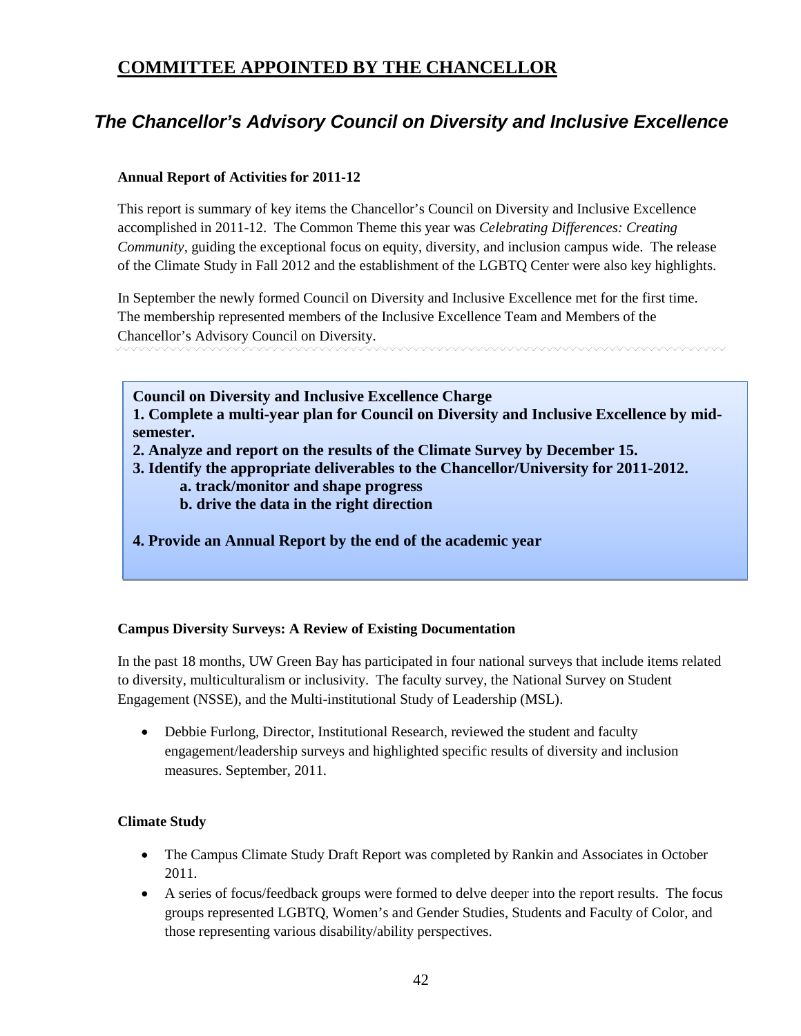# <span id="page-41-0"></span>**COMMITTEE APPOINTED BY THE CHANCELLOR**

# <span id="page-41-1"></span>*The Chancellor's Advisory Council on Diversity and Inclusive Excellence*

#### **Annual Report of Activities for 2011-12**

This report is summary of key items the Chancellor's Council on Diversity and Inclusive Excellence accomplished in 2011-12. The Common Theme this year was *Celebrating Differences: Creating Community,* guiding the exceptional focus on equity, diversity, and inclusion campus wide. The release of the Climate Study in Fall 2012 and the establishment of the LGBTQ Center were also key highlights.

In September the newly formed Council on Diversity and Inclusive Excellence met for the first time. The membership represented members of the Inclusive Excellence Team and Members of the Chancellor's Advisory Council on Diversity.

**Council on Diversity and Inclusive Excellence Charge**

**1. Complete a multi-year plan for Council on Diversity and Inclusive Excellence by midsemester.**

- **2. Analyze and report on the results of the Climate Survey by December 15.**
- **3. Identify the appropriate deliverables to the Chancellor/University for 2011-2012.**
	- **a. track/monitor and shape progress**
	- **b. drive the data in the right direction**
- **4. Provide an Annual Report by the end of the academic year**

#### **Campus Diversity Surveys: A Review of Existing Documentation**

In the past 18 months, UW Green Bay has participated in four national surveys that include items related to diversity, multiculturalism or inclusivity. The faculty survey, the National Survey on Student Engagement (NSSE), and the Multi-institutional Study of Leadership (MSL).

• Debbie Furlong, Director, Institutional Research, reviewed the student and faculty engagement/leadership surveys and highlighted specific results of diversity and inclusion measures. September, 2011.

#### **Climate Study**

- The Campus Climate Study Draft Report was completed by Rankin and Associates in October 2011.
- A series of focus/feedback groups were formed to delve deeper into the report results. The focus groups represented LGBTQ, Women's and Gender Studies, Students and Faculty of Color, and those representing various disability/ability perspectives.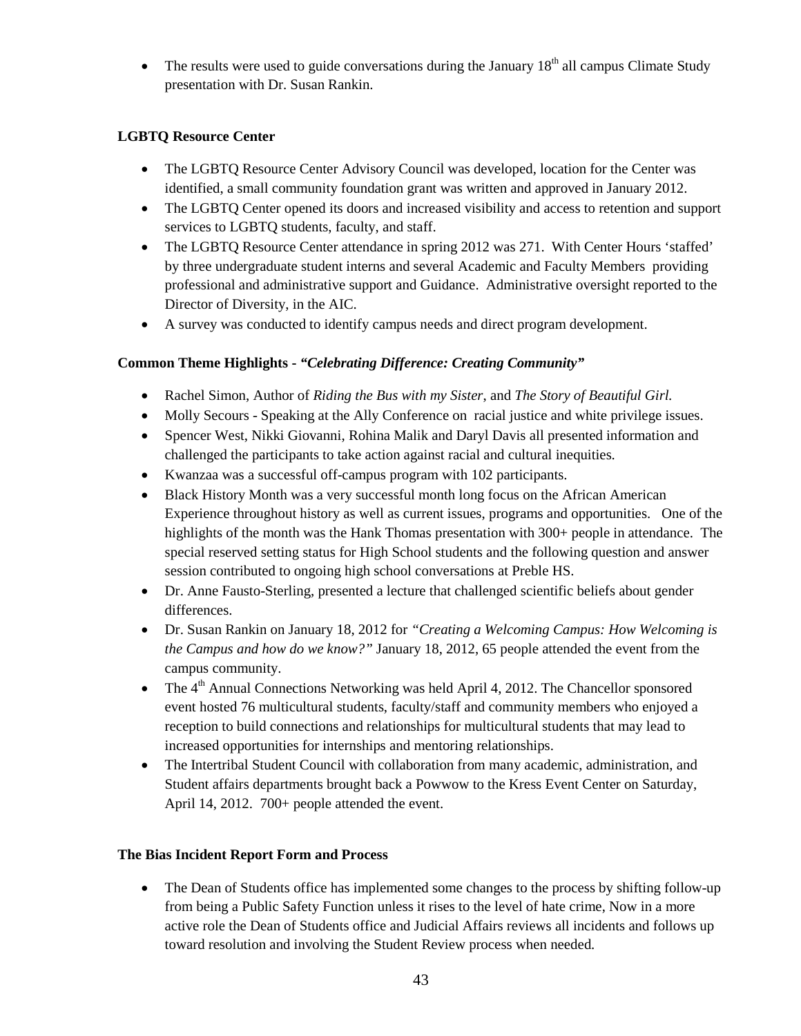• The results were used to guide conversations during the January  $18<sup>th</sup>$  all campus Climate Study presentation with Dr. Susan Rankin.

#### **LGBTQ Resource Center**

- The LGBTQ Resource Center Advisory Council was developed, location for the Center was identified, a small community foundation grant was written and approved in January 2012.
- The LGBTQ Center opened its doors and increased visibility and access to retention and support services to LGBTQ students, faculty, and staff.
- The LGBTQ Resource Center attendance in spring 2012 was 271. With Center Hours 'staffed' by three undergraduate student interns and several Academic and Faculty Members providing professional and administrative support and Guidance. Administrative oversight reported to the Director of Diversity, in the AIC.
- A survey was conducted to identify campus needs and direct program development.

#### **Common Theme Highlights -** *"Celebrating Difference: Creating Community"*

- Rachel Simon, Author of *Riding the Bus with my Sister*, and *The Story of Beautiful Girl.*
- Molly Secours Speaking at the Ally Conference on racial justice and white privilege issues.
- Spencer West, Nikki Giovanni, Rohina Malik and Daryl Davis all presented information and challenged the participants to take action against racial and cultural inequities.
- Kwanzaa was a successful off-campus program with 102 participants.
- Black History Month was a very successful month long focus on the African American Experience throughout history as well as current issues, programs and opportunities. One of the highlights of the month was the Hank Thomas presentation with 300+ people in attendance. The special reserved setting status for High School students and the following question and answer session contributed to ongoing high school conversations at Preble HS.
- Dr. Anne Fausto-Sterling, presented a lecture that challenged scientific beliefs about gender differences.
- Dr. Susan Rankin on January 18, 2012 for *"Creating a Welcoming Campus: How Welcoming is the Campus and how do we know?"* January 18, 2012, 65 people attended the event from the campus community.
- The  $4<sup>th</sup>$  Annual Connections Networking was held April 4, 2012. The Chancellor sponsored event hosted 76 multicultural students, faculty/staff and community members who enjoyed a reception to build connections and relationships for multicultural students that may lead to increased opportunities for internships and mentoring relationships.
- The Intertribal Student Council with collaboration from many academic, administration, and Student affairs departments brought back a Powwow to the Kress Event Center on Saturday, April 14, 2012. 700+ people attended the event.

#### **The Bias Incident Report Form and Process**

• The Dean of Students office has implemented some changes to the process by shifting follow-up from being a Public Safety Function unless it rises to the level of hate crime, Now in a more active role the Dean of Students office and Judicial Affairs reviews all incidents and follows up toward resolution and involving the Student Review process when needed.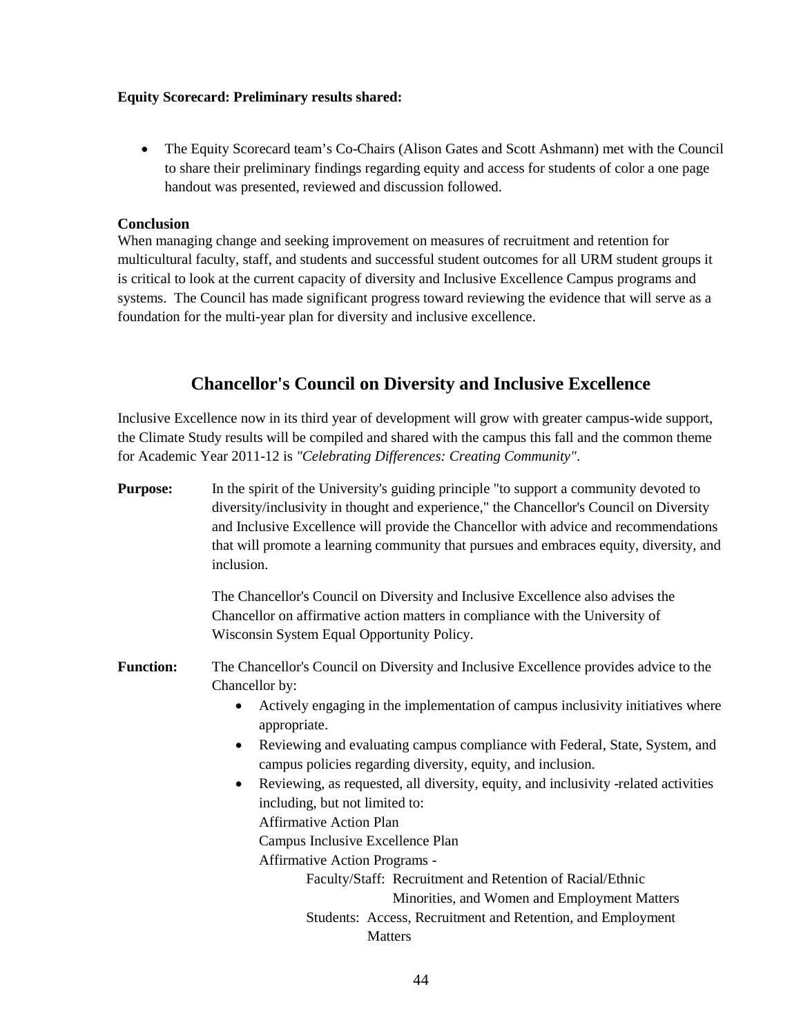#### **Equity Scorecard: Preliminary results shared:**

• The Equity Scorecard team's Co-Chairs (Alison Gates and Scott Ashmann) met with the Council to share their preliminary findings regarding equity and access for students of color a one page handout was presented, reviewed and discussion followed.

#### **Conclusion**

When managing change and seeking improvement on measures of recruitment and retention for multicultural faculty, staff, and students and successful student outcomes for all URM student groups it is critical to look at the current capacity of diversity and Inclusive Excellence Campus programs and systems. The Council has made significant progress toward reviewing the evidence that will serve as a foundation for the multi-year plan for diversity and inclusive excellence.

### **Chancellor's Council on Diversity and Inclusive Excellence**

Inclusive Excellence now in its third year of development will grow with greater campus-wide support, the Climate Study results will be compiled and shared with the campus this fall and the common theme for Academic Year 2011-12 is *"Celebrating Differences: Creating Community"*.

**Purpose:** In the spirit of the University's guiding principle "to support a community devoted to diversity/inclusivity in thought and experience," the Chancellor's Council on Diversity and Inclusive Excellence will provide the Chancellor with advice and recommendations that will promote a learning community that pursues and embraces equity, diversity, and inclusion.

The Chancellor's Council on Diversity and Inclusive Excellence also advises the Chancellor on affirmative action matters in compliance with the University of Wisconsin System Equal Opportunity Policy.

- **Function:** The Chancellor's Council on Diversity and Inclusive Excellence provides advice to the Chancellor by:
	- Actively engaging in the implementation of campus inclusivity initiatives where appropriate.
	- Reviewing and evaluating campus compliance with Federal, State, System, and campus policies regarding diversity, equity, and inclusion.
	- Reviewing, as requested, all diversity, equity, and inclusivity -related activities including, but not limited to:
		- Affirmative Action Plan
		- Campus Inclusive Excellence Plan
		- Affirmative Action Programs -

Faculty/Staff: Recruitment and Retention of Racial/Ethnic Minorities, and Women and Employment Matters Students: Access, Recruitment and Retention, and Employment **Matters**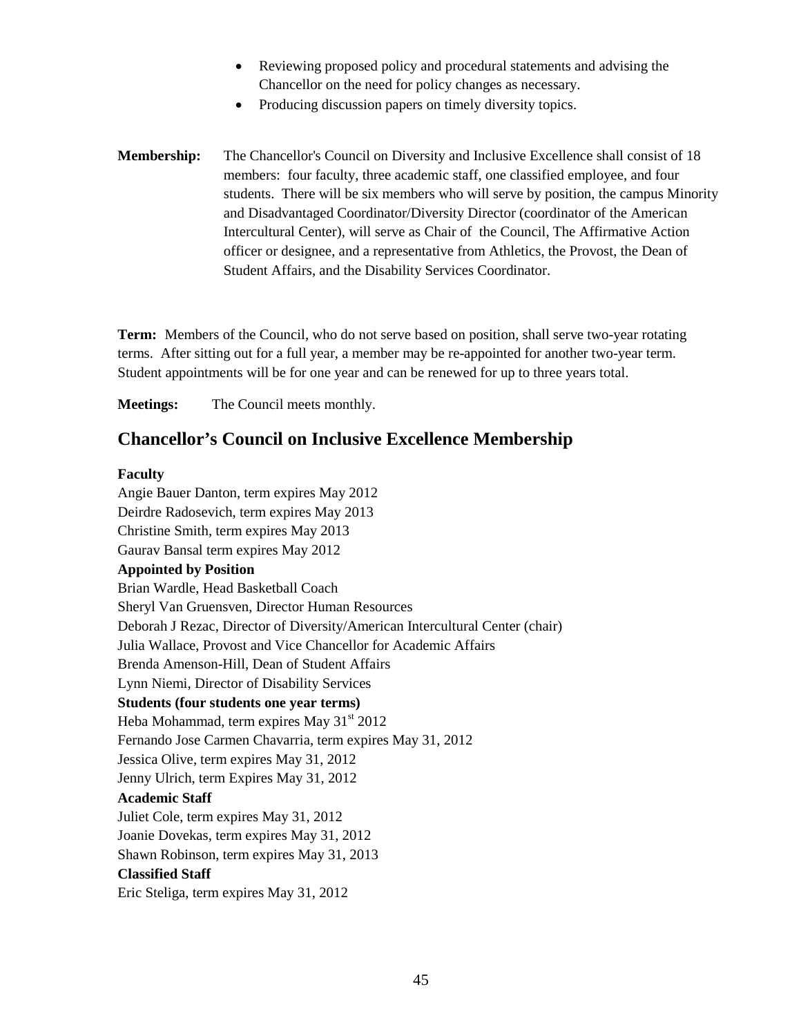- Reviewing proposed policy and procedural statements and advising the Chancellor on the need for policy changes as necessary.
- Producing discussion papers on timely diversity topics.
- **Membership:** The Chancellor's Council on Diversity and Inclusive Excellence shall consist of 18 members: four faculty, three academic staff, one classified employee, and four students. There will be six members who will serve by position, the campus Minority and Disadvantaged Coordinator/Diversity Director (coordinator of the American Intercultural Center), will serve as Chair of the Council, The Affirmative Action officer or designee, and a representative from Athletics, the Provost, the Dean of Student Affairs, and the Disability Services Coordinator.

**Term:** Members of the Council, who do not serve based on position, shall serve two-year rotating terms. After sitting out for a full year, a member may be re-appointed for another two-year term. Student appointments will be for one year and can be renewed for up to three years total.

**Meetings:** The Council meets monthly.

### **Chancellor's Council on Inclusive Excellence Membership**

#### **Faculty**

Angie Bauer Danton, term expires May 2012 Deirdre Radosevich, term expires May 2013 Christine Smith, term expires May 2013 Gaurav Bansal term expires May 2012 **Appointed by Position** Brian Wardle, Head Basketball Coach Sheryl Van Gruensven, Director Human Resources Deborah J Rezac, Director of Diversity/American Intercultural Center (chair) Julia Wallace, Provost and Vice Chancellor for Academic Affairs Brenda Amenson-Hill, Dean of Student Affairs Lynn Niemi, Director of Disability Services **Students (four students one year terms)** Heba Mohammad, term expires May  $31<sup>st</sup> 2012$ Fernando Jose Carmen Chavarria, term expires May 31, 2012 Jessica Olive, term expires May 31, 2012 Jenny Ulrich, term Expires May 31, 2012 **Academic Staff** Juliet Cole, term expires May 31, 2012 Joanie Dovekas, term expires May 31, 2012 Shawn Robinson, term expires May 31, 2013 **Classified Staff** Eric Steliga, term expires May 31, 2012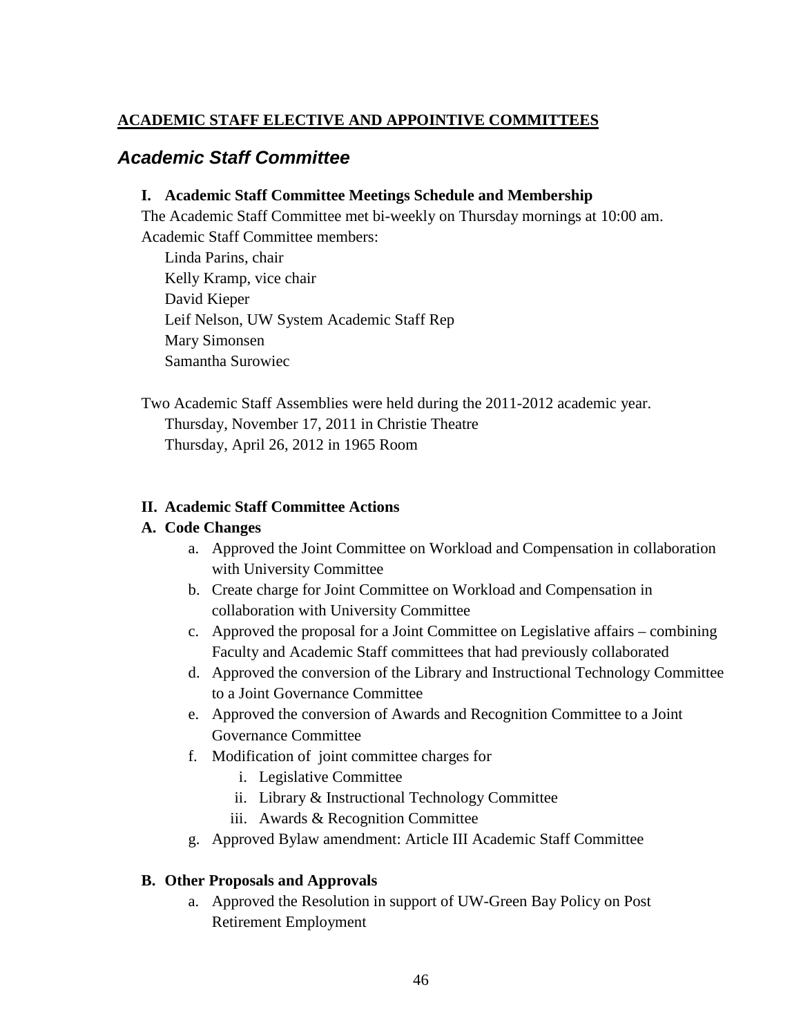### <span id="page-45-0"></span>**ACADEMIC STAFF ELECTIVE AND APPOINTIVE COMMITTEES**

### <span id="page-45-1"></span>*Academic Staff Committee*

#### **I. Academic Staff Committee Meetings Schedule and Membership**

The Academic Staff Committee met bi-weekly on Thursday mornings at 10:00 am. Academic Staff Committee members:

Linda Parins, chair Kelly Kramp, vice chair David Kieper Leif Nelson, UW System Academic Staff Rep Mary Simonsen Samantha Surowiec

Two Academic Staff Assemblies were held during the 2011-2012 academic year. Thursday, November 17, 2011 in Christie Theatre Thursday, April 26, 2012 in 1965 Room

#### **II. Academic Staff Committee Actions**

#### **A. Code Changes**

- a. Approved the Joint Committee on Workload and Compensation in collaboration with University Committee
- b. Create charge for Joint Committee on Workload and Compensation in collaboration with University Committee
- c. Approved the proposal for a Joint Committee on Legislative affairs combining Faculty and Academic Staff committees that had previously collaborated
- d. Approved the conversion of the Library and Instructional Technology Committee to a Joint Governance Committee
- e. Approved the conversion of Awards and Recognition Committee to a Joint Governance Committee
- f. Modification of joint committee charges for
	- i. Legislative Committee
	- ii. Library & Instructional Technology Committee
	- iii. Awards & Recognition Committee
- g. Approved Bylaw amendment: Article III Academic Staff Committee

#### **B. Other Proposals and Approvals**

a. Approved the Resolution in support of UW-Green Bay Policy on Post Retirement Employment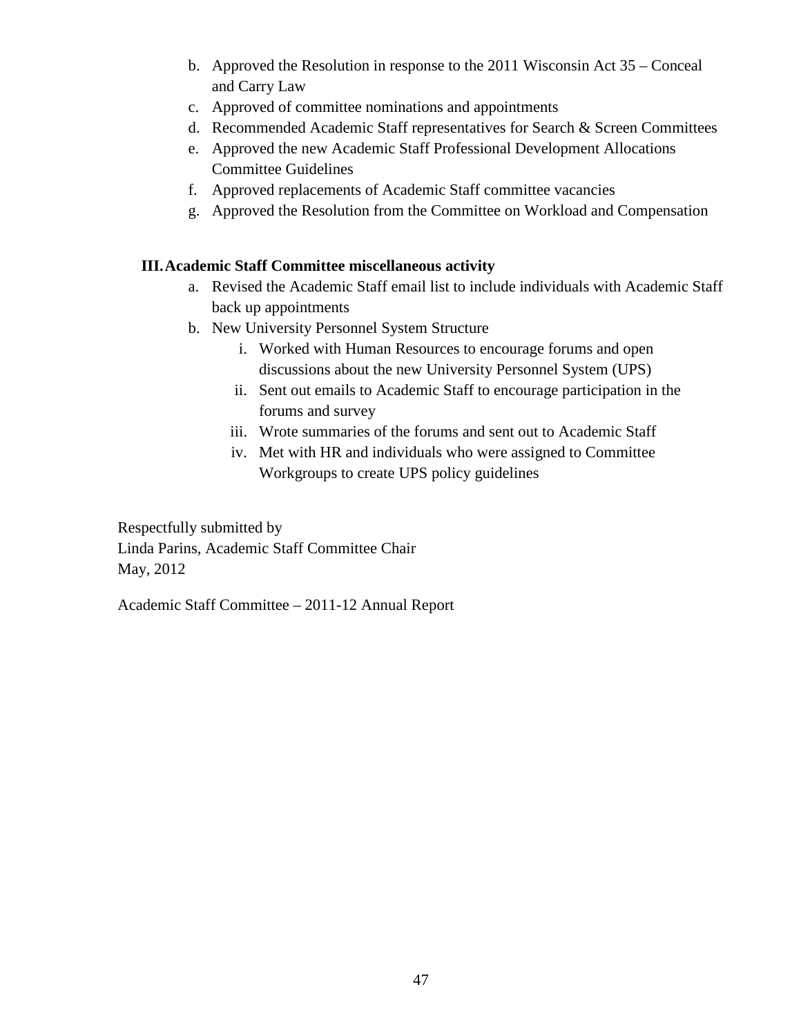- b. Approved the Resolution in response to the 2011 Wisconsin Act 35 Conceal and Carry Law
- c. Approved of committee nominations and appointments
- d. Recommended Academic Staff representatives for Search & Screen Committees
- e. Approved the new Academic Staff Professional Development Allocations Committee Guidelines
- f. Approved replacements of Academic Staff committee vacancies
- g. Approved the Resolution from the Committee on Workload and Compensation

#### **III.Academic Staff Committee miscellaneous activity**

- a. Revised the Academic Staff email list to include individuals with Academic Staff back up appointments
- b. New University Personnel System Structure
	- i. Worked with Human Resources to encourage forums and open discussions about the new University Personnel System (UPS)
	- ii. Sent out emails to Academic Staff to encourage participation in the forums and survey
	- iii. Wrote summaries of the forums and sent out to Academic Staff
	- iv. Met with HR and individuals who were assigned to Committee Workgroups to create UPS policy guidelines

Respectfully submitted by Linda Parins, Academic Staff Committee Chair May, 2012

Academic Staff Committee – 2011-12 Annual Report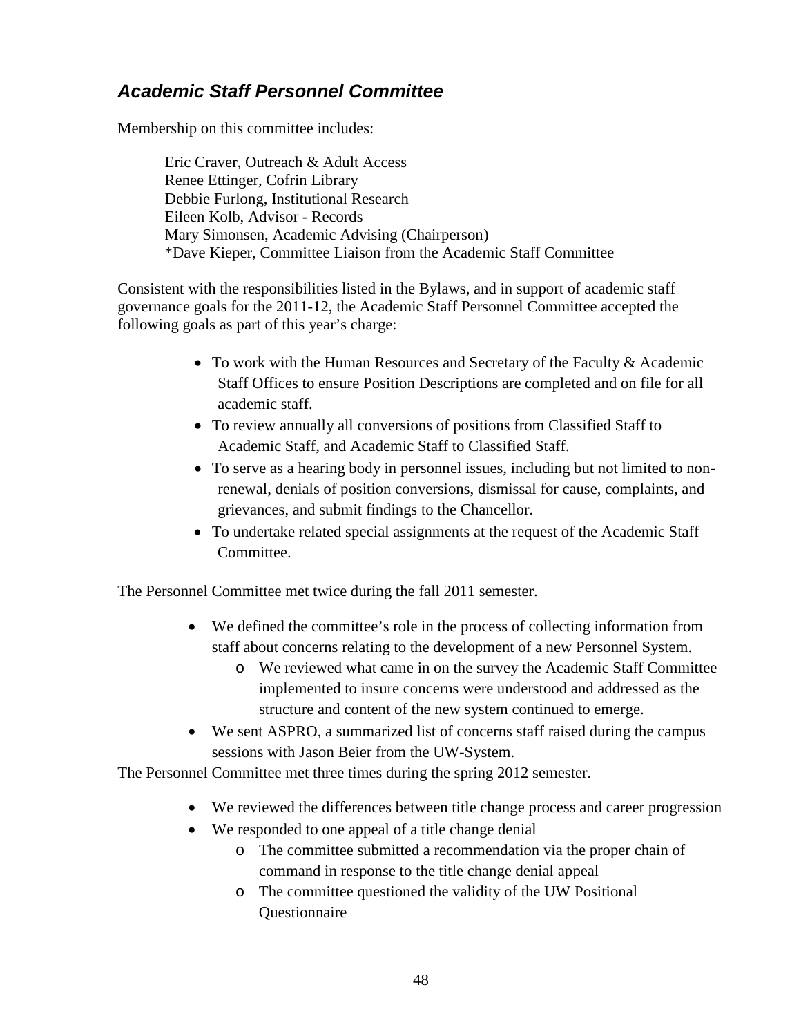# <span id="page-47-0"></span>*Academic Staff Personnel Committee*

Membership on this committee includes:

Eric Craver, Outreach & Adult Access Renee Ettinger, Cofrin Library Debbie Furlong, Institutional Research Eileen Kolb, Advisor - Records Mary Simonsen, Academic Advising (Chairperson) \*Dave Kieper, Committee Liaison from the Academic Staff Committee

Consistent with the responsibilities listed in the Bylaws, and in support of academic staff governance goals for the 2011-12, the Academic Staff Personnel Committee accepted the following goals as part of this year's charge:

- To work with the Human Resources and Secretary of the Faculty & Academic Staff Offices to ensure Position Descriptions are completed and on file for all academic staff.
- To review annually all conversions of positions from Classified Staff to Academic Staff, and Academic Staff to Classified Staff.
- To serve as a hearing body in personnel issues, including but not limited to nonrenewal, denials of position conversions, dismissal for cause, complaints, and grievances, and submit findings to the Chancellor.
- To undertake related special assignments at the request of the Academic Staff Committee.

The Personnel Committee met twice during the fall 2011 semester.

- We defined the committee's role in the process of collecting information from staff about concerns relating to the development of a new Personnel System.
	- o We reviewed what came in on the survey the Academic Staff Committee implemented to insure concerns were understood and addressed as the structure and content of the new system continued to emerge.
- We sent ASPRO, a summarized list of concerns staff raised during the campus sessions with Jason Beier from the UW-System.

The Personnel Committee met three times during the spring 2012 semester.

- We reviewed the differences between title change process and career progression
- We responded to one appeal of a title change denial
	- o The committee submitted a recommendation via the proper chain of command in response to the title change denial appeal
	- o The committee questioned the validity of the UW Positional Questionnaire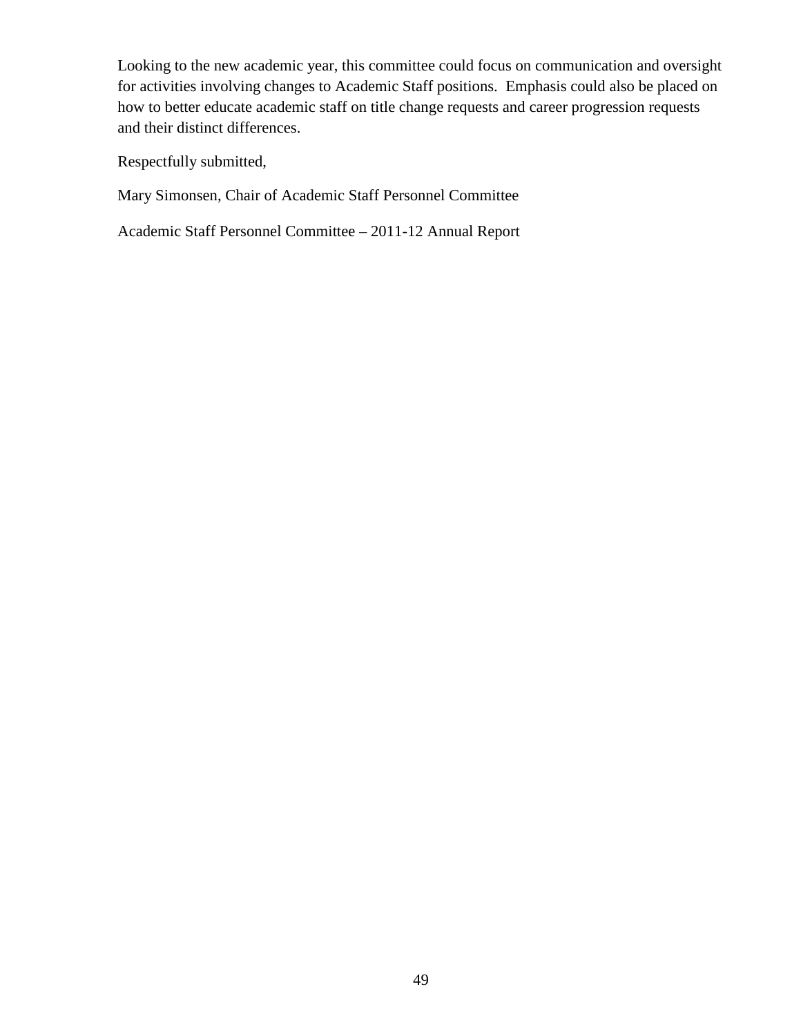Looking to the new academic year, this committee could focus on communication and oversight for activities involving changes to Academic Staff positions. Emphasis could also be placed on how to better educate academic staff on title change requests and career progression requests and their distinct differences.

Respectfully submitted,

Mary Simonsen, Chair of Academic Staff Personnel Committee

Academic Staff Personnel Committee – 2011-12 Annual Report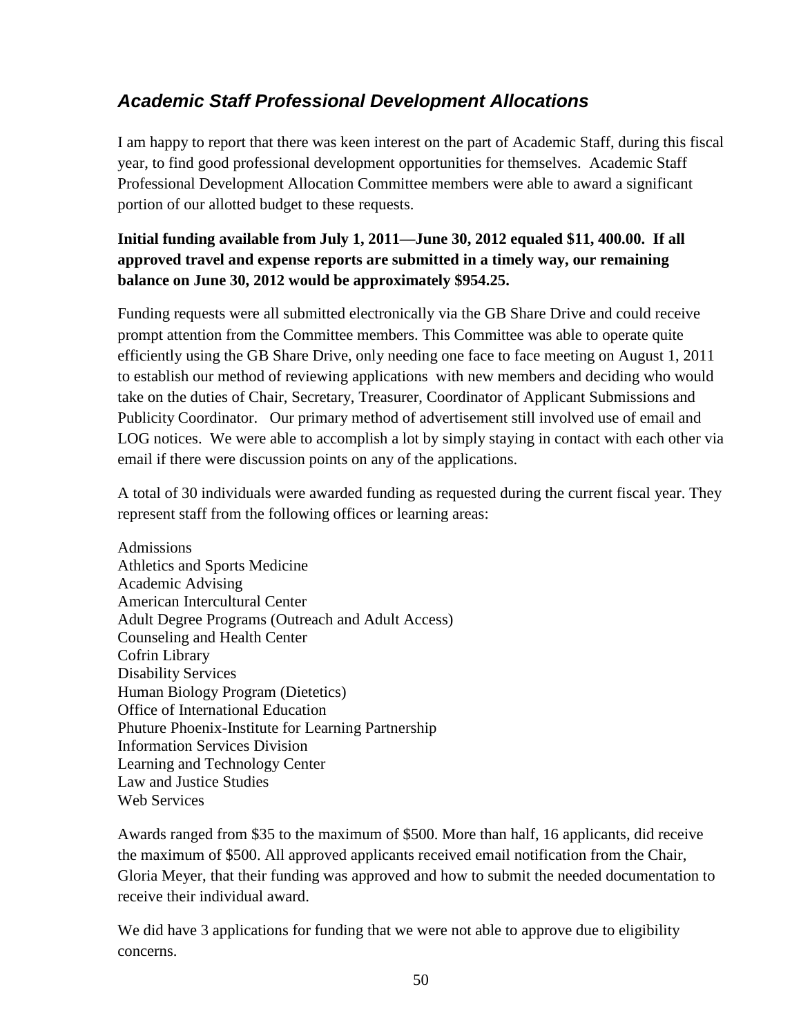# <span id="page-49-0"></span>*Academic Staff Professional Development Allocations*

I am happy to report that there was keen interest on the part of Academic Staff, during this fiscal year, to find good professional development opportunities for themselves. Academic Staff Professional Development Allocation Committee members were able to award a significant portion of our allotted budget to these requests.

### **Initial funding available from July 1, 2011—June 30, 2012 equaled \$11, 400.00. If all approved travel and expense reports are submitted in a timely way, our remaining balance on June 30, 2012 would be approximately \$954.25.**

Funding requests were all submitted electronically via the GB Share Drive and could receive prompt attention from the Committee members. This Committee was able to operate quite efficiently using the GB Share Drive, only needing one face to face meeting on August 1, 2011 to establish our method of reviewing applications with new members and deciding who would take on the duties of Chair, Secretary, Treasurer, Coordinator of Applicant Submissions and Publicity Coordinator. Our primary method of advertisement still involved use of email and LOG notices. We were able to accomplish a lot by simply staying in contact with each other via email if there were discussion points on any of the applications.

A total of 30 individuals were awarded funding as requested during the current fiscal year. They represent staff from the following offices or learning areas:

Admissions Athletics and Sports Medicine Academic Advising American Intercultural Center Adult Degree Programs (Outreach and Adult Access) Counseling and Health Center Cofrin Library Disability Services Human Biology Program (Dietetics) Office of International Education Phuture Phoenix-Institute for Learning Partnership Information Services Division Learning and Technology Center Law and Justice Studies Web Services

Awards ranged from \$35 to the maximum of \$500. More than half, 16 applicants, did receive the maximum of \$500. All approved applicants received email notification from the Chair, Gloria Meyer, that their funding was approved and how to submit the needed documentation to receive their individual award.

We did have 3 applications for funding that we were not able to approve due to eligibility concerns.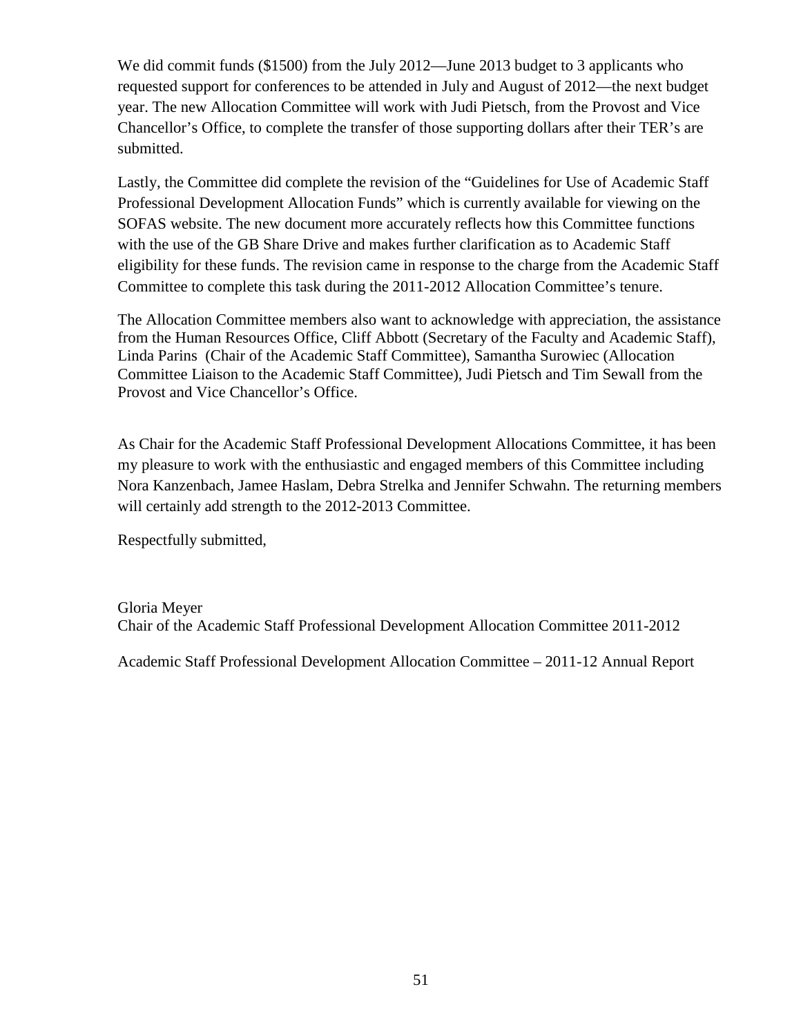We did commit funds (\$1500) from the July 2012—June 2013 budget to 3 applicants who requested support for conferences to be attended in July and August of 2012—the next budget year. The new Allocation Committee will work with Judi Pietsch, from the Provost and Vice Chancellor's Office, to complete the transfer of those supporting dollars after their TER's are submitted.

Lastly, the Committee did complete the revision of the "Guidelines for Use of Academic Staff Professional Development Allocation Funds" which is currently available for viewing on the SOFAS website. The new document more accurately reflects how this Committee functions with the use of the GB Share Drive and makes further clarification as to Academic Staff eligibility for these funds. The revision came in response to the charge from the Academic Staff Committee to complete this task during the 2011-2012 Allocation Committee's tenure.

The Allocation Committee members also want to acknowledge with appreciation, the assistance from the Human Resources Office, Cliff Abbott (Secretary of the Faculty and Academic Staff), Linda Parins (Chair of the Academic Staff Committee), Samantha Surowiec (Allocation Committee Liaison to the Academic Staff Committee), Judi Pietsch and Tim Sewall from the Provost and Vice Chancellor's Office.

As Chair for the Academic Staff Professional Development Allocations Committee, it has been my pleasure to work with the enthusiastic and engaged members of this Committee including Nora Kanzenbach, Jamee Haslam, Debra Strelka and Jennifer Schwahn. The returning members will certainly add strength to the 2012-2013 Committee.

Respectfully submitted,

Gloria Meyer Chair of the Academic Staff Professional Development Allocation Committee 2011-2012

Academic Staff Professional Development Allocation Committee – 2011-12 Annual Report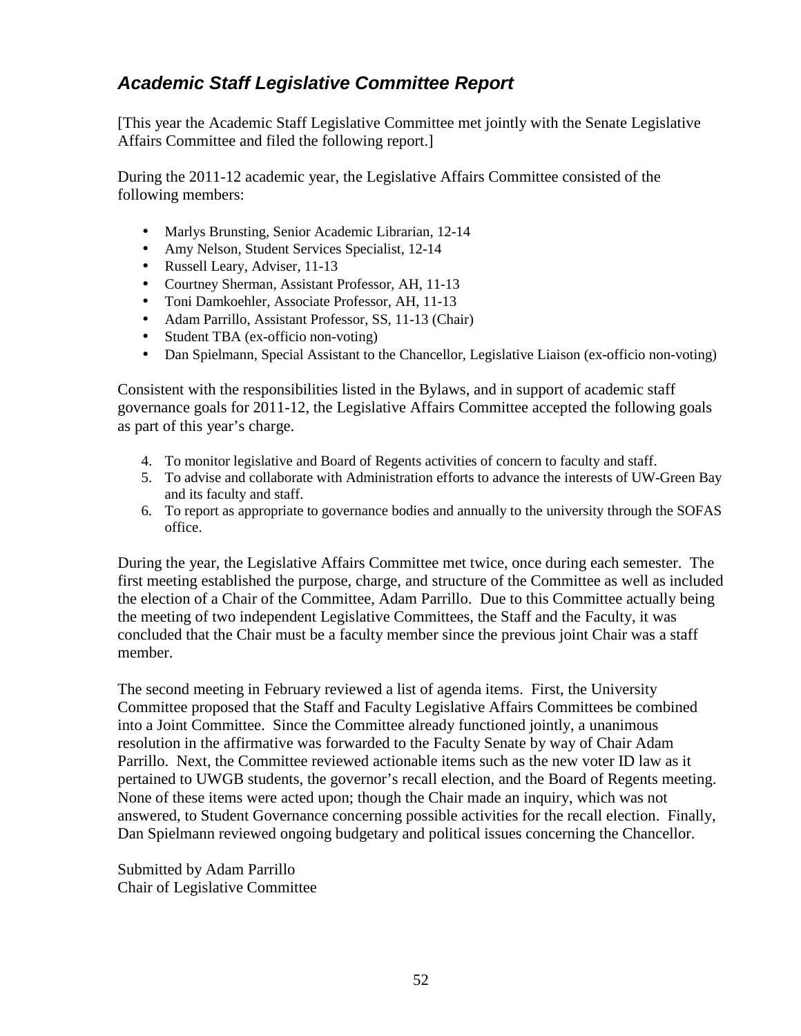### <span id="page-51-0"></span>*Academic Staff Legislative Committee Report*

[This year the Academic Staff Legislative Committee met jointly with the Senate Legislative Affairs Committee and filed the following report.]

During the 2011-12 academic year, the Legislative Affairs Committee consisted of the following members:

- Marlys Brunsting, Senior Academic Librarian, 12-14
- Amy Nelson, Student Services Specialist, 12-14
- Russell Leary, Adviser, 11-13
- Courtney Sherman, Assistant Professor, AH, 11-13
- Toni Damkoehler, Associate Professor, AH, 11-13
- Adam Parrillo, Assistant Professor, SS, 11-13 (Chair)
- Student TBA (ex-officio non-voting)
- Dan Spielmann, Special Assistant to the Chancellor, Legislative Liaison (ex-officio non-voting)

Consistent with the responsibilities listed in the Bylaws, and in support of academic staff governance goals for 2011-12, the Legislative Affairs Committee accepted the following goals as part of this year's charge.

- 4. To monitor legislative and Board of Regents activities of concern to faculty and staff.
- 5. To advise and collaborate with Administration efforts to advance the interests of UW-Green Bay and its faculty and staff.
- 6. To report as appropriate to governance bodies and annually to the university through the SOFAS office.

During the year, the Legislative Affairs Committee met twice, once during each semester. The first meeting established the purpose, charge, and structure of the Committee as well as included the election of a Chair of the Committee, Adam Parrillo. Due to this Committee actually being the meeting of two independent Legislative Committees, the Staff and the Faculty, it was concluded that the Chair must be a faculty member since the previous joint Chair was a staff member.

The second meeting in February reviewed a list of agenda items. First, the University Committee proposed that the Staff and Faculty Legislative Affairs Committees be combined into a Joint Committee. Since the Committee already functioned jointly, a unanimous resolution in the affirmative was forwarded to the Faculty Senate by way of Chair Adam Parrillo. Next, the Committee reviewed actionable items such as the new voter ID law as it pertained to UWGB students, the governor's recall election, and the Board of Regents meeting. None of these items were acted upon; though the Chair made an inquiry, which was not answered, to Student Governance concerning possible activities for the recall election. Finally, Dan Spielmann reviewed ongoing budgetary and political issues concerning the Chancellor.

Submitted by Adam Parrillo Chair of Legislative Committee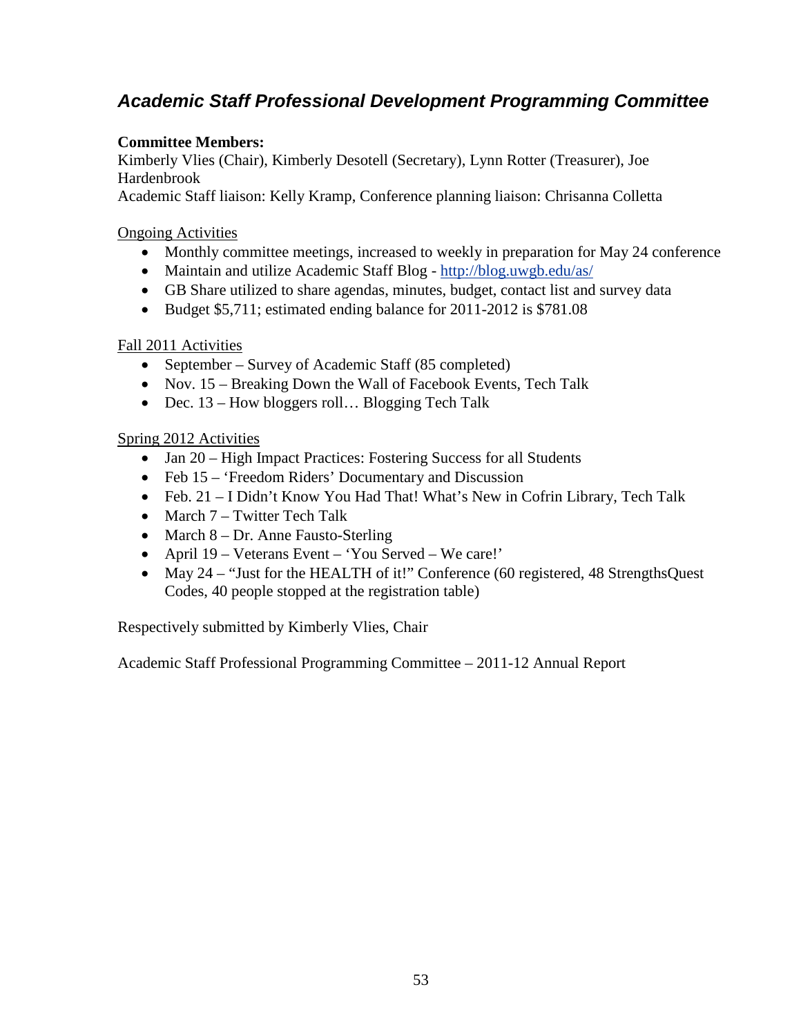# <span id="page-52-0"></span>*Academic Staff Professional Development Programming Committee*

#### **Committee Members:**

Kimberly Vlies (Chair), Kimberly Desotell (Secretary), Lynn Rotter (Treasurer), Joe Hardenbrook

Academic Staff liaison: Kelly Kramp, Conference planning liaison: Chrisanna Colletta

#### Ongoing Activities

- Monthly committee meetings, increased to weekly in preparation for May 24 conference
- Maintain and utilize Academic Staff Blog <http://blog.uwgb.edu/as/>
- GB Share utilized to share agendas, minutes, budget, contact list and survey data
- Budget \$5,711; estimated ending balance for 2011-2012 is \$781.08

#### Fall 2011 Activities

- September Survey of Academic Staff (85 completed)
- Nov. 15 Breaking Down the Wall of Facebook Events, Tech Talk
- Dec. 13 How bloggers roll... Blogging Tech Talk

#### Spring 2012 Activities

- Jan 20 High Impact Practices: Fostering Success for all Students
- Feb 15 'Freedom Riders' Documentary and Discussion
- Feb. 21 I Didn't Know You Had That! What's New in Cofrin Library, Tech Talk
- March 7 Twitter Tech Talk
- March 8 Dr. Anne Fausto-Sterling
- April 19 Veterans Event 'You Served We care!'
- May 24 "Just for the HEALTH of it!" Conference (60 registered, 48 StrengthsQuest Codes, 40 people stopped at the registration table)

Respectively submitted by Kimberly Vlies, Chair

Academic Staff Professional Programming Committee – 2011-12 Annual Report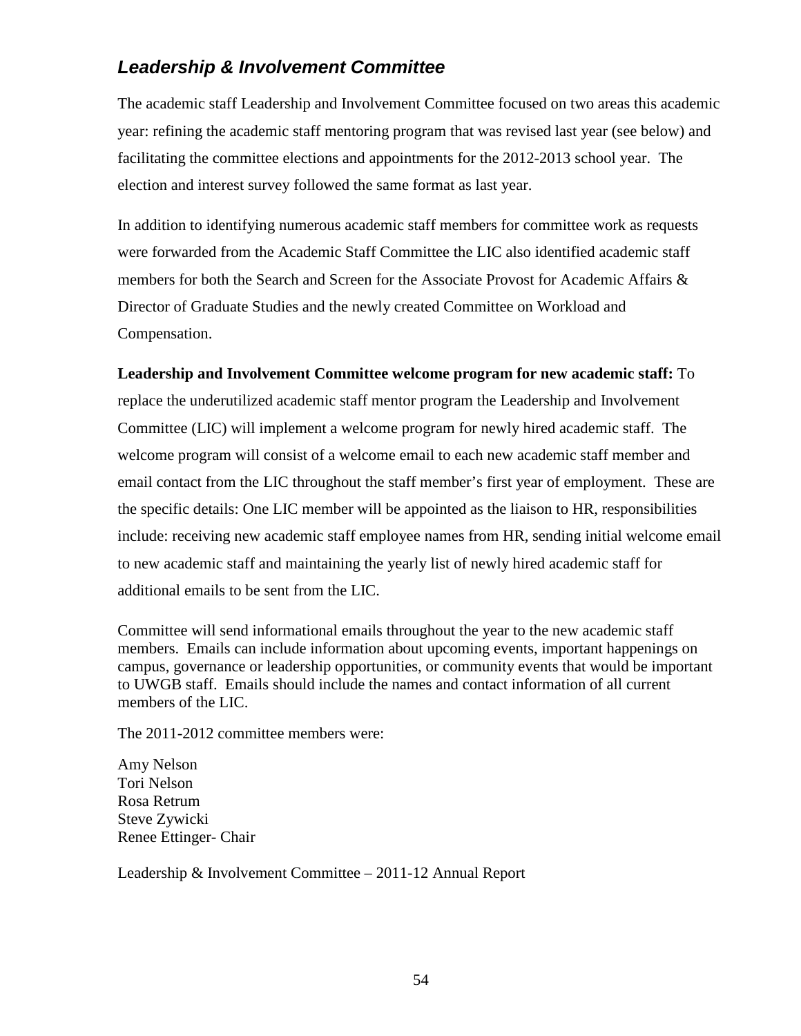# <span id="page-53-0"></span>*Leadership & Involvement Committee*

The academic staff Leadership and Involvement Committee focused on two areas this academic year: refining the academic staff mentoring program that was revised last year (see below) and facilitating the committee elections and appointments for the 2012-2013 school year. The election and interest survey followed the same format as last year.

In addition to identifying numerous academic staff members for committee work as requests were forwarded from the Academic Staff Committee the LIC also identified academic staff members for both the Search and Screen for the Associate Provost for Academic Affairs & Director of Graduate Studies and the newly created Committee on Workload and Compensation.

#### **Leadership and Involvement Committee welcome program for new academic staff:** To

replace the underutilized academic staff mentor program the Leadership and Involvement Committee (LIC) will implement a welcome program for newly hired academic staff. The welcome program will consist of a welcome email to each new academic staff member and email contact from the LIC throughout the staff member's first year of employment. These are the specific details: One LIC member will be appointed as the liaison to HR, responsibilities include: receiving new academic staff employee names from HR, sending initial welcome email to new academic staff and maintaining the yearly list of newly hired academic staff for additional emails to be sent from the LIC.

Committee will send informational emails throughout the year to the new academic staff members. Emails can include information about upcoming events, important happenings on campus, governance or leadership opportunities, or community events that would be important to UWGB staff. Emails should include the names and contact information of all current members of the LIC.

The 2011-2012 committee members were:

Amy Nelson Tori Nelson Rosa Retrum Steve Zywicki Renee Ettinger- Chair

Leadership & Involvement Committee – 2011-12 Annual Report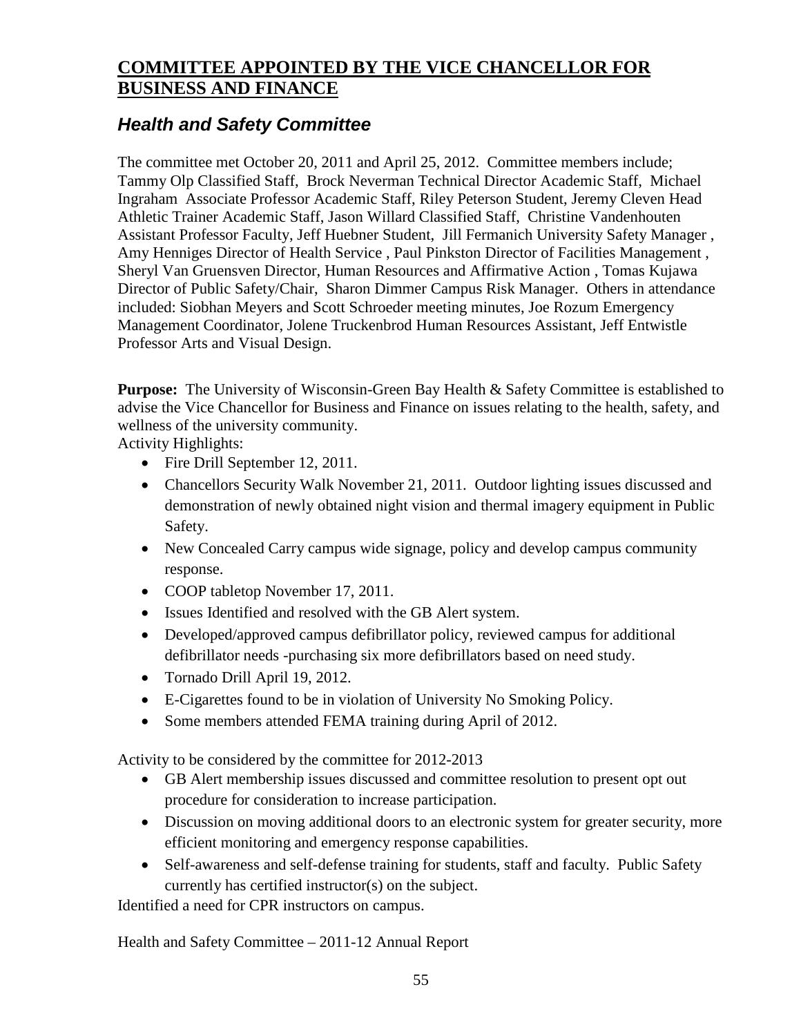# <span id="page-54-0"></span>**COMMITTEE APPOINTED BY THE VICE CHANCELLOR FOR BUSINESS AND FINANCE**

# <span id="page-54-1"></span>*Health and Safety Committee*

The committee met October 20, 2011 and April 25, 2012. Committee members include; Tammy Olp Classified Staff, Brock Neverman Technical Director Academic Staff, Michael Ingraham Associate Professor Academic Staff, Riley Peterson Student, Jeremy Cleven Head Athletic Trainer Academic Staff, Jason Willard Classified Staff, Christine Vandenhouten Assistant Professor Faculty, Jeff Huebner Student, Jill Fermanich University Safety Manager , Amy Henniges Director of Health Service , Paul Pinkston Director of Facilities Management , Sheryl Van Gruensven Director, Human Resources and Affirmative Action , Tomas Kujawa Director of Public Safety/Chair, Sharon Dimmer Campus Risk Manager. Others in attendance included: Siobhan Meyers and Scott Schroeder meeting minutes, Joe Rozum Emergency Management Coordinator, Jolene Truckenbrod Human Resources Assistant, Jeff Entwistle Professor Arts and Visual Design.

**Purpose:** The University of Wisconsin-Green Bay Health & Safety Committee is established to advise the Vice Chancellor for Business and Finance on issues relating to the health, safety, and wellness of the university community.

Activity Highlights:

- Fire Drill September 12, 2011.
- Chancellors Security Walk November 21, 2011. Outdoor lighting issues discussed and demonstration of newly obtained night vision and thermal imagery equipment in Public Safety.
- New Concealed Carry campus wide signage, policy and develop campus community response.
- COOP tabletop November 17, 2011.
- Issues Identified and resolved with the GB Alert system.
- Developed/approved campus defibrillator policy, reviewed campus for additional defibrillator needs -purchasing six more defibrillators based on need study.
- Tornado Drill April 19, 2012.
- E-Cigarettes found to be in violation of University No Smoking Policy.
- Some members attended FEMA training during April of 2012.

Activity to be considered by the committee for 2012-2013

- GB Alert membership issues discussed and committee resolution to present opt out procedure for consideration to increase participation.
- Discussion on moving additional doors to an electronic system for greater security, more efficient monitoring and emergency response capabilities.
- Self-awareness and self-defense training for students, staff and faculty. Public Safety currently has certified instructor(s) on the subject.

Identified a need for CPR instructors on campus.

Health and Safety Committee – 2011-12 Annual Report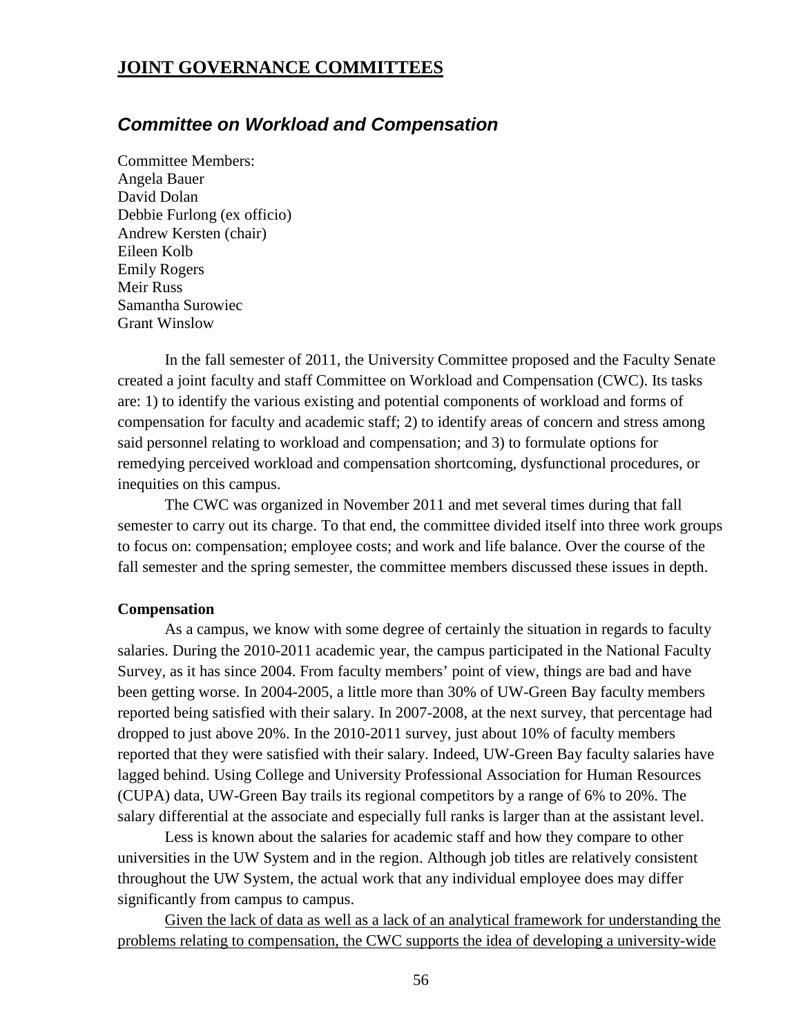### <span id="page-55-0"></span>**JOINT GOVERNANCE COMMITTEES**

### <span id="page-55-1"></span>*Committee on Workload and Compensation*

Committee Members: Angela Bauer David Dolan Debbie Furlong (ex officio) Andrew Kersten (chair) Eileen Kolb Emily Rogers Meir Russ Samantha Surowiec Grant Winslow

In the fall semester of 2011, the University Committee proposed and the Faculty Senate created a joint faculty and staff Committee on Workload and Compensation (CWC). Its tasks are: 1) to identify the various existing and potential components of workload and forms of compensation for faculty and academic staff; 2) to identify areas of concern and stress among said personnel relating to workload and compensation; and 3) to formulate options for remedying perceived workload and compensation shortcoming, dysfunctional procedures, or inequities on this campus.

The CWC was organized in November 2011 and met several times during that fall semester to carry out its charge. To that end, the committee divided itself into three work groups to focus on: compensation; employee costs; and work and life balance. Over the course of the fall semester and the spring semester, the committee members discussed these issues in depth.

#### **Compensation**

As a campus, we know with some degree of certainly the situation in regards to faculty salaries. During the 2010-2011 academic year, the campus participated in the National Faculty Survey, as it has since 2004. From faculty members' point of view, things are bad and have been getting worse. In 2004-2005, a little more than 30% of UW-Green Bay faculty members reported being satisfied with their salary. In 2007-2008, at the next survey, that percentage had dropped to just above 20%. In the 2010-2011 survey, just about 10% of faculty members reported that they were satisfied with their salary. Indeed, UW-Green Bay faculty salaries have lagged behind. Using College and University Professional Association for Human Resources (CUPA) data, UW-Green Bay trails its regional competitors by a range of 6% to 20%. The salary differential at the associate and especially full ranks is larger than at the assistant level.

Less is known about the salaries for academic staff and how they compare to other universities in the UW System and in the region. Although job titles are relatively consistent throughout the UW System, the actual work that any individual employee does may differ significantly from campus to campus.

Given the lack of data as well as a lack of an analytical framework for understanding the problems relating to compensation, the CWC supports the idea of developing a university-wide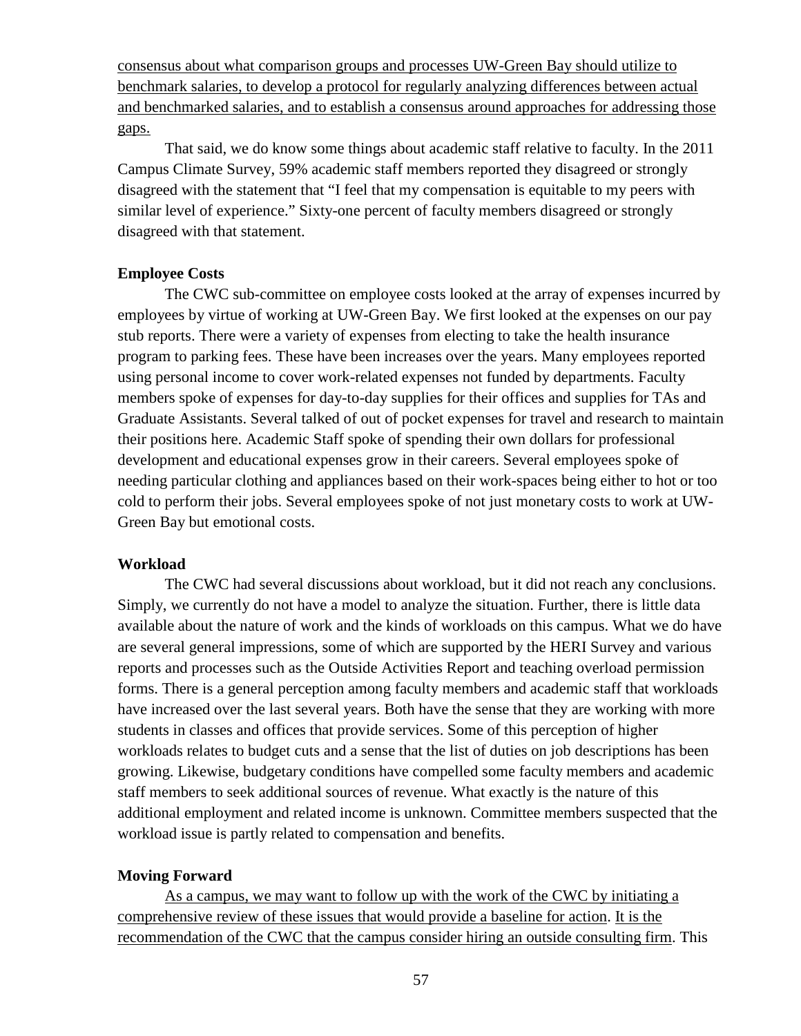consensus about what comparison groups and processes UW-Green Bay should utilize to benchmark salaries, to develop a protocol for regularly analyzing differences between actual and benchmarked salaries, and to establish a consensus around approaches for addressing those gaps.

That said, we do know some things about academic staff relative to faculty. In the 2011 Campus Climate Survey, 59% academic staff members reported they disagreed or strongly disagreed with the statement that "I feel that my compensation is equitable to my peers with similar level of experience." Sixty-one percent of faculty members disagreed or strongly disagreed with that statement.

#### **Employee Costs**

The CWC sub-committee on employee costs looked at the array of expenses incurred by employees by virtue of working at UW-Green Bay. We first looked at the expenses on our pay stub reports. There were a variety of expenses from electing to take the health insurance program to parking fees. These have been increases over the years. Many employees reported using personal income to cover work-related expenses not funded by departments. Faculty members spoke of expenses for day-to-day supplies for their offices and supplies for TAs and Graduate Assistants. Several talked of out of pocket expenses for travel and research to maintain their positions here. Academic Staff spoke of spending their own dollars for professional development and educational expenses grow in their careers. Several employees spoke of needing particular clothing and appliances based on their work-spaces being either to hot or too cold to perform their jobs. Several employees spoke of not just monetary costs to work at UW-Green Bay but emotional costs.

#### **Workload**

The CWC had several discussions about workload, but it did not reach any conclusions. Simply, we currently do not have a model to analyze the situation. Further, there is little data available about the nature of work and the kinds of workloads on this campus. What we do have are several general impressions, some of which are supported by the HERI Survey and various reports and processes such as the Outside Activities Report and teaching overload permission forms. There is a general perception among faculty members and academic staff that workloads have increased over the last several years. Both have the sense that they are working with more students in classes and offices that provide services. Some of this perception of higher workloads relates to budget cuts and a sense that the list of duties on job descriptions has been growing. Likewise, budgetary conditions have compelled some faculty members and academic staff members to seek additional sources of revenue. What exactly is the nature of this additional employment and related income is unknown. Committee members suspected that the workload issue is partly related to compensation and benefits.

#### **Moving Forward**

As a campus, we may want to follow up with the work of the CWC by initiating a comprehensive review of these issues that would provide a baseline for action. It is the recommendation of the CWC that the campus consider hiring an outside consulting firm. This